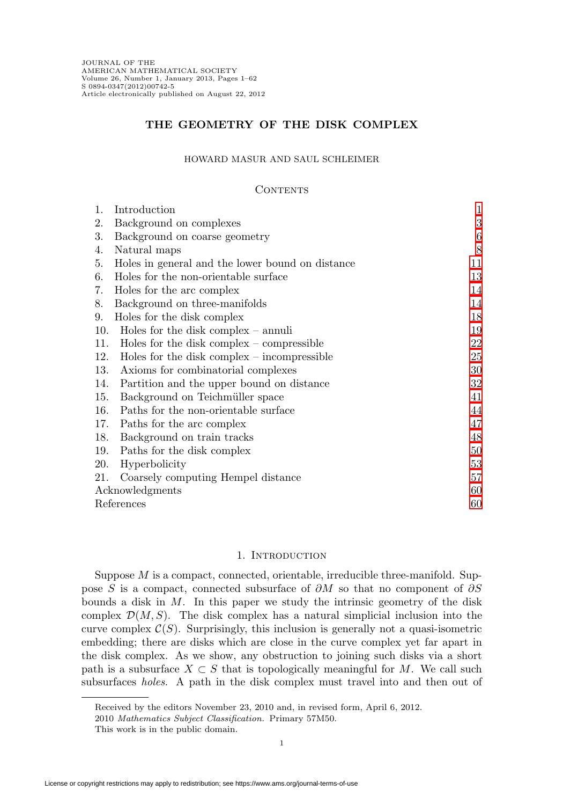# **THE GEOMETRY OF THE DISK COMPLEX**

### HOWARD MASUR AND SAUL SCHLEIMER

## **CONTENTS**

| 1.              | Introduction                                     | $\mathbf{1}$ |
|-----------------|--------------------------------------------------|--------------|
| 2.              | Background on complexes                          | 3            |
| 3.              | Background on coarse geometry                    | 6            |
| 4.              | Natural maps                                     | 8            |
| 5.              | Holes in general and the lower bound on distance | 11           |
| 6.              | Holes for the non-orientable surface             | 13           |
| 7.              | Holes for the arc complex                        | 14           |
| 8.              | Background on three-manifolds                    | 14           |
| 9.              | Holes for the disk complex                       | 18           |
| 10.             | Holes for the disk complex $-$ annuli            | 19           |
| 11.             | Holes for the disk complex $-$ compressible      | 22           |
| 12.             | Holes for the disk complex $-$ incompressible    | 25           |
| 13.             | Axioms for combinatorial complexes               | 30           |
| 14.             | Partition and the upper bound on distance        | 32           |
| 15.             | Background on Teichmüller space                  | 41           |
| 16.             | Paths for the non-orientable surface             | 44           |
| 17.             | Paths for the arc complex                        | 47           |
| 18.             | Background on train tracks                       | 48           |
| 19.             | Paths for the disk complex                       | 50           |
| 20.             | Hyperbolicity                                    | 53           |
| 21.             | Coarsely computing Hempel distance               | 57           |
| Acknowledgments |                                                  | 60           |
| References      |                                                  | 60           |

### 1. INTRODUCTION

<span id="page-0-0"></span>Suppose  $M$  is a compact, connected, orientable, irreducible three-manifold. Suppose S is a compact, connected subsurface of ∂M so that no component of ∂S bounds a disk in  $M$ . In this paper we study the intrinsic geometry of the disk complex  $\mathcal{D}(M,S)$ . The disk complex has a natural simplicial inclusion into the curve complex  $C(S)$ . Surprisingly, this inclusion is generally not a quasi-isometric embedding; there are disks which are close in the curve complex yet far apart in the disk complex. As we show, any obstruction to joining such disks via a short path is a subsurface  $X \subset S$  that is topologically meaningful for M. We call such subsurfaces holes. A path in the disk complex must travel into and then out of

Received by the editors November 23, 2010 and, in revised form, April 6, 2012.

<sup>2010</sup> Mathematics Subject Classification. Primary 57M50.

This work is in the public domain.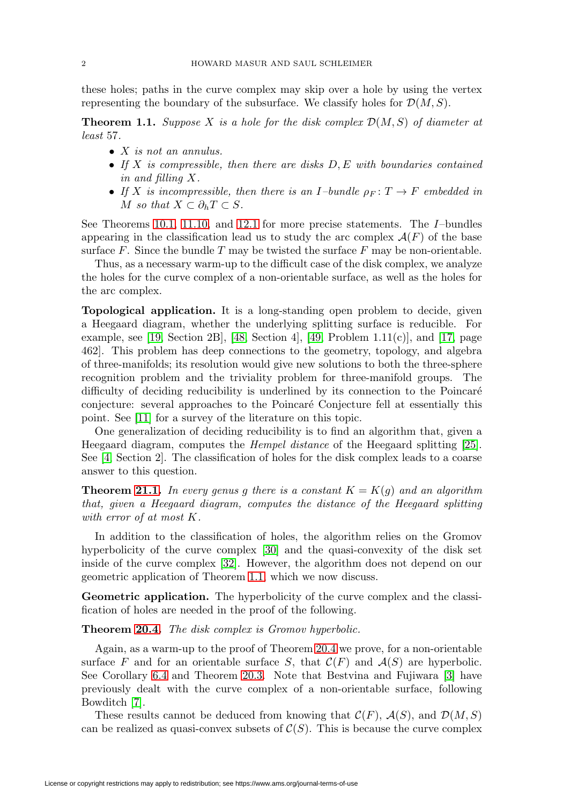<span id="page-1-1"></span>these holes; paths in the curve complex may skip over a hole by using the vertex representing the boundary of the subsurface. We classify holes for  $\mathcal{D}(M, S)$ .

<span id="page-1-0"></span>**Theorem 1.1.** Suppose X is a hole for the disk complex  $\mathcal{D}(M, S)$  of diameter at least 57.

- X is not an annulus.
- If X is compressible, then there are disks  $D, E$  with boundaries contained in and filling X.
- If X is incompressible, then there is an I-bundle  $\rho_F: T \to F$  embedded in M so that  $X \subset \partial_h T \subset S$ .

See Theorems [10.1,](#page-18-1) [11.10,](#page-23-0) and [12.1](#page-24-1) for more precise statements. The I–bundles appearing in the classification lead us to study the arc complex  $\mathcal{A}(F)$  of the base surface  $F$ . Since the bundle  $T$  may be twisted the surface  $F$  may be non-orientable.

Thus, as a necessary warm-up to the difficult case of the disk complex, we analyze the holes for the curve complex of a non-orientable surface, as well as the holes for the arc complex.

**Topological application.** It is a long-standing open problem to decide, given a Heegaard diagram, whether the underlying splitting surface is reducible. For example, see [\[19,](#page-60-0) Section 2B], [\[48,](#page-61-0) Section 4], [\[49,](#page-61-1) Problem 1.11 $(c)$ ], and [\[17,](#page-59-2) page 462]. This problem has deep connections to the geometry, topology, and algebra of three-manifolds; its resolution would give new solutions to both the three-sphere recognition problem and the triviality problem for three-manifold groups. The difficulty of deciding reducibility is underlined by its connection to the Poincaré conjecture: several approaches to the Poincaré Conjecture fell at essentially this point. See [\[11\]](#page-59-3) for a survey of the literature on this topic.

One generalization of deciding reducibility is to find an algorithm that, given a Heegaard diagram, computes the Hempel distance of the Heegaard splitting [\[25\]](#page-60-1). See [\[4,](#page-59-4) Section 2]. The classification of holes for the disk complex leads to a coarse answer to this question.

**Theorem [21.1.](#page-56-1)** In every genus g there is a constant  $K = K(q)$  and an algorithm that, given a Heegaard diagram, computes the distance of the Heegaard splitting with error of at most K.

In addition to the classification of holes, the algorithm relies on the Gromov hyperbolicity of the curve complex [\[30\]](#page-60-2) and the quasi-convexity of the disk set inside of the curve complex [\[32\]](#page-60-3). However, the algorithm does not depend on our geometric application of Theorem [1.1,](#page-1-0) which we now discuss.

**Geometric application.** The hyperbolicity of the curve complex and the classification of holes are needed in the proof of the following.

**Theorem [20.4.](#page-52-1)** The disk complex is Gromov hyperbolic.

Again, as a warm-up to the proof of Theorem [20.4](#page-52-1) we prove, for a non-orientable surface F and for an orientable surface S, that  $\mathcal{C}(F)$  and  $\mathcal{A}(S)$  are hyperbolic. See Corollary [6.4](#page-12-1) and Theorem [20.3.](#page-52-2) Note that Bestvina and Fujiwara [\[3\]](#page-59-5) have previously dealt with the curve complex of a non-orientable surface, following Bowditch [\[7\]](#page-59-6).

These results cannot be deduced from knowing that  $\mathcal{C}(F)$ ,  $\mathcal{A}(S)$ , and  $\mathcal{D}(M,S)$ can be realized as quasi-convex subsets of  $\mathcal{C}(S)$ . This is because the curve complex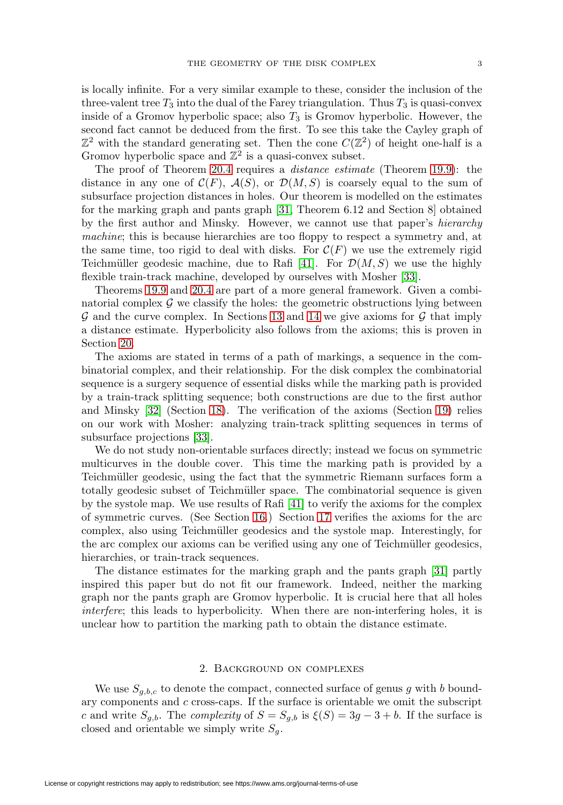<span id="page-2-1"></span>is locally infinite. For a very similar example to these, consider the inclusion of the three-valent tree  $T_3$  into the dual of the Farey triangulation. Thus  $T_3$  is quasi-convex inside of a Gromov hyperbolic space; also  $T_3$  is Gromov hyperbolic. However, the second fact cannot be deduced from the first. To see this take the Cayley graph of  $\mathbb{Z}^2$  with the standard generating set. Then the cone  $C(\mathbb{Z}^2)$  of height one-half is a Gromov hyperbolic space and  $\mathbb{Z}^2$  is a quasi-convex subset.

The proof of Theorem [20.4](#page-52-1) requires a distance estimate (Theorem [19.9\)](#page-52-3): the distance in any one of  $\mathcal{C}(F)$ ,  $\mathcal{A}(S)$ , or  $\mathcal{D}(M, S)$  is coarsely equal to the sum of subsurface projection distances in holes. Our theorem is modelled on the estimates for the marking graph and pants graph [\[31,](#page-60-4) Theorem 6.12 and Section 8] obtained by the first author and Minsky. However, we cannot use that paper's hierarchy machine; this is because hierarchies are too floppy to respect a symmetry and, at the same time, too rigid to deal with disks. For  $\mathcal{C}(F)$  we use the extremely rigid Teichmüller geodesic machine, due to Rafi [\[41\]](#page-61-2). For  $\mathcal{D}(M, S)$  we use the highly flexible train-track machine, developed by ourselves with Mosher [\[33\]](#page-60-5).

Theorems [19.9](#page-52-3) and [20.4](#page-52-1) are part of a more general framework. Given a combinatorial complex  $\mathcal G$  we classify the holes: the geometric obstructions lying between  $\mathcal G$  and the curve complex. In Sections [13](#page-29-0) and [14](#page-31-0) we give axioms for  $\mathcal G$  that imply a distance estimate. Hyperbolicity also follows from the axioms; this is proven in Section [20.](#page-52-0)

The axioms are stated in terms of a path of markings, a sequence in the combinatorial complex, and their relationship. For the disk complex the combinatorial sequence is a surgery sequence of essential disks while the marking path is provided by a train-track splitting sequence; both constructions are due to the first author and Minsky [\[32\]](#page-60-3) (Section [18\)](#page-47-0). The verification of the axioms (Section [19\)](#page-49-0) relies on our work with Mosher: analyzing train-track splitting sequences in terms of subsurface projections [\[33\]](#page-60-5).

We do not study non-orientable surfaces directly; instead we focus on symmetric multicurves in the double cover. This time the marking path is provided by a Teichmüller geodesic, using the fact that the symmetric Riemann surfaces form a totally geodesic subset of Teichmüller space. The combinatorial sequence is given by the systole map. We use results of Rafi [\[41\]](#page-61-2) to verify the axioms for the complex of symmetric curves. (See Section [16.](#page-43-0)) Section [17](#page-46-0) verifies the axioms for the arc complex, also using Teichmüller geodesics and the systole map. Interestingly, for the arc complex our axioms can be verified using any one of Teichmüller geodesics, hierarchies, or train-track sequences.

The distance estimates for the marking graph and the pants graph [\[31\]](#page-60-4) partly inspired this paper but do not fit our framework. Indeed, neither the marking graph nor the pants graph are Gromov hyperbolic. It is crucial here that all holes interfere; this leads to hyperbolicity. When there are non-interfering holes, it is unclear how to partition the marking path to obtain the distance estimate.

# 2. Background on complexes

<span id="page-2-0"></span>We use  $S_{g,b,c}$  to denote the compact, connected surface of genus g with b boundary components and  $c$  cross-caps. If the surface is orientable we omit the subscript c and write  $S_{g,b}$ . The complexity of  $S = S_{g,b}$  is  $\xi(S) = 3g - 3 + b$ . If the surface is closed and orientable we simply write  $S_q$ .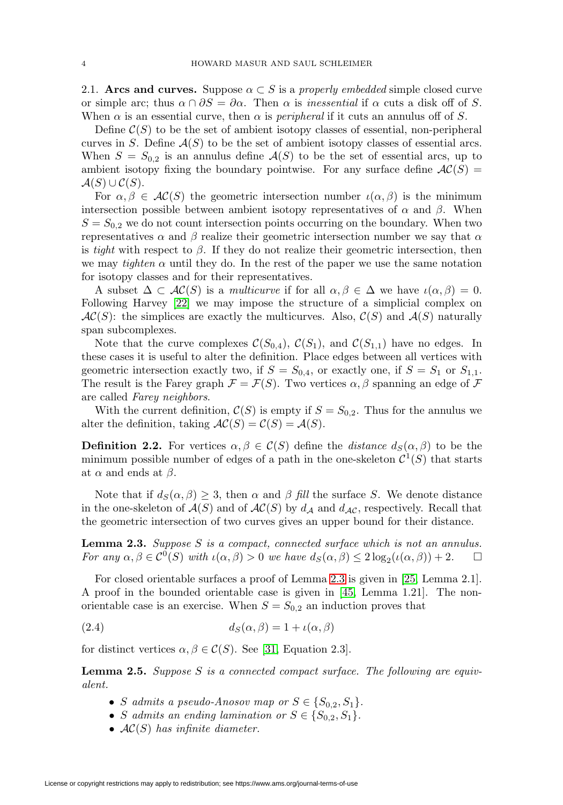<span id="page-3-3"></span>2.1. **Arcs and curves.** Suppose  $\alpha \subset S$  is a properly embedded simple closed curve or simple arc; thus  $\alpha \cap \partial S = \partial \alpha$ . Then  $\alpha$  is inessential if  $\alpha$  cuts a disk off of S. When  $\alpha$  is an essential curve, then  $\alpha$  is *peripheral* if it cuts an annulus off of S.

Define  $\mathcal{C}(S)$  to be the set of ambient isotopy classes of essential, non-peripheral curves in S. Define  $A(S)$  to be the set of ambient isotopy classes of essential arcs. When  $S = S_{0,2}$  is an annulus define  $\mathcal{A}(S)$  to be the set of essential arcs, up to ambient isotopy fixing the boundary pointwise. For any surface define  $AC(S)$  =  $\mathcal{A}(S) \cup \mathcal{C}(S)$ .

For  $\alpha, \beta \in AC(S)$  the geometric intersection number  $\iota(\alpha, \beta)$  is the minimum intersection possible between ambient isotopy representatives of  $\alpha$  and  $\beta$ . When  $S = S_{0,2}$  we do not count intersection points occurring on the boundary. When two representatives  $\alpha$  and  $\beta$  realize their geometric intersection number we say that  $\alpha$ is tight with respect to  $\beta$ . If they do not realize their geometric intersection, then we may *tighten*  $\alpha$  until they do. In the rest of the paper we use the same notation for isotopy classes and for their representatives.

A subset  $\Delta \subset \mathcal{AC}(S)$  is a multicurve if for all  $\alpha, \beta \in \Delta$  we have  $\iota(\alpha, \beta) = 0$ . Following Harvey [\[22\]](#page-60-6) we may impose the structure of a simplicial complex on  $AC(S)$ : the simplices are exactly the multicurves. Also,  $C(S)$  and  $A(S)$  naturally span subcomplexes.

Note that the curve complexes  $\mathcal{C}(S_{0,4}), \mathcal{C}(S_1)$ , and  $\mathcal{C}(S_{1,1})$  have no edges. In these cases it is useful to alter the definition. Place edges between all vertices with geometric intersection exactly two, if  $S = S_{0.4}$ , or exactly one, if  $S = S_1$  or  $S_{1.1}$ . The result is the Farey graph  $\mathcal{F} = \mathcal{F}(S)$ . Two vertices  $\alpha, \beta$  spanning an edge of  $\mathcal{F}$ are called Farey neighbors.

With the current definition,  $\mathcal{C}(S)$  is empty if  $S = S_{0,2}$ . Thus for the annulus we alter the definition, taking  $AC(S) = C(S) = A(S)$ .

**Definition 2.2.** For vertices  $\alpha, \beta \in C(S)$  define the *distance*  $d_S(\alpha, \beta)$  to be the minimum possible number of edges of a path in the one-skeleton  $\mathcal{C}^1(S)$  that starts at  $\alpha$  and ends at  $\beta$ .

Note that if  $d_S(\alpha, \beta) \geq 3$ , then  $\alpha$  and  $\beta$  fill the surface S. We denote distance in the one-skeleton of  $\mathcal{A}(S)$  and of  $\mathcal{AC}(S)$  by  $d_{\mathcal{A}}$  and  $d_{\mathcal{AC}}$ , respectively. Recall that the geometric intersection of two curves gives an upper bound for their distance.

<span id="page-3-0"></span>**Lemma 2.3.** Suppose S is a compact, connected surface which is not an annulus. For any  $\alpha, \beta \in C^0(S)$  with  $\iota(\alpha, \beta) > 0$  we have  $d_S(\alpha, \beta) \leq 2 \log_2(\iota(\alpha, \beta)) + 2$ .  $\Box$ 

For closed orientable surfaces a proof of Lemma [2.3](#page-3-0) is given in [\[25,](#page-60-1) Lemma 2.1]. A proof in the bounded orientable case is given in [\[45,](#page-61-3) Lemma 1.21]. The nonorientable case is an exercise. When  $S = S_{0,2}$  an induction proves that

<span id="page-3-2"></span>(2.4) 
$$
d_S(\alpha, \beta) = 1 + \iota(\alpha, \beta)
$$

for distinct vertices  $\alpha, \beta \in \mathcal{C}(S)$ . See [\[31,](#page-60-4) Equation 2.3].

<span id="page-3-1"></span>**Lemma 2.5.** Suppose S is a connected compact surface. The following are equivalent.

- S admits a pseudo-Anosov map or  $S \in \{S_{0,2}, S_1\}.$
- S admits an ending lamination or  $S \in \{S_{0,2}, S_1\}.$
- $AC(S)$  has infinite diameter.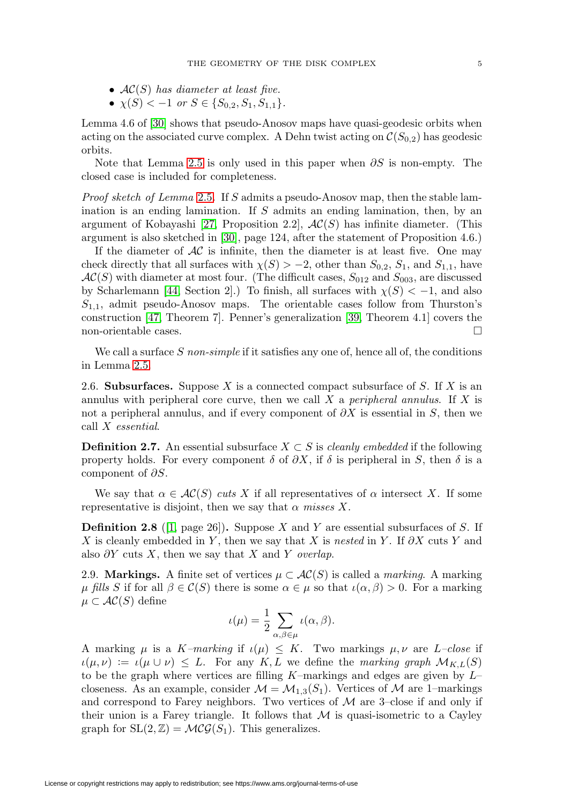- <span id="page-4-1"></span>•  $AC(S)$  has diameter at least five.
- $\chi(S) < -1$  or  $S \in \{S_{0,2}, S_1, S_{1,1}\}.$

Lemma 4.6 of [\[30\]](#page-60-2) shows that pseudo-Anosov maps have quasi-geodesic orbits when acting on the associated curve complex. A Dehn twist acting on  $\mathcal{C}(S_{0,2})$  has geodesic orbits.

Note that Lemma [2.5](#page-3-1) is only used in this paper when  $\partial S$  is non-empty. The closed case is included for completeness.

Proof sketch of Lemma [2.5](#page-3-1). If S admits a pseudo-Anosov map, then the stable lamination is an ending lamination. If S admits an ending lamination, then, by an argument of Kobayashi [\[27,](#page-60-7) Proposition 2.2],  $AC(S)$  has infinite diameter. (This argument is also sketched in [\[30\]](#page-60-2), page 124, after the statement of Proposition 4.6.)

If the diameter of  $AC$  is infinite, then the diameter is at least five. One may check directly that all surfaces with  $\chi(S) > -2$ , other than  $S_{0,2}$ ,  $S_1$ , and  $S_{1,1}$ , have  $AC(S)$  with diameter at most four. (The difficult cases,  $S_{012}$  and  $S_{003}$ , are discussed by Scharlemann [\[44,](#page-61-4) Section 2].) To finish, all surfaces with  $\chi(S) < -1$ , and also  $S_{1,1}$ , admit pseudo-Anosov maps. The orientable cases follow from Thurston's construction [\[47,](#page-61-5) Theorem 7]. Penner's generalization [\[39,](#page-60-8) Theorem 4.1] covers the non-orientable cases.  $\hfill \square$ 

We call a surface  $S$  non-simple if it satisfies any one of, hence all of, the conditions in Lemma [2.5.](#page-3-1)

2.6. **Subsurfaces.** Suppose X is a connected compact subsurface of S. If X is an annulus with peripheral core curve, then we call  $X$  a *peripheral annulus*. If  $X$  is not a peripheral annulus, and if every component of  $\partial X$  is essential in S, then we call X essential.

**Definition 2.7.** An essential subsurface  $X \subset S$  is *cleanly embedded* if the following property holds. For every component  $\delta$  of  $\partial X$ , if  $\delta$  is peripheral in S, then  $\delta$  is a component of  $\partial S$ .

We say that  $\alpha \in \mathcal{AC}(S)$  cuts X if all representatives of  $\alpha$  intersect X. If some representative is disjoint, then we say that  $\alpha$  misses X.

**Definition 2.8** ([\[1,](#page-59-7) page 26]). Suppose X and Y are essential subsurfaces of S. If X is cleanly embedded in Y, then we say that X is nested in Y. If  $\partial X$  cuts Y and also  $\partial Y$  cuts X, then we say that X and Y overlap.

<span id="page-4-0"></span>2.9. **Markings.** A finite set of vertices  $\mu \subset AC(S)$  is called a *marking*. A marking μ fills S if for all  $\beta \in \mathcal{C}(S)$  there is some  $\alpha \in \mu$  so that  $\iota(\alpha, \beta) > 0$ . For a marking  $\mu \subset AC(S)$  define

$$
\iota(\mu) = \frac{1}{2} \sum_{\alpha,\beta \in \mu} \iota(\alpha,\beta).
$$

A marking  $\mu$  is a K-marking if  $\iota(\mu) \leq K$ . Two markings  $\mu, \nu$  are L-close if  $u(\mu, \nu) := u(\mu \cup \nu) \leq L$ . For any K, L we define the marking graph  $\mathcal{M}_{K,L}(S)$ to be the graph where vertices are filling  $K$ –markings and edges are given by  $L$ – closeness. As an example, consider  $\mathcal{M} = \mathcal{M}_{1,3}(S_1)$ . Vertices of  $\mathcal M$  are 1–markings and correspond to Farey neighbors. Two vertices of  $M$  are 3-close if and only if their union is a Farey triangle. It follows that  $M$  is quasi-isometric to a Cayley graph for  $SL(2, \mathbb{Z}) = \mathcal{MCG}(S_1)$ . This generalizes.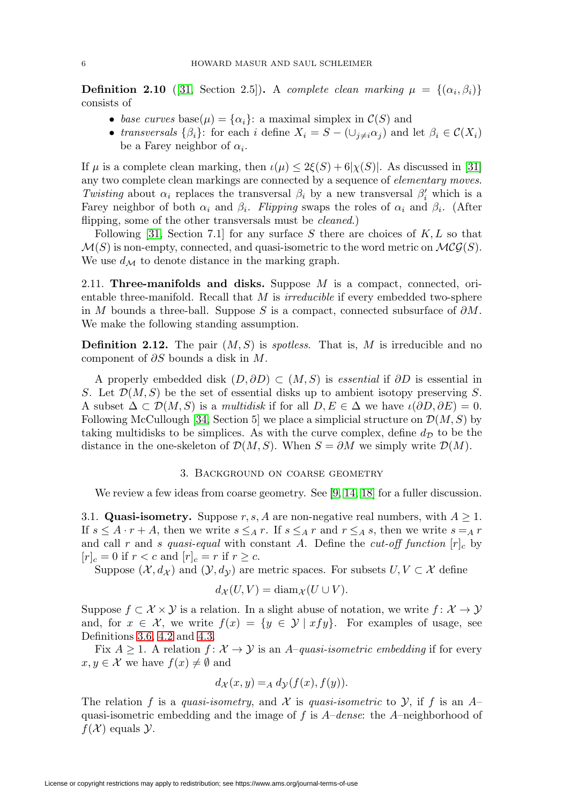<span id="page-5-2"></span>**Definition 2.10** ([\[31,](#page-60-4) Section 2.5]). A complete clean marking  $\mu = \{(\alpha_i, \beta_i)\}\$ consists of

- base curves base( $\mu$ ) = { $\alpha_i$ }: a maximal simplex in  $\mathcal{C}(S)$  and
- transversals  $\{\beta_i\}$ : for each i define  $X_i = S (\cup_{j\neq i} \alpha_j)$  and let  $\beta_i \in C(X_i)$ be a Farey neighbor of  $\alpha_i$ .

If  $\mu$  is a complete clean marking, then  $\iota(\mu) \leq 2\xi(S) + 6|\chi(S)|$ . As discussed in [\[31\]](#page-60-4) any two complete clean markings are connected by a sequence of elementary moves. Twisting about  $\alpha_i$  replaces the transversal  $\beta_i$  by a new transversal  $\beta'_i$  which is a Farey neighbor of both  $\alpha_i$  and  $\beta_i$ . Flipping swaps the roles of  $\alpha_i$  and  $\beta_i$ . (After flipping, some of the other transversals must be *cleaned*.)

Following [\[31,](#page-60-4) Section 7.1] for any surface S there are choices of  $K, L$  so that  $\mathcal{M}(S)$  is non-empty, connected, and quasi-isometric to the word metric on  $\mathcal{MCG}(S)$ . We use  $d_{\mathcal{M}}$  to denote distance in the marking graph.

2.11. **Three-manifolds and disks.** Suppose M is a compact, connected, orientable three-manifold. Recall that  $M$  is *irreducible* if every embedded two-sphere in M bounds a three-ball. Suppose S is a compact, connected subsurface of  $\partial M$ . We make the following standing assumption.

<span id="page-5-1"></span>**Definition 2.12.** The pair  $(M, S)$  is *spotless*. That is, M is irreducible and no component of  $\partial S$  bounds a disk in M.

A properly embedded disk  $(D, \partial D) \subset (M, S)$  is essential if  $\partial D$  is essential in S. Let  $\mathcal{D}(M, S)$  be the set of essential disks up to ambient isotopy preserving S. A subset  $\Delta \subset \mathcal{D}(M, S)$  is a multidisk if for all  $D, E \in \Delta$  we have  $\iota(\partial D, \partial E) = 0$ . Following McCullough [\[34,](#page-60-9) Section 5] we place a simplicial structure on  $\mathcal{D}(M, S)$  by taking multidisks to be simplices. As with the curve complex, define  $d_{\mathcal{D}}$  to be the distance in the one-skeleton of  $\mathcal{D}(M,S)$ . When  $S = \partial M$  we simply write  $\mathcal{D}(M)$ .

#### 3. Background on coarse geometry

<span id="page-5-0"></span>We review a few ideas from coarse geometry. See [\[9,](#page-59-8) [14,](#page-59-9) [18\]](#page-59-10) for a fuller discussion.

3.1. **Quasi-isometry.** Suppose r, s, A are non-negative real numbers, with  $A \geq 1$ . If  $s \leq A \cdot r + A$ , then we write  $s \leq_A r$ . If  $s \leq_A r$  and  $r \leq_A s$ , then we write  $s =_A r$ and call r and s quasi-equal with constant A. Define the cut-off function  $[r]_c$  by  $[r]_c = 0$  if  $r < c$  and  $[r]_c = r$  if  $r \geq c$ .

Suppose  $(\mathcal{X}, d_{\mathcal{X}})$  and  $(\mathcal{Y}, d_{\mathcal{Y}})$  are metric spaces. For subsets  $U, V \subset \mathcal{X}$  define

$$
d_{\mathcal{X}}(U,V)=\mathrm{diam}_{\mathcal{X}}(U\cup V).
$$

Suppose  $f \subset \mathcal{X} \times \mathcal{Y}$  is a relation. In a slight abuse of notation, we write  $f: \mathcal{X} \to \mathcal{Y}$ and, for  $x \in \mathcal{X}$ , we write  $f(x) = \{y \in \mathcal{Y} \mid xfy\}$ . For examples of usage, see Definitions [3.6,](#page-6-0) [4.2](#page-8-0) and [4.3.](#page-8-1)

Fix  $A \geq 1$ . A relation  $f: \mathcal{X} \to \mathcal{Y}$  is an A-quasi-isometric embedding if for every  $x, y \in \mathcal{X}$  we have  $f(x) \neq \emptyset$  and

$$
d_{\mathcal{X}}(x,y) =_A d_{\mathcal{Y}}(f(x), f(y)).
$$

The relation f is a quasi-isometry, and X is quasi-isometric to Y, if f is an  $A$ quasi-isometric embedding and the image of f is  $A$ –dense: the  $A$ –neighborhood of  $f(\mathcal{X})$  equals  $\mathcal{Y}$ .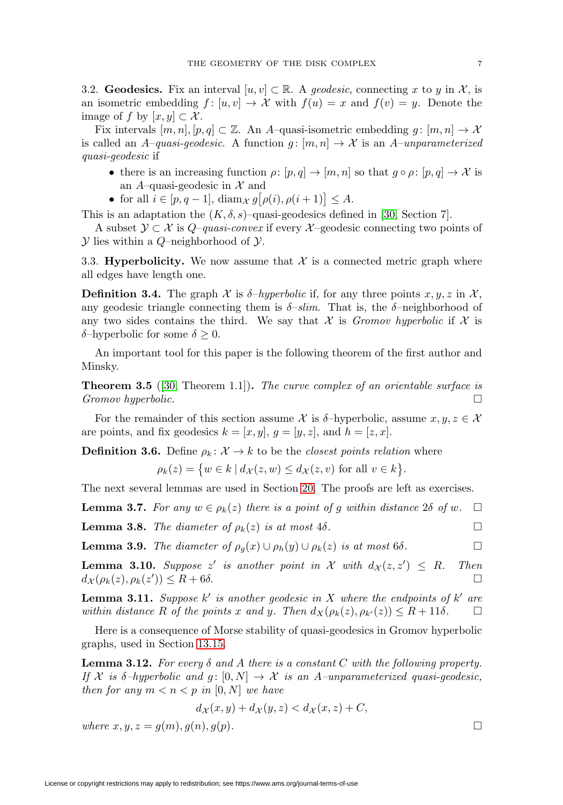<span id="page-6-8"></span>3.2. **Geodesics.** Fix an interval  $[u, v] \subset \mathbb{R}$ . A geodesic, connecting x to y in X, is an isometric embedding  $f : [u, v] \to \mathcal{X}$  with  $f(u) = x$  and  $f(v) = y$ . Denote the image of f by  $[x, y] \subset \mathcal{X}$ .

Fix intervals  $[m, n], [p, q] \subset \mathbb{Z}$ . An A-quasi-isometric embedding  $g : [m, n] \to \mathcal{X}$ is called an A–quasi-geodesic. A function  $g : [m, n] \to \mathcal{X}$  is an A–unparameterized quasi-geodesic if

- there is an increasing function  $\rho: [p,q] \to [m,n]$  so that  $g \circ \rho: [p,q] \to \mathcal{X}$  is an A–quasi-geodesic in  $\mathcal X$  and
- for all  $i \in [p, q-1]$ , diam $\chi g\big[\rho(i), \rho(i+1)\big] \leq A$ .

This is an adaptation the  $(K, \delta, s)$ –quasi-geodesics defined in [\[30,](#page-60-2) Section 7].

A subset  $\mathcal{Y} \subset \mathcal{X}$  is  $Q$ –quasi-convex if every  $\mathcal{X}$ –geodesic connecting two points of  $Y$  lies within a Q-neighborhood of  $Y$ .

3.3. **Hyperbolicity.** We now assume that  $\mathcal{X}$  is a connected metric graph where all edges have length one.

**Definition 3.4.** The graph  $\mathcal X$  is  $\delta$ -hyperbolic if, for any three points  $x, y, z$  in  $\mathcal X$ , any geodesic triangle connecting them is  $\delta$ -slim. That is, the  $\delta$ -neighborhood of any two sides contains the third. We say that X is Gromov hyperbolic if X is δ–hyperbolic for some  $\delta \geq 0$ .

An important tool for this paper is the following theorem of the first author and Minsky.

<span id="page-6-7"></span>**Theorem 3.5** ([\[30,](#page-60-2) Theorem 1.1]). The curve complex of an orientable surface is  $Gromov \; hyperbolic.$ 

For the remainder of this section assume X is δ–hyperbolic, assume  $x, y, z \in \mathcal{X}$ are points, and fix geodesics  $k = [x, y], g = [y, z]$ , and  $h = [z, x]$ .

<span id="page-6-0"></span>**Definition 3.6.** Define  $\rho_k: \mathcal{X} \to k$  to be the *closest points relation* where

$$
\rho_k(z) = \{ w \in k \mid d_{\mathcal{X}}(z, w) \le d_{\mathcal{X}}(z, v) \text{ for all } v \in k \}.
$$

The next several lemmas are used in Section [20.](#page-52-0) The proofs are left as exercises.

<span id="page-6-5"></span>**Lemma 3.7.** For any  $w \in \rho_k(z)$  there is a point of g within distance  $2\delta$  of  $w$ .  $\Box$ 

<span id="page-6-2"></span>**Lemma 3.8.** The diameter of  $\rho_k(z)$  is at most 4 $\delta$ .

<span id="page-6-6"></span>**Lemma 3.9.** The diameter of  $\rho_q(x) \cup \rho_h(y) \cup \rho_k(z)$  is at most 6δ.

<span id="page-6-3"></span>**Lemma 3.10.** Suppose  $z'$  is another point in  $\mathcal{X}$  with  $d_{\mathcal{X}}(z, z') \leq R$ . Then  $d_{\mathcal{X}}(\rho_k(z), \rho_k(z')) \leq R + 6\delta.$ 

<span id="page-6-4"></span>**Lemma 3.11.** Suppose k' is another geodesic in X where the endpoints of k' are within distance R of the points x and y. Then  $d_X(\rho_k(z), \rho_{k'}(z)) \leq R + 11\delta$ .  $\Box$ 

Here is a consequence of Morse stability of quasi-geodesics in Gromov hyperbolic graphs, used in Section [13.15.](#page-31-1)

<span id="page-6-1"></span>**Lemma 3.12.** For every δ and A there is a constant C with the following property. If X is  $\delta$ -hyperbolic and g:  $[0, N] \to \mathcal{X}$  is an A–unparameterized quasi-geodesic, then for any  $m < n < p$  in [0, N] we have

$$
d_{\mathcal{X}}(x,y) + d_{\mathcal{X}}(y,z) < d_{\mathcal{X}}(x,z) + C,
$$

where  $x, y, z = q(m), q(n), q(p)$ .

 $\Box$ 

 $\Box$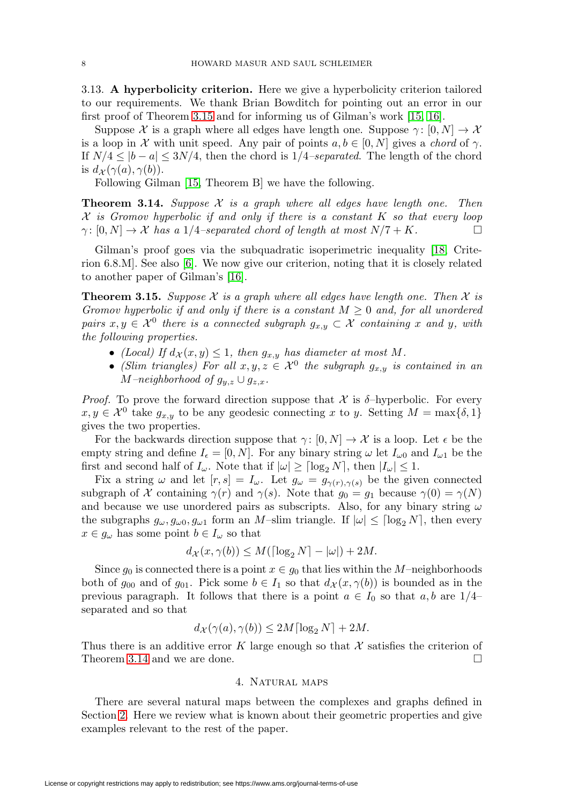<span id="page-7-3"></span>3.13. **A hyperbolicity criterion.** Here we give a hyperbolicity criterion tailored to our requirements. We thank Brian Bowditch for pointing out an error in our first proof of Theorem [3.15](#page-7-1) and for informing us of Gilman's work [\[15,](#page-59-11) [16\]](#page-59-12).

Suppose X is a graph where all edges have length one. Suppose  $\gamma : [0, N] \to \mathcal{X}$ is a loop in X with unit speed. Any pair of points  $a, b \in [0, N]$  gives a *chord* of  $\gamma$ . If  $N/4 \leq |b-a| \leq 3N/4$ , then the chord is  $1/4$ –separated. The length of the chord is  $d_{\mathcal{X}}(\gamma(a), \gamma(b)).$ 

Following Gilman [\[15,](#page-59-11) Theorem B] we have the following.

<span id="page-7-2"></span>**Theorem 3.14.** Suppose  $X$  is a graph where all edges have length one. Then  $X$  is Gromov hyperbolic if and only if there is a constant  $K$  so that every loop  $\gamma: [0, N] \to \mathcal{X}$  has a 1/4–separated chord of length at most  $N/7 + K$ .

Gilman's proof goes via the subquadratic isoperimetric inequality [\[18,](#page-59-10) Criterion 6.8.M]. See also [\[6\]](#page-59-13). We now give our criterion, noting that it is closely related to another paper of Gilman's [\[16\]](#page-59-12).

<span id="page-7-1"></span>**Theorem 3.15.** Suppose X is a graph where all edges have length one. Then X is Gromov hyperbolic if and only if there is a constant  $M \geq 0$  and, for all unordered pairs  $x, y \in \mathcal{X}^0$  there is a connected subgraph  $g_{x,y} \subset \mathcal{X}$  containing x and y, with the following properties.

- (Local) If  $d_{\mathcal{X}}(x, y) \leq 1$ , then  $g_{x,y}$  has diameter at most M.
- (Slim triangles) For all  $x, y, z \in \mathcal{X}^0$  the subgraph  $g_{x,y}$  is contained in an  $M$ –neighborhood of  $g_{y,z} \cup g_{z,x}$ .

*Proof.* To prove the forward direction suppose that  $\mathcal{X}$  is  $\delta$ -hyperbolic. For every  $x, y \in \mathcal{X}^0$  take  $g_{x,y}$  to be any geodesic connecting x to y. Setting  $M = \max\{\delta, 1\}$ gives the two properties.

For the backwards direction suppose that  $\gamma: [0, N] \to \mathcal{X}$  is a loop. Let  $\epsilon$  be the empty string and define  $I_{\epsilon} = [0, N]$ . For any binary string  $\omega$  let  $I_{\omega 0}$  and  $I_{\omega 1}$  be the first and second half of  $I_{\omega}$ . Note that if  $|\omega| \geq \lceil \log_2 N \rceil$ , then  $|I_{\omega}| \leq 1$ .

Fix a string  $\omega$  and let  $[r, s] = I_{\omega}$ . Let  $g_{\omega} = g_{\gamma(r), \gamma(s)}$  be the given connected subgraph of X containing  $\gamma(r)$  and  $\gamma(s)$ . Note that  $g_0 = g_1$  because  $\gamma(0) = \gamma(N)$ and because we use unordered pairs as subscripts. Also, for any binary string  $\omega$ the subgraphs  $g_{\omega}, g_{\omega 0}, g_{\omega 1}$  form an M-slim triangle. If  $|\omega| \leq \lceil \log_2 N \rceil$ , then every  $x \in g_\omega$  has some point  $b \in I_\omega$  so that

$$
d_{\mathcal{X}}(x,\gamma(b)) \leq M(\lceil \log_2 N \rceil - |\omega|) + 2M.
$$

Since  $g_0$  is connected there is a point  $x \in g_0$  that lies within the M-neighborhoods both of  $g_{00}$  and of  $g_{01}$ . Pick some  $b \in I_1$  so that  $d_{\mathcal{X}}(x, \gamma(b))$  is bounded as in the previous paragraph. It follows that there is a point  $a \in I_0$  so that  $a, b$  are  $1/4$ separated and so that

$$
d_{\mathcal{X}}(\gamma(a), \gamma(b)) \le 2M \lceil \log_2 N \rceil + 2M.
$$

<span id="page-7-0"></span>Thus there is an additive error K large enough so that  $\mathcal X$  satisfies the criterion of Theorem [3.14](#page-7-2) and we are done.  $\Box$ 

## 4. Natural maps

There are several natural maps between the complexes and graphs defined in Section [2.](#page-2-0) Here we review what is known about their geometric properties and give examples relevant to the rest of the paper.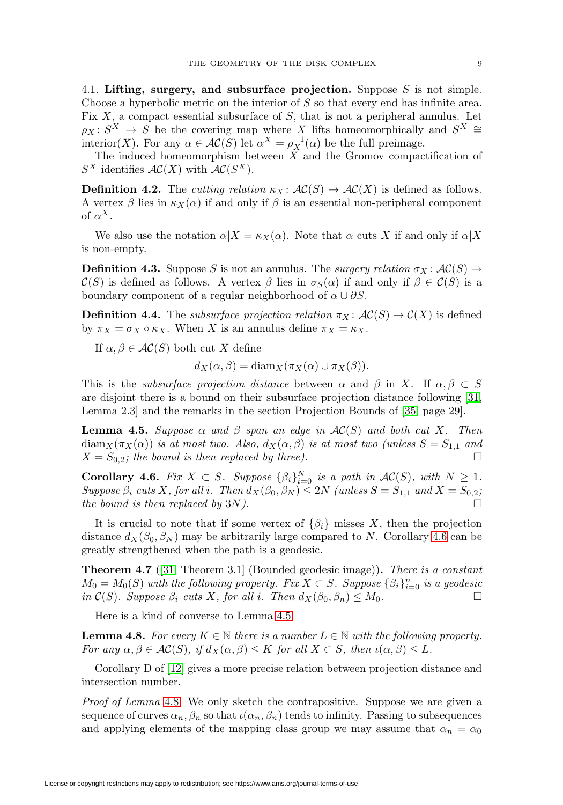<span id="page-8-6"></span>4.1. **Lifting, surgery, and subsurface projection.** Suppose S is not simple. Choose a hyperbolic metric on the interior of S so that every end has infinite area. Fix  $X$ , a compact essential subsurface of  $S$ , that is not a peripheral annulus. Let  $\rho_X : S^X \to S$  be the covering map where X lifts homeomorphically and  $S^X \cong$ interior(X). For any  $\alpha \in \mathcal{AC}(S)$  let  $\alpha^X = \rho_X^{-1}(\alpha)$  be the full preimage.

The induced homeomorphism between  $X$  and the Gromov compactification of  $S^X$  identifies  $AC(X)$  with  $AC(S^X)$ .

<span id="page-8-0"></span>**Definition 4.2.** The *cutting relation*  $\kappa_X : \mathcal{AC}(S) \to \mathcal{AC}(X)$  is defined as follows. A vertex  $\beta$  lies in  $\kappa_X(\alpha)$  if and only if  $\beta$  is an essential non-peripheral component of  $\alpha^X$ .

We also use the notation  $\alpha|X = \kappa_X(\alpha)$ . Note that  $\alpha$  cuts X if and only if  $\alpha|X$ is non-empty.

<span id="page-8-1"></span>**Definition 4.3.** Suppose S is not an annulus. The *surgery relation*  $\sigma_X : \mathcal{AC}(S) \to$  $\mathcal{C}(S)$  is defined as follows. A vertex  $\beta$  lies in  $\sigma_S(\alpha)$  if and only if  $\beta \in \mathcal{C}(S)$  is a boundary component of a regular neighborhood of  $\alpha \cup \partial S$ .

**Definition 4.4.** The *subsurface projection relation*  $\pi_X : \mathcal{AC}(S) \to \mathcal{C}(X)$  is defined by  $\pi_X = \sigma_X \circ \kappa_X$ . When X is an annulus define  $\pi_X = \kappa_X$ .

If  $\alpha, \beta \in AC(S)$  both cut X define

$$
d_X(\alpha, \beta) = \text{diam}_X(\pi_X(\alpha) \cup \pi_X(\beta)).
$$

This is the *subsurface projection distance* between  $\alpha$  and  $\beta$  in X. If  $\alpha, \beta \subset S$ are disjoint there is a bound on their subsurface projection distance following [\[31,](#page-60-4) Lemma 2.3] and the remarks in the section Projection Bounds of [\[35,](#page-60-10) page 29].

<span id="page-8-3"></span>**Lemma 4.5.** Suppose  $\alpha$  and  $\beta$  span an edge in  $AC(S)$  and both cut X. Then  $\text{diam}_X(\pi_X(\alpha))$  is at most two. Also,  $d_X(\alpha, \beta)$  is at most two (unless  $S = S_{1,1}$  and  $X = S_{0,2}$ ; the bound is then replaced by three).

<span id="page-8-2"></span>**Corollary 4.6.** Fix  $X \subset S$ . Suppose  $\{\beta_i\}_{i=0}^N$  is a path in  $\mathcal{AC}(S)$ , with  $N \geq 1$ .  $\label{eq:suppose} Suppose \; \beta_i \; cuts \; X, \, for \; all \; i. \; \; Then \; d_X \big( \beta_0, \beta_N \big) \leq 2N \; \big( unless \; S = S_{1,1} \; \; and \; X = S_{0,2};$ the bound is then replaced by  $3N$ ).

It is crucial to note that if some vertex of  $\{\beta_i\}$  misses X, then the projection distance  $d_X(\beta_0, \beta_N)$  may be arbitrarily large compared to N. Corollary [4.6](#page-8-2) can be greatly strengthened when the path is a geodesic.

<span id="page-8-5"></span>**Theorem 4.7** ([\[31,](#page-60-4) Theorem 3.1] (Bounded geodesic image))**.** There is a constant  $M_0 = M_0(S)$  with the following property. Fix  $X \subset S$ . Suppose  $\{\beta_i\}_{i=0}^n$  is a geodesic in  $\mathcal{C}(S)$ . Suppose  $\beta_i$  cuts X, for all i. Then  $d_X(\beta_0, \beta_n) \leq M_0$ .  $\Box$ 

Here is a kind of converse to Lemma [4.5.](#page-8-3)

<span id="page-8-4"></span>**Lemma 4.8.** For every  $K \in \mathbb{N}$  there is a number  $L \in \mathbb{N}$  with the following property. For any  $\alpha, \beta \in AC(S)$ , if  $d_X(\alpha, \beta) \leq K$  for all  $X \subset S$ , then  $\iota(\alpha, \beta) \leq L$ .

Corollary D of [\[12\]](#page-59-14) gives a more precise relation between projection distance and intersection number.

Proof of Lemma [4.8](#page-8-4). We only sketch the contrapositive. Suppose we are given a sequence of curves  $\alpha_n, \beta_n$  so that  $\iota(\alpha_n, \beta_n)$  tends to infinity. Passing to subsequences and applying elements of the mapping class group we may assume that  $\alpha_n = \alpha_0$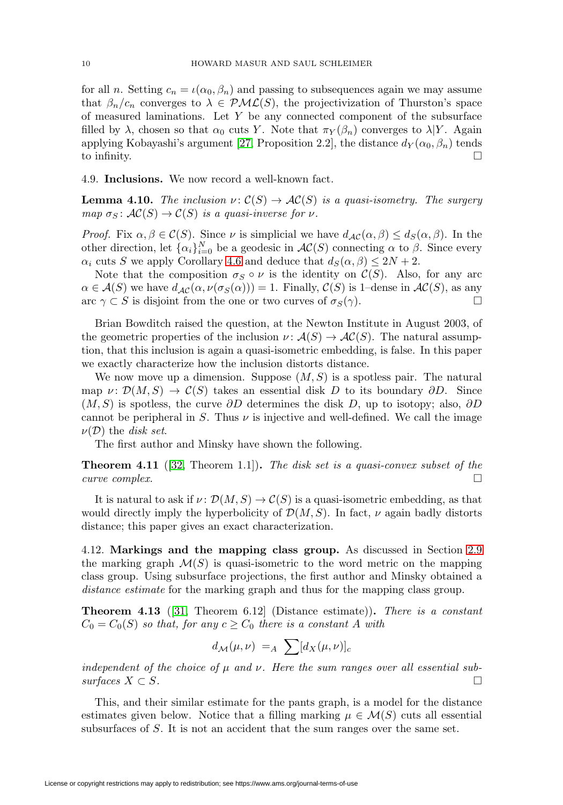<span id="page-9-2"></span>for all n. Setting  $c_n = \iota(\alpha_0, \beta_n)$  and passing to subsequences again we may assume that  $\beta_n/c_n$  converges to  $\lambda \in \mathcal{PML}(S)$ , the projectivization of Thurston's space of measured laminations. Let  $Y$  be any connected component of the subsurface filled by  $\lambda$ , chosen so that  $\alpha_0$  cuts Y. Note that  $\pi_Y(\beta_n)$  converges to  $\lambda|Y$ . Again applying Kobayashi's argument [\[27,](#page-60-7) Proposition 2.2], the distance  $d_Y(\alpha_0, \beta_n)$  tends to infinity.  $\Box$ 

4.9. **Inclusions.** We now record a well-known fact.

**Lemma 4.10.** The inclusion  $\nu: \mathcal{C}(S) \to \mathcal{AC}(S)$  is a quasi-isometry. The surgery map  $\sigma_S \colon \mathcal{AC}(S) \to \mathcal{C}(S)$  is a quasi-inverse for  $\nu$ .

*Proof.* Fix  $\alpha, \beta \in C(S)$ . Since  $\nu$  is simplicial we have  $d_{\mathcal{AC}}(\alpha, \beta) \leq d_{S}(\alpha, \beta)$ . In the other direction, let  $\{\alpha_i\}_{i=0}^N$  be a geodesic in  $\mathcal{AC}(S)$  connecting  $\alpha$  to  $\beta$ . Since every  $\alpha_i$  cuts S we apply Corollary [4.6](#page-8-2) and deduce that  $d_S(\alpha, \beta) \leq 2N + 2$ .

Note that the composition  $\sigma_S \circ \nu$  is the identity on  $\mathcal{C}(S)$ . Also, for any arc  $\alpha \in \mathcal{A}(S)$  we have  $d_{\mathcal{AC}}(\alpha, \nu(\sigma_S(\alpha))) = 1$ . Finally,  $\mathcal{C}(S)$  is 1–dense in  $\mathcal{AC}(S)$ , as any arc  $\gamma \subset S$  is disjoint from the one or two curves of  $\sigma_S(\gamma)$ . arc  $\gamma \subset S$  is disjoint from the one or two curves of  $\sigma_S(\gamma)$ .

Brian Bowditch raised the question, at the Newton Institute in August 2003, of the geometric properties of the inclusion  $\nu : \mathcal{A}(S) \to \mathcal{AC}(S)$ . The natural assumption, that this inclusion is again a quasi-isometric embedding, is false. In this paper we exactly characterize how the inclusion distorts distance.

We now move up a dimension. Suppose  $(M, S)$  is a spotless pair. The natural map  $\nu: \mathcal{D}(M,S) \to \mathcal{C}(S)$  takes an essential disk D to its boundary ∂D. Since  $(M, S)$  is spotless, the curve  $\partial D$  determines the disk D, up to isotopy; also,  $\partial D$ cannot be peripheral in S. Thus  $\nu$  is injective and well-defined. We call the image  $\nu(\mathcal{D})$  the disk set.

The first author and Minsky have shown the following.

<span id="page-9-1"></span>**Theorem 4.11** ([\[32,](#page-60-3) Theorem 1.1]). The disk set is a quasi-convex subset of the curve complex.  $\Box$ 

It is natural to ask if  $\nu: \mathcal{D}(M, S) \to \mathcal{C}(S)$  is a quasi-isometric embedding, as that would directly imply the hyperbolicity of  $\mathcal{D}(M,S)$ . In fact,  $\nu$  again badly distorts distance; this paper gives an exact characterization.

4.12. **Markings and the mapping class group.** As discussed in Section [2.9](#page-4-0) the marking graph  $\mathcal{M}(S)$  is quasi-isometric to the word metric on the mapping class group. Using subsurface projections, the first author and Minsky obtained a distance estimate for the marking graph and thus for the mapping class group.

<span id="page-9-0"></span>**Theorem 4.13** ([\[31,](#page-60-4) Theorem 6.12] (Distance estimate))**.** There is a constant  $C_0 = C_0(S)$  so that, for any  $c \geq C_0$  there is a constant A with

$$
d_{\mathcal{M}}(\mu,\nu) =_A \sum [d_X(\mu,\nu)]_c
$$

independent of the choice of  $\mu$  and  $\nu$ . Here the sum ranges over all essential sub- $\textit{surfaces } X \subset S.$ 

This, and their similar estimate for the pants graph, is a model for the distance estimates given below. Notice that a filling marking  $\mu \in \mathcal{M}(S)$  cuts all essential subsurfaces of S. It is not an accident that the sum ranges over the same set.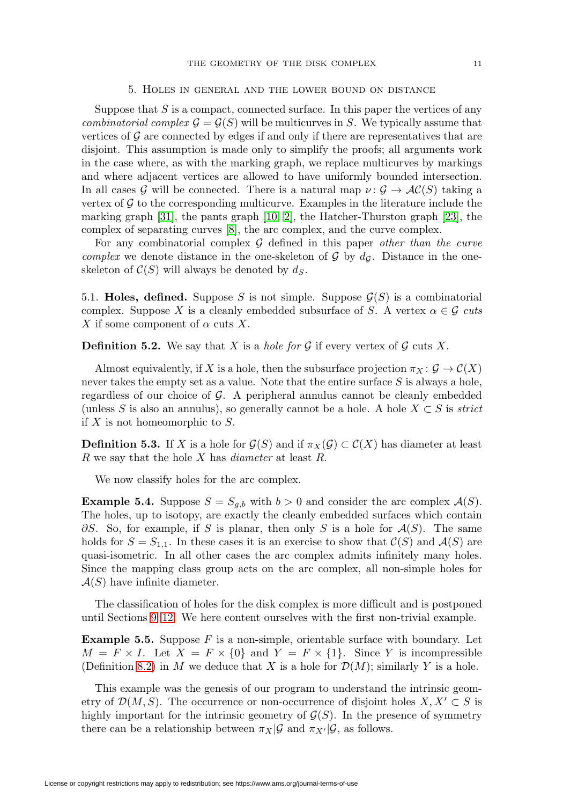## 5. Holes in general and the lower bound on distance

<span id="page-10-3"></span><span id="page-10-0"></span>Suppose that  $S$  is a compact, connected surface. In this paper the vertices of any combinatorial complex  $\mathcal{G} = \mathcal{G}(S)$  will be multicurves in S. We typically assume that vertices of  $\mathcal G$  are connected by edges if and only if there are representatives that are disjoint. This assumption is made only to simplify the proofs; all arguments work in the case where, as with the marking graph, we replace multicurves by markings and where adjacent vertices are allowed to have uniformly bounded intersection. In all cases G will be connected. There is a natural map  $\nu: \mathcal{G} \to \mathcal{AC}(S)$  taking a vertex of  $\mathcal G$  to the corresponding multicurve. Examples in the literature include the marking graph [\[31\]](#page-60-4), the pants graph [\[10,](#page-59-15) [2\]](#page-59-16), the Hatcher-Thurston graph [\[23\]](#page-60-11), the complex of separating curves [\[8\]](#page-59-17), the arc complex, and the curve complex.

For any combinatorial complex  $G$  defined in this paper other than the curve complex we denote distance in the one-skeleton of  $\mathcal G$  by  $d_{\mathcal G}$ . Distance in the oneskeleton of  $C(S)$  will always be denoted by  $d_S$ .

5.1. **Holes, defined.** Suppose S is not simple. Suppose  $\mathcal{G}(S)$  is a combinatorial complex. Suppose X is a cleanly embedded subsurface of S. A vertex  $\alpha \in \mathcal{G}$  cuts X if some component of  $\alpha$  cuts X.

**Definition 5.2.** We say that X is a *hole for G* if every vertex of  $\mathcal G$  cuts X.

Almost equivalently, if X is a hole, then the subsurface projection  $\pi_X : \mathcal{G} \to \mathcal{C}(X)$ never takes the empty set as a value. Note that the entire surface  $S$  is always a hole, regardless of our choice of G. A peripheral annulus cannot be cleanly embedded (unless S is also an annulus), so generally cannot be a hole. A hole  $X \subset S$  is strict if  $X$  is not homeomorphic to  $S$ .

**Definition 5.3.** If X is a hole for  $\mathcal{G}(S)$  and if  $\pi_X(\mathcal{G}) \subset \mathcal{C}(X)$  has diameter at least  $R$  we say that the hole  $X$  has *diameter* at least  $R$ .

We now classify holes for the arc complex.

<span id="page-10-2"></span>**Example 5.4.** Suppose  $S = S_{g,b}$  with  $b > 0$  and consider the arc complex  $\mathcal{A}(S)$ . The holes, up to isotopy, are exactly the cleanly embedded surfaces which contain  $\partial S$ . So, for example, if S is planar, then only S is a hole for  $\mathcal{A}(S)$ . The same holds for  $S = S_{1,1}$ . In these cases it is an exercise to show that  $\mathcal{C}(S)$  and  $\mathcal{A}(S)$  are quasi-isometric. In all other cases the arc complex admits infinitely many holes. Since the mapping class group acts on the arc complex, all non-simple holes for  $\mathcal{A}(S)$  have infinite diameter.

The classification of holes for the disk complex is more difficult and is postponed until Sections [9](#page-17-0)[–12.](#page-24-0) We here content ourselves with the first non-trivial example.

<span id="page-10-1"></span>**Example 5.5.** Suppose F is a non-simple, orientable surface with boundary. Let  $M = F \times I$ . Let  $X = F \times \{0\}$  and  $Y = F \times \{1\}$ . Since Y is incompressible (Definition [8.2\)](#page-14-0) in M we deduce that X is a hole for  $\mathcal{D}(M)$ ; similarly Y is a hole.

This example was the genesis of our program to understand the intrinsic geometry of  $\mathcal{D}(M,S)$ . The occurrence or non-occurrence of disjoint holes  $X, X' \subset S$  is highly important for the intrinsic geometry of  $\mathcal{G}(S)$ . In the presence of symmetry there can be a relationship between  $\pi_X|\mathcal{G}$  and  $\pi_{X'}|\mathcal{G}$ , as follows.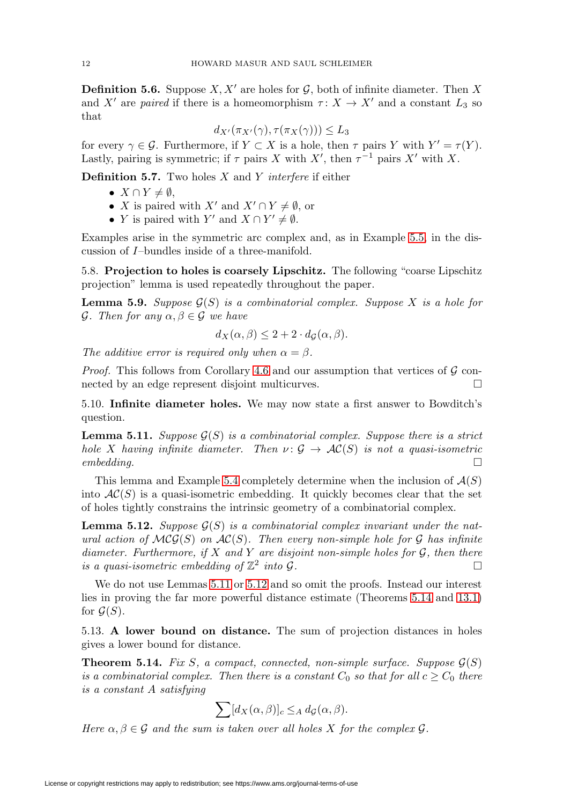<span id="page-11-4"></span>**Definition 5.6.** Suppose  $X, X'$  are holes for  $\mathcal{G}$ , both of infinite diameter. Then X and X' are paired if there is a homeomorphism  $\tau: X \to X'$  and a constant  $L_3$  so that

$$
d_{X'}(\pi_{X'}(\gamma), \tau(\pi_X(\gamma))) \le L_3
$$

for every  $\gamma \in \mathcal{G}$ . Furthermore, if  $Y \subset X$  is a hole, then  $\tau$  pairs Y with  $Y' = \tau(Y)$ . Lastly, pairing is symmetric; if  $\tau$  pairs X with X', then  $\tau^{-1}$  pairs X' with X.

**Definition 5.7.** Two holes X and Y interfere if either

- $X \cap Y \neq \emptyset$ ,
- X is paired with  $X'$  and  $X' \cap Y \neq \emptyset$ , or
- Y is paired with Y' and  $X \cap Y' \neq \emptyset$ .

Examples arise in the symmetric arc complex and, as in Example [5.5,](#page-10-1) in the discussion of I–bundles inside of a three-manifold.

5.8. **Projection to holes is coarsely Lipschitz.** The following "coarse Lipschitz projection" lemma is used repeatedly throughout the paper.

<span id="page-11-3"></span>**Lemma 5.9.** Suppose  $G(S)$  is a combinatorial complex. Suppose X is a hole for  $\mathcal G$ . Then for any  $\alpha, \beta \in \mathcal G$  we have

$$
d_X(\alpha, \beta) \le 2 + 2 \cdot d_{\mathcal{G}}(\alpha, \beta).
$$

The additive error is required only when  $\alpha = \beta$ .

*Proof.* This follows from Corollary [4.6](#page-8-2) and our assumption that vertices of  $\mathcal G$  connected by an edge represent disjoint multicurves.  $\Box$ 

5.10. **Infinite diameter holes.** We may now state a first answer to Bowditch's question.

<span id="page-11-0"></span>**Lemma 5.11.** Suppose  $\mathcal{G}(S)$  is a combinatorial complex. Suppose there is a strict hole X having infinite diameter. Then  $\nu: \mathcal{G} \to \mathcal{AC}(S)$  is not a quasi-isometric  $embedding.$ 

This lemma and Example [5.4](#page-10-2) completely determine when the inclusion of  $\mathcal{A}(S)$ into  $AC(S)$  is a quasi-isometric embedding. It quickly becomes clear that the set of holes tightly constrains the intrinsic geometry of a combinatorial complex.

<span id="page-11-1"></span>**Lemma 5.12.** Suppose  $G(S)$  is a combinatorial complex invariant under the natural action of  $MCG(S)$  on  $AC(S)$ . Then every non-simple hole for G has infinite diameter. Furthermore, if X and Y are disjoint non-simple holes for  $G$ , then there is a quasi-isometric embedding of  $\mathbb{Z}^2$  into G.

We do not use Lemmas [5.11](#page-11-0) or [5.12](#page-11-1) and so omit the proofs. Instead our interest lies in proving the far more powerful distance estimate (Theorems [5.14](#page-11-2) and [13.1\)](#page-29-1) for  $\mathcal{G}(S)$ .

5.13. **A lower bound on distance.** The sum of projection distances in holes gives a lower bound for distance.

<span id="page-11-2"></span>**Theorem 5.14.** Fix S, a compact, connected, non-simple surface. Suppose  $\mathcal{G}(S)$ is a combinatorial complex. Then there is a constant  $C_0$  so that for all  $c \geq C_0$  there is a constant A satisfying

$$
\sum [d_X(\alpha,\beta)]_c \leq_A d_{\mathcal{G}}(\alpha,\beta).
$$

Here  $\alpha, \beta \in \mathcal{G}$  and the sum is taken over all holes X for the complex  $\mathcal{G}$ .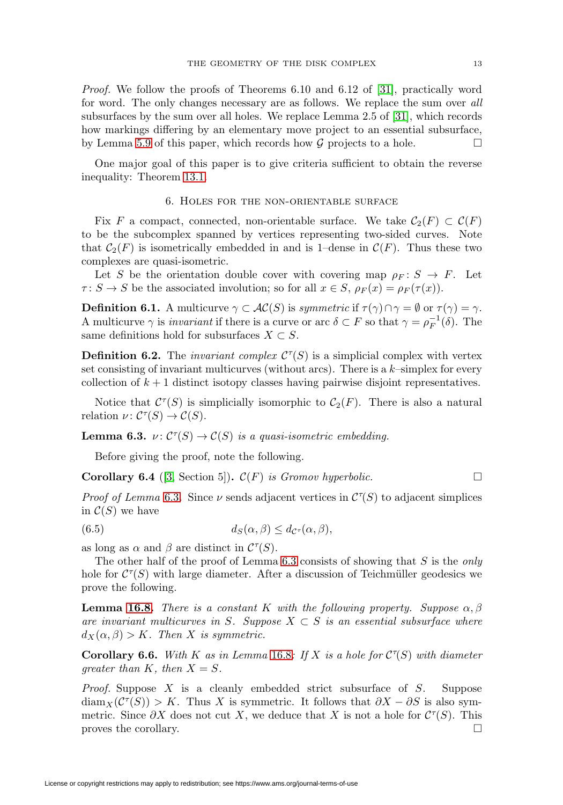<span id="page-12-4"></span>Proof. We follow the proofs of Theorems 6.10 and 6.12 of [\[31\]](#page-60-4), practically word for word. The only changes necessary are as follows. We replace the sum over all subsurfaces by the sum over all holes. We replace Lemma 2.5 of [\[31\]](#page-60-4), which records how markings differing by an elementary move project to an essential subsurface, by Lemma [5.9](#page-11-3) of this paper, which records how  $\mathcal G$  projects to a hole.  $\Box$ 

<span id="page-12-0"></span>One major goal of this paper is to give criteria sufficient to obtain the reverse inequality: Theorem [13.1.](#page-29-1)

### 6. Holes for the non-orientable surface

Fix F a compact, connected, non-orientable surface. We take  $C_2(F) \subset C(F)$ to be the subcomplex spanned by vertices representing two-sided curves. Note that  $C_2(F)$  is isometrically embedded in and is 1–dense in  $C(F)$ . Thus these two complexes are quasi-isometric.

Let S be the orientation double cover with covering map  $\rho_F : S \to F$ . Let  $\tau: S \to S$  be the associated involution; so for all  $x \in S$ ,  $\rho_F(x) = \rho_F(\tau(x))$ .

**Definition 6.1.** A multicurve  $\gamma \subset AC(S)$  is symmetric if  $\tau(\gamma) \cap \gamma = \emptyset$  or  $\tau(\gamma) = \gamma$ . A multicurve  $\gamma$  is *invariant* if there is a curve or arc  $\delta \subset F$  so that  $\gamma = \rho_F^{-1}(\delta)$ . The same definitions hold for subsurfaces  $X \subset S$ .

**Definition 6.2.** The *invariant complex*  $C^{\tau}(S)$  is a simplicial complex with vertex set consisting of invariant multicurves (without arcs). There is a  $k$ -simplex for every collection of  $k+1$  distinct isotopy classes having pairwise disjoint representatives.

Notice that  $\mathcal{C}^{\tau}(S)$  is simplicially isomorphic to  $\mathcal{C}_2(F)$ . There is also a natural relation  $\nu \colon C^{\tau}(S) \to C(S)$ .

<span id="page-12-2"></span>**Lemma 6.3.**  $\nu: \mathcal{C}^{\tau}(S) \to \mathcal{C}(S)$  is a quasi-isometric embedding.

Before giving the proof, note the following.

<span id="page-12-1"></span>**Corollary 6.4** ([\[3,](#page-59-5) Section 5]).  $\mathcal{C}(F)$  is Gromov hyperbolic.  $\Box$ 

Proof of Lemma [6.3](#page-12-2). Since  $\nu$  sends adjacent vertices in  $\mathcal{C}^{\tau}(S)$  to adjacent simplices in  $C(S)$  we have

<span id="page-12-3"></span>(6.5) 
$$
d_S(\alpha, \beta) \leq d_{\mathcal{C}^{\tau}}(\alpha, \beta),
$$

as long as  $\alpha$  and  $\beta$  are distinct in  $\mathcal{C}^{\tau}(S)$ .

The other half of the proof of Lemma [6.3](#page-12-2) consists of showing that  $S$  is the only hole for  $C^{\tau}(S)$  with large diameter. After a discussion of Teichmüller geodesics we prove the following.

**Lemma [16.8.](#page-45-0)** There is a constant K with the following property. Suppose  $\alpha, \beta$ are invariant multicurves in S. Suppose  $X \subset S$  is an essential subsurface where  $d_X(\alpha, \beta) > K$ . Then X is symmetric.

**Corollary 6.6.** With K as in Lemma [16.8](#page-45-0): If X is a hole for  $C^{\tau}(S)$  with diameter greater than K, then  $X = S$ .

Proof. Suppose X is a cleanly embedded strict subsurface of S. Suppose  $\text{diam}_X(\mathcal{C}^{\tau}(S)) > K$ . Thus X is symmetric. It follows that  $\partial X - \partial S$  is also symmetric. Since  $\partial X$  does not cut X, we deduce that X is not a hole for  $\mathcal{C}^{\tau}(S)$ . This proves the corollary.  $\Box$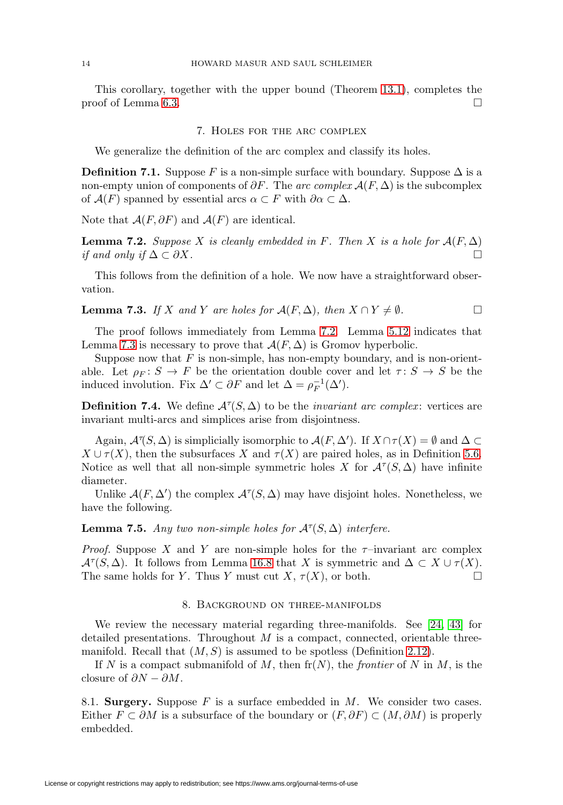<span id="page-13-5"></span><span id="page-13-0"></span>This corollary, together with the upper bound (Theorem [13.1\)](#page-29-1), completes the proof of Lemma [6.3.](#page-12-2)  $\Box$ 

#### 7. Holes for the arc complex

We generalize the definition of the arc complex and classify its holes.

**Definition 7.1.** Suppose F is a non-simple surface with boundary. Suppose  $\Delta$  is a non-empty union of components of  $\partial F$ . The arc complex  $\mathcal{A}(F,\Delta)$  is the subcomplex of  $\mathcal{A}(F)$  spanned by essential arcs  $\alpha \subset F$  with  $\partial \alpha \subset \Delta$ .

Note that  $\mathcal{A}(F, \partial F)$  and  $\mathcal{A}(F)$  are identical.

<span id="page-13-2"></span>**Lemma 7.2.** Suppose X is cleanly embedded in F. Then X is a hole for  $\mathcal{A}(F,\Delta)$ if and only if  $\Delta \subset \partial X$ .

This follows from the definition of a hole. We now have a straightforward observation.

<span id="page-13-3"></span>**Lemma 7.3.** If X and Y are holes for  $\mathcal{A}(F, \Delta)$ , then  $X \cap Y \neq \emptyset$ .

The proof follows immediately from Lemma [7.2.](#page-13-2) Lemma [5.12](#page-11-1) indicates that Lemma [7.3](#page-13-3) is necessary to prove that  $\mathcal{A}(F,\Delta)$  is Gromov hyperbolic.

Suppose now that  $F$  is non-simple, has non-empty boundary, and is non-orientable. Let  $\rho_F : S \to F$  be the orientation double cover and let  $\tau : S \to S$  be the induced involution. Fix  $\Delta' \subset \partial F$  and let  $\Delta = \rho_F^{-1}(\Delta').$ 

**Definition 7.4.** We define  $\mathcal{A}^{\tau}(S, \Delta)$  to be the *invariant arc complex*: vertices are invariant multi-arcs and simplices arise from disjointness.

Again,  $\mathcal{A}^{\tau}(S,\Delta)$  is simplicially isomorphic to  $\mathcal{A}(F,\Delta')$ . If  $X \cap \tau(X) = \emptyset$  and  $\Delta \subset$  $X \cup \tau(X)$ , then the subsurfaces X and  $\tau(X)$  are paired holes, as in Definition [5.6.](#page-11-4) Notice as well that all non-simple symmetric holes X for  $\mathcal{A}^{\tau}(S,\Delta)$  have infinite diameter.

Unlike  $\mathcal{A}(F, \Delta')$  the complex  $\mathcal{A}^{\tau}(S, \Delta)$  may have disjoint holes. Nonetheless, we have the following.

<span id="page-13-4"></span>**Lemma 7.5.** Any two non-simple holes for  $\mathcal{A}^{\tau}(S, \Delta)$  interfere.

*Proof.* Suppose X and Y are non-simple holes for the  $\tau$ -invariant arc complex  $\mathcal{A}^{\tau}(S, \Delta)$ . It follows from Lemma [16.8](#page-45-0) that X is symmetric and  $\Delta \subset X \cup \tau(X)$ . The same holds for Y. Thus Y must cut  $X, \tau(X)$ , or both.  $\Box$ 

### 8. Background on three-manifolds

<span id="page-13-1"></span>We review the necessary material regarding three-manifolds. See [\[24,](#page-60-12) [43\]](#page-61-6) for detailed presentations. Throughout  $M$  is a compact, connected, orientable threemanifold. Recall that  $(M, S)$  is assumed to be spotless (Definition [2.12\)](#page-5-1).

If N is a compact submanifold of M, then  $\operatorname{fr}(N)$ , the *frontier* of N in M, is the closure of  $\partial N - \partial M$ .

8.1. **Surgery.** Suppose  $F$  is a surface embedded in  $M$ . We consider two cases. Either  $F \subset \partial M$  is a subsurface of the boundary or  $(F, \partial F) \subset (M, \partial M)$  is properly embedded.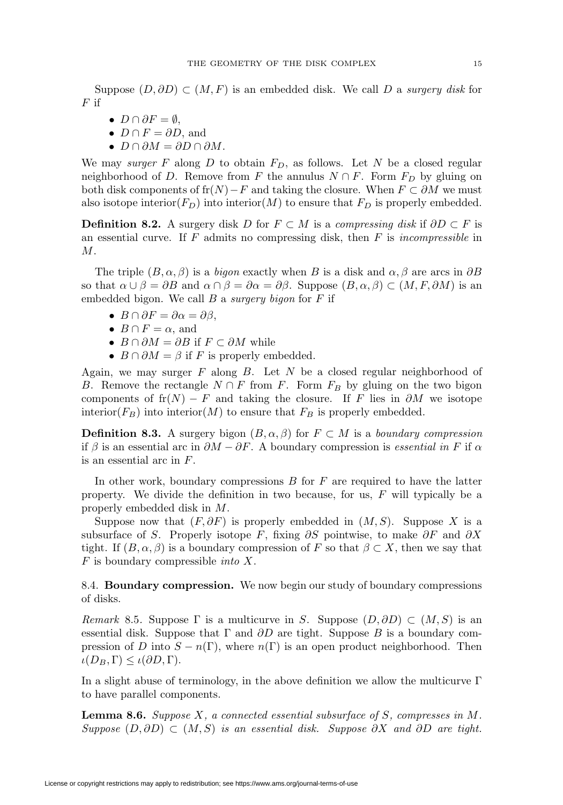Suppose  $(D, \partial D) \subset (M, F)$  is an embedded disk. We call D a surgery disk for  $F$  if

- $D \cap \partial F = \emptyset$ ,
- $D \cap F = \partial D$ , and
- $D \cap \partial M = \partial D \cap \partial M$ .

We may surger F along D to obtain  $F_D$ , as follows. Let N be a closed regular neighborhood of D. Remove from F the annulus  $N \cap F$ . Form  $F_D$  by gluing on both disk components of fr $(N)$ −F and taking the closure. When  $F \subset \partial M$  we must also isotope interior( $F_D$ ) into interior(M) to ensure that  $F_D$  is properly embedded.

<span id="page-14-0"></span>**Definition 8.2.** A surgery disk D for  $F \subset M$  is a *compressing disk* if  $\partial D \subset F$  is an essential curve. If  $F$  admits no compressing disk, then  $F$  is *incompressible* in M.

The triple  $(B, \alpha, \beta)$  is a bigon exactly when B is a disk and  $\alpha, \beta$  are arcs in  $\partial B$ so that  $\alpha \cup \beta = \partial B$  and  $\alpha \cap \beta = \partial \alpha = \partial \beta$ . Suppose  $(B, \alpha, \beta) \subset (M, F, \partial M)$  is an embedded bigon. We call  $B$  a surgery bigon for  $F$  if

- $B \cap \partial F = \partial \alpha = \partial \beta$ ,
- $B \cap F = \alpha$ , and
- $B \cap \partial M = \partial B$  if  $F \subset \partial M$  while
- $B \cap \partial M = \beta$  if F is properly embedded.

Again, we may surger  $F$  along  $B$ . Let  $N$  be a closed regular neighborhood of B. Remove the rectangle  $N \cap F$  from F. Form  $F_B$  by gluing on the two bigon components of  $\operatorname{fr}(N) - F$  and taking the closure. If F lies in  $\partial M$  we isotope interior( $F_B$ ) into interior(M) to ensure that  $F_B$  is properly embedded.

**Definition 8.3.** A surgery bigon  $(B, \alpha, \beta)$  for  $F \subset M$  is a boundary compression if  $\beta$  is an essential arc in  $\partial M - \partial F$ . A boundary compression is *essential in* F if  $\alpha$ is an essential arc in F.

In other work, boundary compressions  $B$  for  $F$  are required to have the latter property. We divide the definition in two because, for us, F will typically be a properly embedded disk in M.

Suppose now that  $(F, \partial F)$  is properly embedded in  $(M, S)$ . Suppose X is a subsurface of S. Properly isotope F, fixing  $\partial S$  pointwise, to make  $\partial F$  and  $\partial X$ tight. If  $(B, \alpha, \beta)$  is a boundary compression of F so that  $\beta \subset X$ , then we say that  $F$  is boundary compressible *into*  $X$ .

8.4. **Boundary compression.** We now begin our study of boundary compressions of disks.

<span id="page-14-1"></span>Remark 8.5. Suppose  $\Gamma$  is a multicurve in S. Suppose  $(D, \partial D) \subset (M, S)$  is an essential disk. Suppose that  $\Gamma$  and  $\partial D$  are tight. Suppose B is a boundary compression of D into  $S - n(\Gamma)$ , where  $n(\Gamma)$  is an open product neighborhood. Then  $\iota(D_B, \Gamma) \leq \iota(\partial D, \Gamma).$ 

In a slight abuse of terminology, in the above definition we allow the multicurve  $\Gamma$ to have parallel components.

<span id="page-14-2"></span>**Lemma 8.6.** Suppose X, a connected essential subsurface of S, compresses in M. Suppose  $(D, \partial D) \subset (M, S)$  is an essential disk. Suppose  $\partial X$  and  $\partial D$  are tight.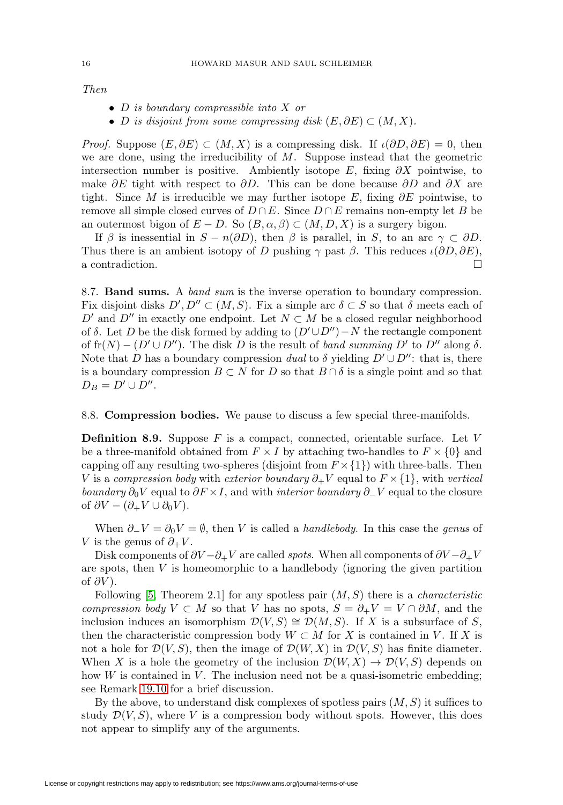Then

- D is boundary compressible into X or
- D is disjoint from some compressing disk  $(E, \partial E) \subset (M, X)$ .

*Proof.* Suppose  $(E, \partial E) \subset (M, X)$  is a compressing disk. If  $\iota(\partial D, \partial E) = 0$ , then we are done, using the irreducibility of  $M$ . Suppose instead that the geometric intersection number is positive. Ambiently isotope E, fixing  $\partial X$  pointwise, to make  $\partial E$  tight with respect to  $\partial D$ . This can be done because  $\partial D$  and  $\partial X$  are tight. Since M is irreducible we may further isotope E, fixing  $\partial E$  pointwise, to remove all simple closed curves of  $D \cap E$ . Since  $D \cap E$  remains non-empty let B be an outermost bigon of  $E - D$ . So  $(B, \alpha, \beta) \subset (M, D, X)$  is a surgery bigon.

If  $\beta$  is inessential in  $S - n(\partial D)$ , then  $\beta$  is parallel, in S, to an arc  $\gamma \subset \partial D$ . Thus there is an ambient isotopy of D pushing  $\gamma$  past  $\beta$ . This reduces  $\iota(\partial D, \partial E)$ , a contradiction.

8.7. **Band sums.** A band sum is the inverse operation to boundary compression. Fix disjoint disks  $D', D'' \subset (M, S)$ . Fix a simple arc  $\delta \subset S$  so that  $\delta$  meets each of D' and D'' in exactly one endpoint. Let  $N \subset M$  be a closed regular neighborhood of  $\delta$ . Let D be the disk formed by adding to  $(D' \cup D'') - N$  the rectangle component of  $\operatorname{fr}(N) - (D' \cup D'')$ . The disk D is the result of *band summing* D' to D'' along  $\delta$ . Note that D has a boundary compression dual to  $\delta$  yielding  $D' \cup D''$ : that is, there is a boundary compression  $B \subset N$  for D so that  $B \cap \delta$  is a single point and so that  $D_B = D' \cup D''$ .

### 8.8. **Compression bodies.** We pause to discuss a few special three-manifolds.

**Definition 8.9.** Suppose F is a compact, connected, orientable surface. Let V be a three-manifold obtained from  $F \times I$  by attaching two-handles to  $F \times \{0\}$  and capping off any resulting two-spheres (disjoint from  $F \times \{1\}$ ) with three-balls. Then V is a compression body with exterior boundary  $\partial_+ V$  equal to  $F \times \{1\}$ , with vertical boundary  $\partial_0 V$  equal to  $\partial F \times I$ , and with *interior boundary*  $\partial_- V$  equal to the closure of  $\partial V - (\partial_+ V \cup \partial_0 V)$ .

When  $\partial$ −V =  $\partial$ <sub>0</sub>V =  $\emptyset$ , then V is called a *handlebody*. In this case the *genus* of V is the genus of  $\partial_+ V$ .

Disk components of  $\partial V - \partial_+ V$  are called spots. When all components of  $\partial V - \partial_+ V$ are spots, then  $V$  is homeomorphic to a handlebody (ignoring the given partition of  $\partial V$ ).

Following [\[5,](#page-59-18) Theorem 2.1] for any spotless pair  $(M, S)$  there is a *characteristic* compression body  $V \subset M$  so that V has no spots,  $S = \partial_+ V = V \cap \partial M$ , and the inclusion induces an isomorphism  $\mathcal{D}(V, S) \cong \mathcal{D}(M, S)$ . If X is a subsurface of S, then the characteristic compression body  $W \subset M$  for X is contained in V. If X is not a hole for  $\mathcal{D}(V, S)$ , then the image of  $\mathcal{D}(W, X)$  in  $\mathcal{D}(V, S)$  has finite diameter. When X is a hole the geometry of the inclusion  $\mathcal{D}(W, X) \to \mathcal{D}(V, S)$  depends on how  $W$  is contained in  $V$ . The inclusion need not be a quasi-isometric embedding; see Remark [19.10](#page-52-4) for a brief discussion.

By the above, to understand disk complexes of spotless pairs  $(M, S)$  it suffices to study  $\mathcal{D}(V, S)$ , where V is a compression body without spots. However, this does not appear to simplify any of the arguments.

<span id="page-15-0"></span>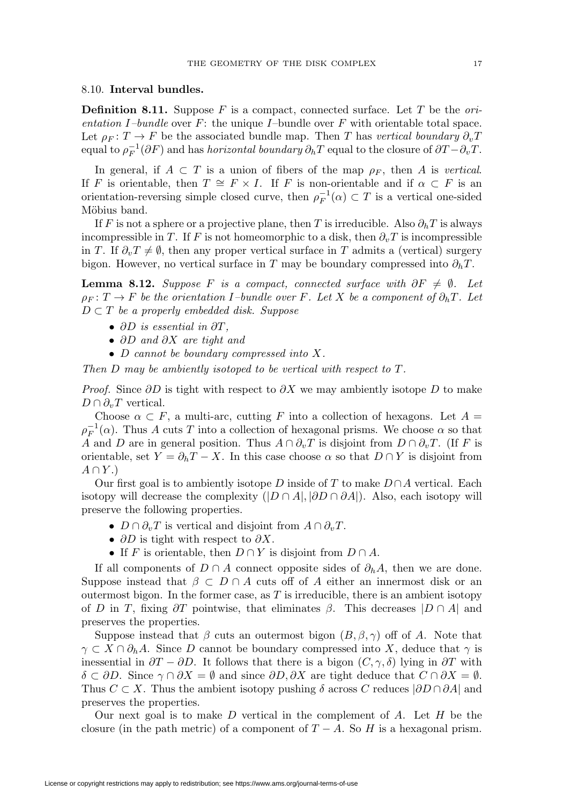## 8.10. **Interval bundles.**

**Definition 8.11.** Suppose  $F$  is a compact, connected surface. Let  $T$  be the orientation I–bundle over  $F$ : the unique I–bundle over  $F$  with orientable total space. Let  $\rho_F : T \to F$  be the associated bundle map. Then T has vertical boundary  $\partial_{\nu}T$ equal to  $\rho_F^{-1}(\partial F)$  and has *horizontal boundary*  $\partial_h T$  equal to the closure of  $\partial T - \partial_v T$ .

In general, if  $A \subset T$  is a union of fibers of the map  $\rho_F$ , then A is vertical. If F is orientable, then  $T \cong F \times I$ . If F is non-orientable and if  $\alpha \subset F$  is an orientation-reversing simple closed curve, then  $\rho_F^{-1}(\alpha) \subset T$  is a vertical one-sided Möbius band.

If F is not a sphere or a projective plane, then T is irreducible. Also  $\partial_h T$  is always incompressible in T. If F is not homeomorphic to a disk, then  $\partial_{\nu}T$  is incompressible in T. If  $\partial_v T \neq \emptyset$ , then any proper vertical surface in T admits a (vertical) surgery bigon. However, no vertical surface in T may be boundary compressed into  $\partial_h T$ .

<span id="page-16-0"></span>**Lemma 8.12.** Suppose F is a compact, connected surface with  $\partial F \neq \emptyset$ . Let  $\rho_F: T \to F$  be the orientation I–bundle over F. Let X be a component of  $\partial_h T$ . Let  $D \subset T$  be a properly embedded disk. Suppose

- $\partial D$  is essential in  $\partial T$ ,
- ∂D and ∂X are tight and
- D cannot be boundary compressed into X.

Then D may be ambiently isotoped to be vertical with respect to T.

*Proof.* Since  $\partial D$  is tight with respect to  $\partial X$  we may ambiently isotope D to make  $D \cap \partial_v T$  vertical.

Choose  $\alpha \subset F$ , a multi-arc, cutting F into a collection of hexagons. Let  $A =$  $\rho_F^{-1}(\alpha)$ . Thus A cuts T into a collection of hexagonal prisms. We choose  $\alpha$  so that A and D are in general position. Thus  $A \cap \partial_v T$  is disjoint from  $D \cap \partial_v T$ . (If F is orientable, set  $Y = \partial_h T - X$ . In this case choose  $\alpha$  so that  $D \cap Y$  is disjoint from  $A \cap Y.$ 

Our first goal is to ambiently isotope D inside of T to make  $D \cap A$  vertical. Each isotopy will decrease the complexity  $(|D \cap A|, |\partial D \cap \partial A|)$ . Also, each isotopy will preserve the following properties.

- $D \cap \partial_{v} T$  is vertical and disjoint from  $A \cap \partial_{v} T$ .
- ∂D is tight with respect to  $\partial X$ .
- If F is orientable, then  $D \cap Y$  is disjoint from  $D \cap A$ .

If all components of  $D \cap A$  connect opposite sides of  $\partial_h A$ , then we are done. Suppose instead that  $\beta \subset D \cap A$  cuts off of A either an innermost disk or an outermost bigon. In the former case, as  $T$  is irreducible, there is an ambient isotopy of D in T, fixing  $\partial T$  pointwise, that eliminates  $\beta$ . This decreases  $|D \cap A|$  and preserves the properties.

Suppose instead that  $\beta$  cuts an outermost bigon  $(B, \beta, \gamma)$  off of A. Note that  $\gamma \subset X \cap \partial_h A$ . Since D cannot be boundary compressed into X, deduce that  $\gamma$  is inessential in  $\partial T - \partial D$ . It follows that there is a bigon  $(C, \gamma, \delta)$  lying in  $\partial T$  with  $\delta \subset \partial D$ . Since  $\gamma \cap \partial X = \emptyset$  and since  $\partial D, \partial X$  are tight deduce that  $C \cap \partial X = \emptyset$ . Thus  $C \subset X$ . Thus the ambient isotopy pushing  $\delta$  across C reduces  $|\partial D \cap \partial A|$  and preserves the properties.

Our next goal is to make  $D$  vertical in the complement of  $A$ . Let  $H$  be the closure (in the path metric) of a component of  $T - A$ . So H is a hexagonal prism.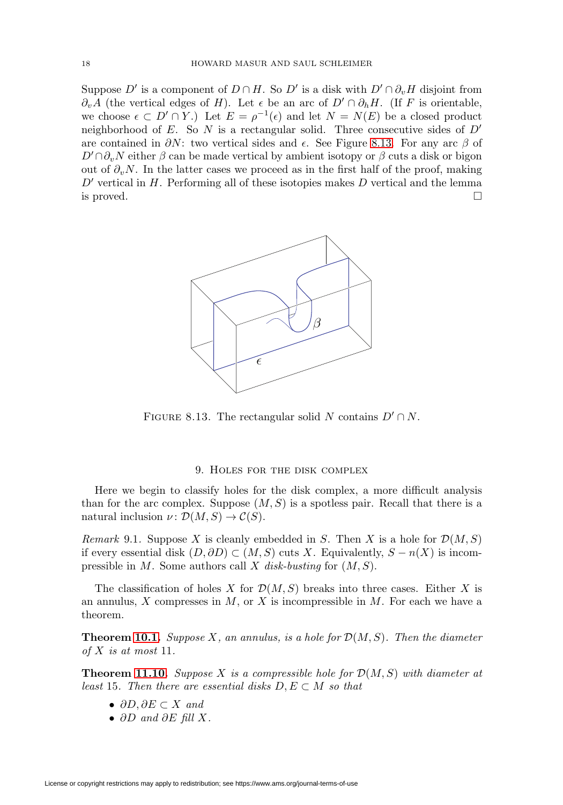Suppose D' is a component of  $D \cap H$ . So D' is a disk with  $D' \cap \partial_{\nu}H$  disjoint from  $\partial_n A$  (the vertical edges of H). Let  $\epsilon$  be an arc of  $D' \cap \partial_h H$ . (If F is orientable, we choose  $\epsilon \subset D' \cap Y$ .) Let  $E = \rho^{-1}(\epsilon)$  and let  $N = N(E)$  be a closed product neighborhood of E. So N is a rectangular solid. Three consecutive sides of  $D'$ are contained in  $\partial N$ : two vertical sides and  $\epsilon$ . See Figure [8.13.](#page-17-1) For any arc  $\beta$  of  $D' \cap \partial_v N$  either  $\beta$  can be made vertical by ambient isotopy or  $\beta$  cuts a disk or bigon out of  $\partial_{v}N$ . In the latter cases we proceed as in the first half of the proof, making  $D'$  vertical in  $H$ . Performing all of these isotopies makes  $D$  vertical and the lemma is proved.  $\Box$ 



FIGURE 8.13. The rectangular solid N contains  $D' \cap N$ .

#### <span id="page-17-1"></span>9. Holes for the disk complex

<span id="page-17-0"></span>Here we begin to classify holes for the disk complex, a more difficult analysis than for the arc complex. Suppose  $(M, S)$  is a spotless pair. Recall that there is a natural inclusion  $\nu \colon \mathcal{D}(M,S) \to \mathcal{C}(S)$ .

<span id="page-17-2"></span>Remark 9.1. Suppose X is cleanly embedded in S. Then X is a hole for  $\mathcal{D}(M,S)$ if every essential disk  $(D, \partial D) \subset (M, S)$  cuts X. Equivalently,  $S - n(X)$  is incompressible in  $M$ . Some authors call  $X$  disk-busting for  $(M, S)$ .

The classification of holes X for  $\mathcal{D}(M, S)$  breaks into three cases. Either X is an annulus,  $X$  compresses in  $M$ , or  $X$  is incompressible in  $M$ . For each we have a theorem.

**Theorem [10.1.](#page-18-1)** Suppose X, an annulus, is a hole for  $\mathcal{D}(M, S)$ . Then the diameter of  $X$  is at most 11.

**Theorem [11.10.](#page-23-0)** Suppose X is a compressible hole for  $\mathcal{D}(M, S)$  with diameter at least 15. Then there are essential disks  $D, E \subset M$  so that

- $\partial D, \partial E \subset X$  and
- $\partial D$  and  $\partial E$  fill X.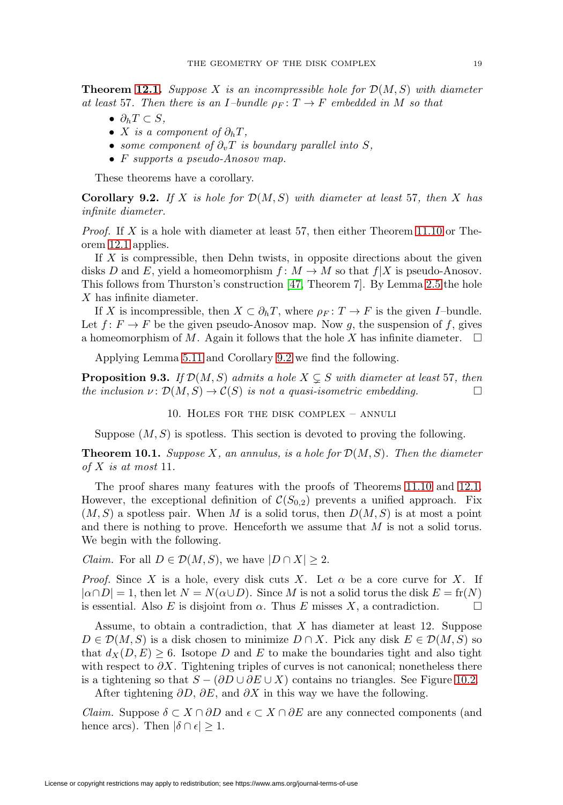<span id="page-18-3"></span>**Theorem [12.1.](#page-24-1)** Suppose X is an incompressible hole for  $\mathcal{D}(M, S)$  with diameter at least 57. Then there is an I-bundle  $\rho_F : T \to F$  embedded in M so that

- $\bullet$   $\partial_h T \subset S$ ,
- X is a component of  $\partial_h T$ ,
- some component of  $\partial_v T$  is boundary parallel into S,
- F supports a pseudo-Anosov map.

These theorems have a corollary.

<span id="page-18-2"></span>**Corollary 9.2.** If X is hole for  $\mathcal{D}(M, S)$  with diameter at least 57, then X has infinite diameter.

*Proof.* If  $X$  is a hole with diameter at least 57, then either Theorem [11.10](#page-23-0) or Theorem [12.1](#page-24-1) applies.

If X is compressible, then Dehn twists, in opposite directions about the given disks D and E, yield a homeomorphism  $f: M \to M$  so that  $f|X$  is pseudo-Anosov. This follows from Thurston's construction [\[47,](#page-61-5) Theorem 7]. By Lemma [2.5](#page-3-1) the hole X has infinite diameter.

If X is incompressible, then  $X \subset \partial_h T$ , where  $\rho_F : T \to F$  is the given I–bundle. Let  $f: F \to F$  be the given pseudo-Anosov map. Now q, the suspension of f, gives a homeomorphism of M. Again it follows that the hole X has infinite diameter.  $\Box$ 

Applying Lemma [5.11](#page-11-0) and Corollary [9.2](#page-18-2) we find the following.

<span id="page-18-0"></span>**Proposition 9.3.** If  $\mathcal{D}(M, S)$  admits a hole  $X \subsetneq S$  with diameter at least 57, then the inclusion  $\nu: \mathcal{D}(M, S) \to \mathcal{C}(S)$  is not a quasi-isometric embedding.  $\Box$ 

10. Holes for the disk complex – annuli

Suppose  $(M, S)$  is spotless. This section is devoted to proving the following.

<span id="page-18-1"></span>**Theorem 10.1.** Suppose X, an annulus, is a hole for  $\mathcal{D}(M, S)$ . Then the diameter of  $X$  is at most 11.

The proof shares many features with the proofs of Theorems [11.10](#page-23-0) and [12.1.](#page-24-1) However, the exceptional definition of  $\mathcal{C}(S_{0,2})$  prevents a unified approach. Fix  $(M, S)$  a spotless pair. When M is a solid torus, then  $D(M, S)$  is at most a point and there is nothing to prove. Henceforth we assume that M is not a solid torus. We begin with the following.

*Claim.* For all  $D \in \mathcal{D}(M, S)$ , we have  $|D \cap X| \geq 2$ .

*Proof.* Since X is a hole, every disk cuts X. Let  $\alpha$  be a core curve for X. If  $|\alpha \cap D| = 1$ , then let  $N = N(\alpha \cup D)$ . Since M is not a solid torus the disk  $E = \text{fr}(N)$ is essential. Also E is disjoint from  $\alpha$ . Thus E misses X, a contradiction.  $\Box$ 

Assume, to obtain a contradiction, that  $X$  has diameter at least 12. Suppose  $D \in \mathcal{D}(M, S)$  is a disk chosen to minimize  $D \cap X$ . Pick any disk  $E \in \mathcal{D}(M, S)$  so that  $d_X(D, E) \geq 6$ . Isotope D and E to make the boundaries tight and also tight with respect to  $\partial X$ . Tightening triples of curves is not canonical; nonetheless there is a tightening so that  $S - (\partial D \cup \partial E \cup X)$  contains no triangles. See Figure [10.2.](#page-19-0)

After tightening  $\partial D$ ,  $\partial E$ , and  $\partial X$  in this way we have the following.

*Claim.* Suppose  $\delta \subset X \cap \partial D$  and  $\epsilon \subset X \cap \partial E$  are any connected components (and hence arcs). Then  $|\delta \cap \epsilon| \geq 1$ .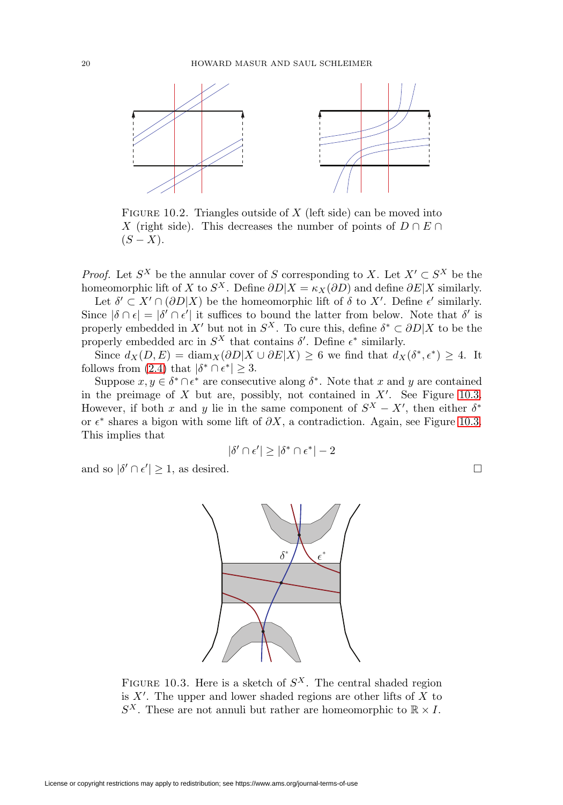

<span id="page-19-0"></span>FIGURE 10.2. Triangles outside of  $X$  (left side) can be moved into X (right side). This decreases the number of points of  $D \cap E \cap$  $(S - X)$ .

*Proof.* Let  $S^X$  be the annular cover of S corresponding to X. Let  $X' \subset S^X$  be the homeomorphic lift of X to  $S^X$ . Define  $\partial D|X = \kappa_X(\partial D)$  and define  $\partial E|X$  similarly.

Let  $\delta' \subset X' \cap (\partial D|X)$  be the homeomorphic lift of  $\delta$  to  $X'$ . Define  $\epsilon'$  similarly. Since  $|\delta \cap \epsilon| = |\delta' \cap \epsilon'|$  it suffices to bound the latter from below. Note that  $\delta'$  is properly embedded in X' but not in  $S^X$ . To cure this, define  $\delta^* \subset \partial D|X$  to be the properly embedded arc in  $S^X$  that contains  $\delta'$ . Define  $\epsilon^*$  similarly.

Since  $d_X(D, E) = \text{diam}_X(\partial D | X \cup \partial E | X) \geq 6$  we find that  $d_X(\delta^*, \epsilon^*) \geq 4$ . It follows from [\(2.4\)](#page-3-2) that  $|\delta^* \cap \epsilon^*| \geq 3$ .

Suppose  $x, y \in \delta^* \cap \epsilon^*$  are consecutive along  $\delta^*$ . Note that x and y are contained in the preimage of  $X$  but are, possibly, not contained in  $X'$ . See Figure [10.3.](#page-19-1) However, if both x and y lie in the same component of  $S^X - X'$ , then either  $\delta^*$ or  $\epsilon^*$  shares a bigon with some lift of  $\partial X$ , a contradiction. Again, see Figure [10.3.](#page-19-1) This implies that

$$
|\delta' \cap \epsilon'| \ge |\delta^* \cap \epsilon^*| - 2
$$

 $\Box$ 

and so  $|\delta' \cap \epsilon'| \geq 1$ , as desired.



<span id="page-19-1"></span>FIGURE 10.3. Here is a sketch of  $S^X$ . The central shaded region is  $X'$ . The upper and lower shaded regions are other lifts of  $X$  to  $S^X$ . These are not annuli but rather are homeomorphic to  $\mathbb{R} \times I$ .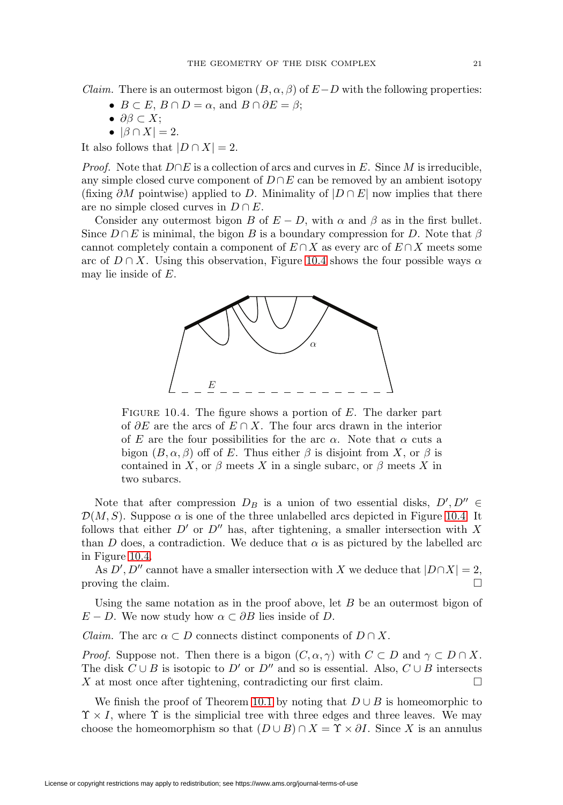*Claim.* There is an outermost bigon  $(B, \alpha, \beta)$  of  $E-D$  with the following properties:

- $B \subset E$ ,  $B \cap D = \alpha$ , and  $B \cap \partial E = \beta$ ;
- $\bullet$  ∂β ⊂ X;
- $|\beta \cap X| = 2$ .

It also follows that  $|D \cap X| = 2$ .

*Proof.* Note that  $D \cap E$  is a collection of arcs and curves in E. Since M is irreducible, any simple closed curve component of  $D \cap E$  can be removed by an ambient isotopy (fixing  $\partial M$  pointwise) applied to D. Minimality of  $|D \cap E|$  now implies that there are no simple closed curves in  $D \cap E$ .

Consider any outermost bigon B of  $E - D$ , with  $\alpha$  and  $\beta$  as in the first bullet. Since  $D \cap E$  is minimal, the bigon B is a boundary compression for D. Note that  $\beta$ cannot completely contain a component of  $E \cap X$  as every arc of  $E \cap X$  meets some arc of  $D \cap X$ . Using this observation, Figure [10.4](#page-20-0) shows the four possible ways  $\alpha$ may lie inside of E.



<span id="page-20-0"></span>FIGURE 10.4. The figure shows a portion of  $E$ . The darker part of  $\partial E$  are the arcs of  $E \cap X$ . The four arcs drawn in the interior of E are the four possibilities for the arc  $\alpha$ . Note that  $\alpha$  cuts a bigon  $(B, \alpha, \beta)$  off of E. Thus either  $\beta$  is disjoint from X, or  $\beta$  is contained in X, or  $\beta$  meets X in a single subarc, or  $\beta$  meets X in two subarcs.

Note that after compression  $D_B$  is a union of two essential disks,  $D', D'' \in$  $\mathcal{D}(M,S)$ . Suppose  $\alpha$  is one of the three unlabelled arcs depicted in Figure [10.4.](#page-20-0) It follows that either  $D'$  or  $D''$  has, after tightening, a smaller intersection with X than D does, a contradiction. We deduce that  $\alpha$  is as pictured by the labelled arc in Figure [10.4.](#page-20-0)

As D', D" cannot have a smaller intersection with X we deduce that  $|D \cap X| = 2$ , proving the claim.  $\Box$ 

Using the same notation as in the proof above, let  $B$  be an outermost bigon of  $E - D$ . We now study how  $\alpha \subset \partial B$  lies inside of D.

*Claim.* The arc  $\alpha \subset D$  connects distinct components of  $D \cap X$ .

*Proof.* Suppose not. Then there is a bigon  $(C, \alpha, \gamma)$  with  $C \subset D$  and  $\gamma \subset D \cap X$ . The disk  $C \cup B$  is isotopic to D' or D'' and so is essential. Also,  $C \cup B$  intersects  $X$  at most once after tightening, contradicting our first claim.  $\Box$ 

We finish the proof of Theorem [10.1](#page-18-1) by noting that  $D \cup B$  is homeomorphic to  $\Upsilon \times I$ , where  $\Upsilon$  is the simplicial tree with three edges and three leaves. We may choose the homeomorphism so that  $(D \cup B) \cap X = \Upsilon \times \partial I$ . Since X is an annulus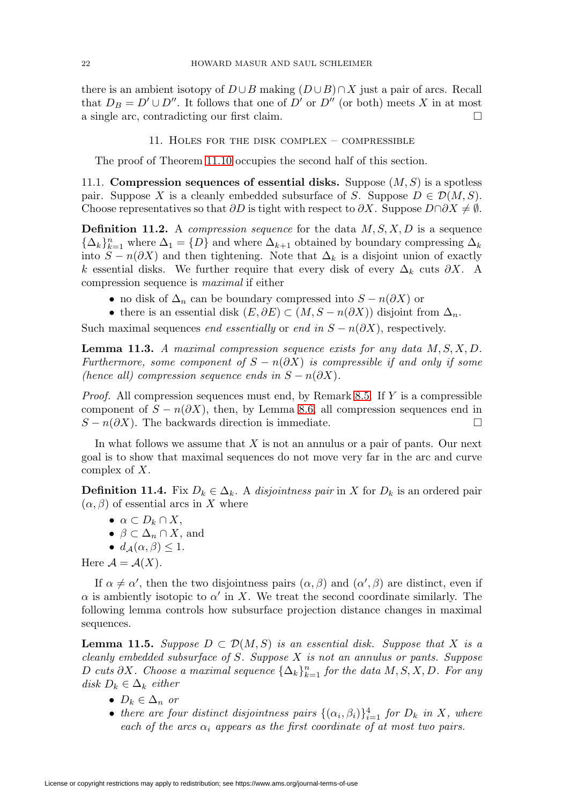there is an ambient isotopy of  $D \cup B$  making  $(D \cup B) \cap X$  just a pair of arcs. Recall that  $D_B = D' \cup D''$ . It follows that one of D' or D" (or both) meets X in at most a single arc, contradicting our first claim.  $\Box$ 

### 11. Holes for the disk complex – compressible

<span id="page-21-0"></span>The proof of Theorem [11.10](#page-23-0) occupies the second half of this section.

<span id="page-21-3"></span>11.1. **Compression sequences of essential disks.** Suppose  $(M, S)$  is a spotless pair. Suppose X is a cleanly embedded subsurface of S. Suppose  $D \in \mathcal{D}(M, S)$ . Choose representatives so that  $\partial D$  is tight with respect to  $\partial X$ . Suppose  $D \cap \partial X \neq \emptyset$ .

**Definition 11.2.** A *compression sequence* for the data  $M, S, X, D$  is a sequence  ${\{\Delta_k\}}_{k=1}^n$  where  $\Delta_1 = \{D\}$  and where  $\Delta_{k+1}$  obtained by boundary compressing  $\Delta_k$ into  $S - n(\partial X)$  and then tightening. Note that  $\Delta_k$  is a disjoint union of exactly k essential disks. We further require that every disk of every  $\Delta_k$  cuts  $\partial X$ . A compression sequence is maximal if either

- no disk of  $\Delta_n$  can be boundary compressed into  $S n(\partial X)$  or
- there is an essential disk  $(E, \partial E) \subset (M, S n(\partial X))$  disjoint from  $\Delta_n$ .

Such maximal sequences *end essentially* or *end in*  $S - n(\partial X)$ , respectively.

<span id="page-21-2"></span>**Lemma 11.3.** A maximal compression sequence exists for any data  $M, S, X, D$ . Furthermore, some component of  $S - n(\partial X)$  is compressible if and only if some (hence all) compression sequence ends in  $S - n(\partial X)$ .

*Proof.* All compression sequences must end, by Remark [8.5.](#page-14-1) If  $Y$  is a compressible component of  $S - n(\partial X)$ , then, by Lemma [8.6,](#page-14-2) all compression sequences end in  $S - n(\partial X)$ . The backwards direction is immediate.  $\Box$ 

In what follows we assume that  $X$  is not an annulus or a pair of pants. Our next goal is to show that maximal sequences do not move very far in the arc and curve complex of X.

**Definition 11.4.** Fix  $D_k \in \Delta_k$ . A disjointness pair in X for  $D_k$  is an ordered pair  $(\alpha, \beta)$  of essential arcs in X where

- $\alpha \subset D_k \cap X$ ,
- $\beta \subset \Delta_n \cap X$ , and
- $\bullet$  d<sub>4</sub>( $\alpha$ ,  $\beta$ ) < 1.

Here  $\mathcal{A} = \mathcal{A}(X)$ .

If  $\alpha \neq \alpha'$ , then the two disjointness pairs  $(\alpha, \beta)$  and  $(\alpha', \beta)$  are distinct, even if  $\alpha$  is ambiently isotopic to  $\alpha'$  in X. We treat the second coordinate similarly. The following lemma controls how subsurface projection distance changes in maximal sequences.

<span id="page-21-1"></span>**Lemma 11.5.** Suppose  $D \subset \mathcal{D}(M, S)$  is an essential disk. Suppose that X is a cleanly embedded subsurface of S. Suppose  $X$  is not an annulus or pants. Suppose D cuts  $\partial X$ . Choose a maximal sequence  $\{\Delta_k\}_{k=1}^n$  for the data  $M, S, X, D$ . For any disk  $D_k \in \Delta_k$  either

- $D_k \in \Delta_n$  or
- there are four distinct disjointness pairs  $\{(\alpha_i, \beta_i)\}_{i=1}^4$  for  $D_k$  in X, where each of the arcs  $\alpha_i$  appears as the first coordinate of at most two pairs.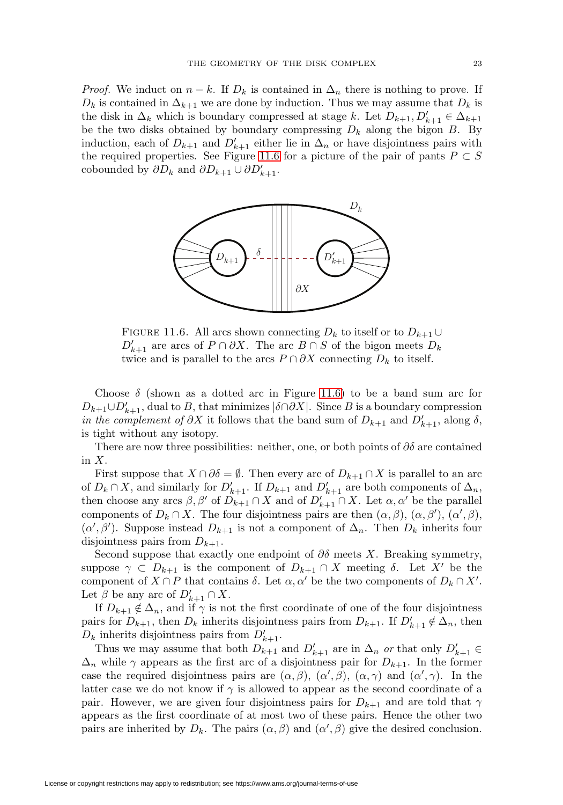*Proof.* We induct on  $n - k$ . If  $D_k$  is contained in  $\Delta_n$  there is nothing to prove. If  $D_k$  is contained in  $\Delta_{k+1}$  we are done by induction. Thus we may assume that  $D_k$  is the disk in  $\Delta_k$  which is boundary compressed at stage k. Let  $D_{k+1}, D'_{k+1} \in \Delta_{k+1}$ be the two disks obtained by boundary compressing  $D_k$  along the bigon B. By induction, each of  $D_{k+1}$  and  $D'_{k+1}$  either lie in  $\Delta_n$  or have disjointness pairs with the required properties. See Figure [11.6](#page-22-0) for a picture of the pair of pants  $P \subset S$ cobounded by  $\partial D_k$  and  $\partial D_{k+1} \cup \partial D'_{k+1}$ .



<span id="page-22-0"></span>FIGURE 11.6. All arcs shown connecting  $D_k$  to itself or to  $D_{k+1} \cup$  $D'_{k+1}$  are arcs of  $P \cap \partial X$ . The arc  $B \cap S$  of the bigon meets  $D_k$ twice and is parallel to the arcs  $P \cap \partial X$  connecting  $D_k$  to itself.

Choose  $\delta$  (shown as a dotted arc in Figure [11.6\)](#page-22-0) to be a band sum arc for  $D_{k+1} \cup D'_{k+1}$ , dual to B, that minimizes  $|\delta \cap \partial X|$ . Since B is a boundary compression in the complement of  $\partial X$  it follows that the band sum of  $D_{k+1}$  and  $D'_{k+1}$ , along  $\delta$ , is tight without any isotopy.

There are now three possibilities: neither, one, or both points of  $\partial \delta$  are contained in  $X$ .

First suppose that  $X \cap \partial \delta = \emptyset$ . Then every arc of  $D_{k+1} \cap X$  is parallel to an arc of  $D_k \cap X$ , and similarly for  $D'_{k+1}$ . If  $D_{k+1}$  and  $D'_{k+1}$  are both components of  $\Delta_n$ , then choose any arcs  $\beta$ ,  $\beta'$  of  $D_{k+1} \cap X$  and of  $D'_{k+1} \cap X$ . Let  $\alpha, \alpha'$  be the parallel components of  $D_k \cap X$ . The four disjointness pairs are then  $(\alpha, \beta)$ ,  $(\alpha, \beta')$ ,  $(\alpha', \beta)$ ,  $(\alpha', \beta')$ . Suppose instead  $D_{k+1}$  is not a component of  $\Delta_n$ . Then  $D_k$  inherits four disjointness pairs from  $D_{k+1}$ .

Second suppose that exactly one endpoint of  $\partial \delta$  meets X. Breaking symmetry, suppose  $\gamma \subset D_{k+1}$  is the component of  $D_{k+1} \cap X$  meeting  $\delta$ . Let X' be the component of  $X \cap P$  that contains  $\delta$ . Let  $\alpha, \alpha'$  be the two components of  $D_k \cap X'$ . Let  $\beta$  be any arc of  $D'_{k+1} \cap X$ .

If  $D_{k+1} \notin \Delta_n$ , and if  $\gamma$  is not the first coordinate of one of the four disjointness pairs for  $D_{k+1}$ , then  $D_k$  inherits disjointness pairs from  $D_{k+1}$ . If  $D'_{k+1} \notin \Delta_n$ , then  $D_k$  inherits disjointness pairs from  $D'_{k+1}$ .

Thus we may assume that both  $D_{k+1}$  and  $D'_{k+1}$  are in  $\Delta_n$  or that only  $D'_{k+1} \in$  $\Delta_n$  while  $\gamma$  appears as the first arc of a disjointness pair for  $D_{k+1}$ . In the former case the required disjointness pairs are  $(\alpha, \beta)$ ,  $(\alpha', \beta)$ ,  $(\alpha, \gamma)$  and  $(\alpha', \gamma)$ . In the latter case we do not know if  $\gamma$  is allowed to appear as the second coordinate of a pair. However, we are given four disjointness pairs for  $D_{k+1}$  and are told that  $\gamma$ appears as the first coordinate of at most two of these pairs. Hence the other two pairs are inherited by  $D_k$ . The pairs  $(\alpha, \beta)$  and  $(\alpha', \beta)$  give the desired conclusion.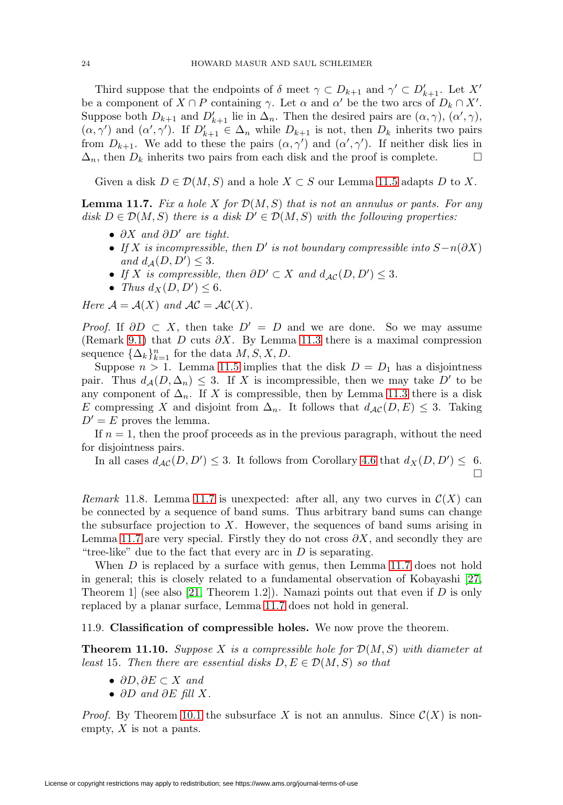<span id="page-23-2"></span>Third suppose that the endpoints of  $\delta$  meet  $\gamma \subset D_{k+1}$  and  $\gamma' \subset D'_{k+1}$ . Let X' be a component of  $X \cap P$  containing  $\gamma$ . Let  $\alpha$  and  $\alpha'$  be the two arcs of  $D_k \cap X'$ . Suppose both  $D_{k+1}$  and  $D'_{k+1}$  lie in  $\Delta_n$ . Then the desired pairs are  $(\alpha, \gamma)$ ,  $(\alpha', \gamma)$ ,  $(\alpha, \gamma')$  and  $(\alpha', \gamma')$ . If  $D'_{k+1} \in \Delta_n$  while  $D_{k+1}$  is not, then  $D_k$  inherits two pairs from  $D_{k+1}$ . We add to these the pairs  $(\alpha, \gamma')$  and  $(\alpha', \gamma')$ . If neither disk lies in  $\Delta_n$ , then  $D_k$  inherits two pairs from each disk and the proof is complete.  $\Box$ 

Given a disk  $D \in \mathcal{D}(M, S)$  and a hole  $X \subset S$  our Lemma [11.5](#page-21-1) adapts D to X.

<span id="page-23-1"></span>**Lemma 11.7.** Fix a hole X for  $\mathcal{D}(M, S)$  that is not an annulus or pants. For any disk  $D \in \mathcal{D}(M, S)$  there is a disk  $D' \in \mathcal{D}(M, S)$  with the following properties:

- $\partial X$  and  $\partial D'$  are tight.
- If X is incompressible, then D' is not boundary compressible into  $S-n(\partial X)$ and  $d_{\mathcal{A}}(D, D') \leq 3$ .
- If X is compressible, then  $\partial D' \subset X$  and  $d_{\mathcal{AC}}(D, D') \leq 3$ .
- Thus  $d_X(D, D') \leq 6$ .

Here  $\mathcal{A} = \mathcal{A}(X)$  and  $\mathcal{AC} = \mathcal{AC}(X)$ .

*Proof.* If  $\partial D \subset X$ , then take  $D' = D$  and we are done. So we may assume (Remark [9.1\)](#page-17-2) that D cuts  $\partial X$ . By Lemma [11.3](#page-21-2) there is a maximal compression sequence  $\{\Delta_k\}_{k=1}^n$  for the data  $M, S, X, D$ .

Suppose  $n > 1$ . Lemma [11.5](#page-21-1) implies that the disk  $D = D_1$  has a disjointness pair. Thus  $d_{\mathcal{A}}(D, \Delta_n) \leq 3$ . If X is incompressible, then we may take D' to be any component of  $\Delta_n$ . If X is compressible, then by Lemma [11.3](#page-21-2) there is a disk E compressing X and disjoint from  $\Delta_n$ . It follows that  $d_{\mathcal{AC}}(D, E) \leq 3$ . Taking  $D' = E$  proves the lemma.

If  $n = 1$ , then the proof proceeds as in the previous paragraph, without the need for disjointness pairs.

In all cases  $d_{\mathcal{AC}}(D, D') \leq 3$ . It follows from Corollary [4.6](#page-8-2) that  $d_X(D, D') \leq 6$ .  $\Box$ 

Remark 11.8. Lemma [11.7](#page-23-1) is unexpected: after all, any two curves in  $\mathcal{C}(X)$  can be connected by a sequence of band sums. Thus arbitrary band sums can change the subsurface projection to  $X$ . However, the sequences of band sums arising in Lemma [11.7](#page-23-1) are very special. Firstly they do not cross  $\partial X$ , and secondly they are "tree-like" due to the fact that every arc in  $D$  is separating.

When D is replaced by a surface with genus, then Lemma [11.7](#page-23-1) does not hold in general; this is closely related to a fundamental observation of Kobayashi [\[27,](#page-60-7) Theorem 1 (see also [\[21,](#page-60-13) Theorem 1.2]). Namazi points out that even if D is only replaced by a planar surface, Lemma [11.7](#page-23-1) does not hold in general.

11.9. **Classification of compressible holes.** We now prove the theorem.

<span id="page-23-0"></span>**Theorem 11.10.** Suppose X is a compressible hole for  $\mathcal{D}(M, S)$  with diameter at least 15. Then there are essential disks  $D, E \in \mathcal{D}(M, S)$  so that

- $\partial D, \partial E \subset X$  and
- $\partial D$  and  $\partial E$  fill X.

*Proof.* By Theorem [10.1](#page-18-1) the subsurface X is not an annulus. Since  $\mathcal{C}(X)$  is nonempty,  $X$  is not a pants.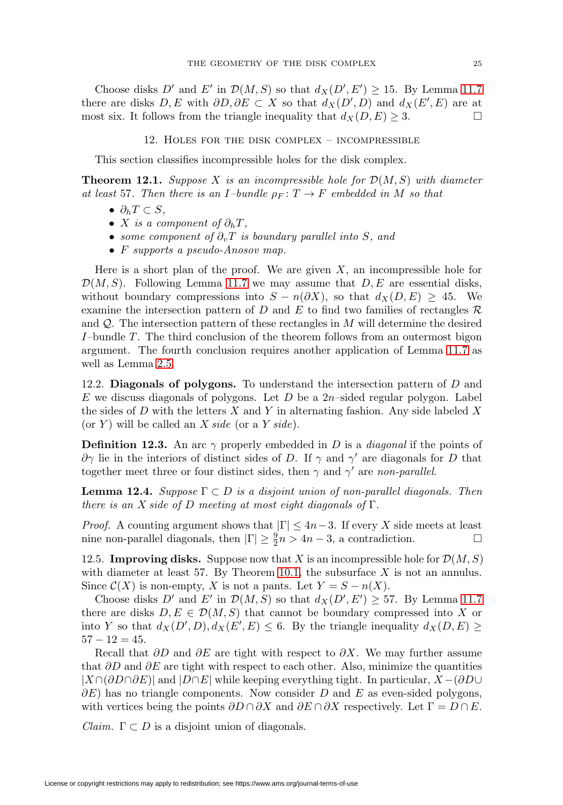Choose disks D' and E' in  $\mathcal{D}(M, S)$  so that  $d_X(D', E') \geq 15$ . By Lemma [11.7](#page-23-1) there are disks  $D, E$  with  $\partial D, \partial E \subset X$  so that  $d_X(D', D)$  and  $d_X(E', E)$  are at most six. It follows from the triangle inequality that  $d_X(D, E) \geq 3$ .

12. Holes for the disk complex – incompressible

<span id="page-24-0"></span>This section classifies incompressible holes for the disk complex.

<span id="page-24-1"></span>**Theorem 12.1.** Suppose X is an incompressible hole for  $\mathcal{D}(M, S)$  with diameter at least 57. Then there is an I-bundle  $\rho_F : T \to F$  embedded in M so that

- $\partial_h T \subset S$ ,
- X is a component of  $\partial_h T$ ,
- some component of  $\partial_v T$  is boundary parallel into S, and
- F supports a pseudo-Anosov map.

Here is a short plan of the proof. We are given  $X$ , an incompressible hole for  $\mathcal{D}(M, S)$ . Following Lemma [11.7](#page-23-1) we may assume that  $D, E$  are essential disks, without boundary compressions into  $S - n(\partial X)$ , so that  $d_X(D, E) \geq 45$ . We examine the intersection pattern of D and E to find two families of rectangles  $\mathcal R$ and  $Q$ . The intersection pattern of these rectangles in  $M$  will determine the desired I–bundle T. The third conclusion of the theorem follows from an outermost bigon argument. The fourth conclusion requires another application of Lemma [11.7](#page-23-1) as well as Lemma [2.5.](#page-3-1)

12.2. **Diagonals of polygons.** To understand the intersection pattern of D and E we discuss diagonals of polygons. Let  $D$  be a 2n-sided regular polygon. Label the sides of D with the letters  $X$  and Y in alternating fashion. Any side labeled  $X$ (or Y) will be called an X side (or a Y side).

**Definition 12.3.** An arc  $\gamma$  properly embedded in D is a *diagonal* if the points of  $\partial \gamma$  lie in the interiors of distinct sides of D. If  $\gamma$  and  $\gamma'$  are diagonals for D that together meet three or four distinct sides, then  $\gamma$  and  $\gamma'$  are non-parallel.

<span id="page-24-2"></span>**Lemma 12.4.** Suppose  $\Gamma \subset D$  is a disjoint union of non-parallel diagonals. Then there is an X side of D meeting at most eight diagonals of  $\Gamma$ .

*Proof.* A counting argument shows that  $|\Gamma| \leq 4n-3$ . If every X side meets at least nine non-parallel diagonals, then  $|\Gamma| \geq \frac{9}{2}n > 4n-3$ , a contradiction.  $\Box$ 

<span id="page-24-3"></span>12.5. **Improving disks.** Suppose now that X is an incompressible hole for  $\mathcal{D}(M, S)$ with diameter at least 57. By Theorem [10.1,](#page-18-1) the subsurface  $X$  is not an annulus. Since  $\mathcal{C}(X)$  is non-empty, X is not a pants. Let  $Y = S - n(X)$ .

Choose disks D' and E' in  $\mathcal{D}(M, S)$  so that  $d_X(D', E') \geq 57$ . By Lemma [11.7](#page-23-1) there are disks  $D, E \in \mathcal{D}(M, S)$  that cannot be boundary compressed into X or into Y so that  $d_X(D', D), d_X(E', E) \leq 6$ . By the triangle inequality  $d_X(D, E) \geq 6$  $57 - 12 = 45.$ 

Recall that  $\partial D$  and  $\partial E$  are tight with respect to  $\partial X$ . We may further assume that  $\partial D$  and  $\partial E$  are tight with respect to each other. Also, minimize the quantities  $|X \cap (\partial D \cap \partial E)|$  and  $|D \cap E|$  while keeping everything tight. In particular,  $X - (\partial D \cup$  $\partial E$ ) has no triangle components. Now consider D and E as even-sided polygons, with vertices being the points  $\partial D \cap \partial X$  and  $\partial E \cap \partial X$  respectively. Let  $\Gamma = D \cap E$ .

*Claim.*  $\Gamma \subset D$  is a disjoint union of diagonals.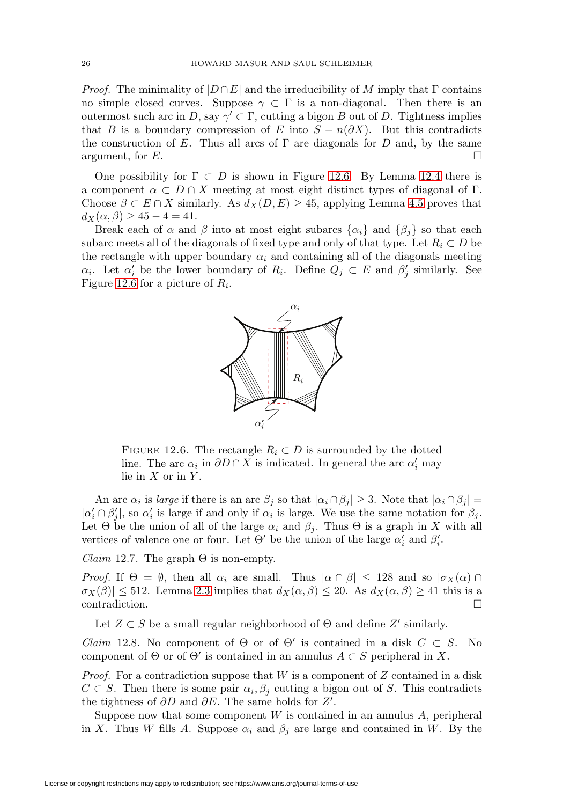*Proof.* The minimality of  $|D \cap E|$  and the irreducibility of M imply that  $\Gamma$  contains no simple closed curves. Suppose  $\gamma \subset \Gamma$  is a non-diagonal. Then there is an outermost such arc in D, say  $\gamma' \subset \Gamma$ , cutting a bigon B out of D. Tightness implies that B is a boundary compression of E into  $S - n(\partial X)$ . But this contradicts the construction of E. Thus all arcs of  $\Gamma$  are diagonals for D and, by the same argument, for  $E$ .  $\Box$ 

One possibility for  $\Gamma \subset D$  is shown in Figure [12.6.](#page-25-0) By Lemma [12.4](#page-24-2) there is a component  $\alpha \subset D \cap X$  meeting at most eight distinct types of diagonal of Γ. Choose  $\beta \subset E \cap X$  similarly. As  $d_X(D, E) \geq 45$ , applying Lemma [4.5](#page-8-3) proves that  $d_X(\alpha, \beta) \geq 45 - 4 = 41.$ 

Break each of  $\alpha$  and  $\beta$  into at most eight subarcs  $\{\alpha_i\}$  and  $\{\beta_i\}$  so that each subarc meets all of the diagonals of fixed type and only of that type. Let  $R_i \subset D$  be the rectangle with upper boundary  $\alpha_i$  and containing all of the diagonals meeting  $\alpha_i$ . Let  $\alpha'_i$  be the lower boundary of  $R_i$ . Define  $Q_j \subset E$  and  $\beta'_j$  similarly. See Figure [12.6](#page-25-0) for a picture of  $R_i$ .



<span id="page-25-0"></span>FIGURE 12.6. The rectangle  $R_i \subset D$  is surrounded by the dotted line. The arc  $\alpha_i$  in  $\partial D \cap X$  is indicated. In general the arc  $\alpha'_i$  may lie in  $X$  or in  $Y$ .

An arc  $\alpha_i$  is *large* if there is an arc  $\beta_j$  so that  $|\alpha_i \cap \beta_j| \geq 3$ . Note that  $|\alpha_i \cap \beta_j|$  =  $|\alpha'_i \cap \beta'_j|$ , so  $\alpha'_i$  is large if and only if  $\alpha_i$  is large. We use the same notation for  $\beta_j$ . Let  $\Theta$  be the union of all of the large  $\alpha_i$  and  $\beta_j$ . Thus  $\Theta$  is a graph in X with all vertices of valence one or four. Let  $\Theta'$  be the union of the large  $\alpha'_i$  and  $\beta'_i$ .

Claim 12.7. The graph  $\Theta$  is non-empty.

*Proof.* If  $\Theta = \emptyset$ , then all  $\alpha_i$  are small. Thus  $|\alpha \cap \beta| \leq 128$  and so  $|\sigma_X(\alpha) \cap \beta|$  $\sigma_X(\beta) \leq 512$ . Lemma [2.3](#page-3-0) implies that  $d_X(\alpha, \beta) \leq 20$ . As  $d_X(\alpha, \beta) \geq 41$  this is a contradiction.  $\Box$ 

Let  $Z \subset S$  be a small regular neighborhood of  $\Theta$  and define  $Z'$  similarly.

<span id="page-25-1"></span>Claim 12.8. No component of  $\Theta$  or of  $\Theta'$  is contained in a disk  $C \subset S$ . No component of  $\Theta$  or of  $\Theta'$  is contained in an annulus  $A \subset S$  peripheral in X.

*Proof.* For a contradiction suppose that  $W$  is a component of  $Z$  contained in a disk  $C \subset S$ . Then there is some pair  $\alpha_i, \beta_j$  cutting a bigon out of S. This contradicts the tightness of  $\partial D$  and  $\partial E$ . The same holds for  $Z'$ .

Suppose now that some component  $W$  is contained in an annulus  $A$ , peripheral in X. Thus W fills A. Suppose  $\alpha_i$  and  $\beta_j$  are large and contained in W. By the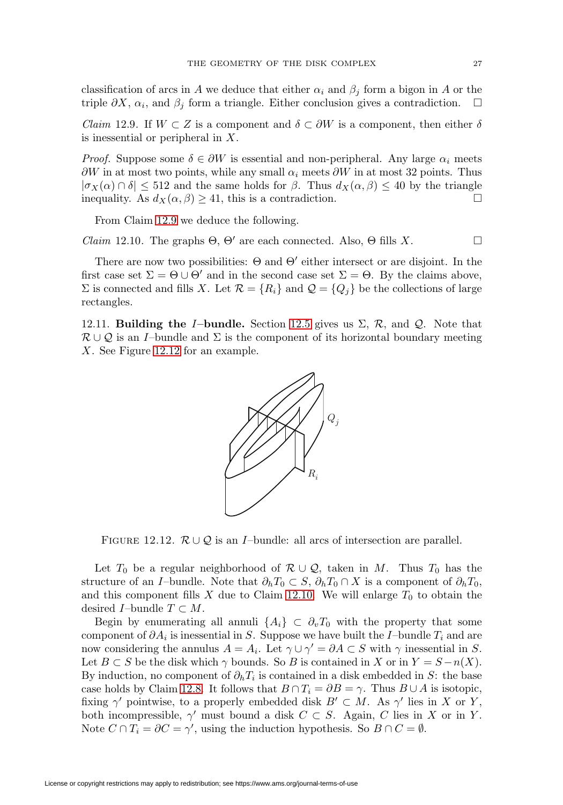classification of arcs in A we deduce that either  $\alpha_i$  and  $\beta_j$  form a bigon in A or the triple  $\partial X$ ,  $\alpha_i$ , and  $\beta_j$  form a triangle. Either conclusion gives a contradiction.  $\Box$ 

<span id="page-26-0"></span>*Claim* 12.9. If  $W \subset Z$  is a component and  $\delta \subset \partial W$  is a component, then either  $\delta$ is inessential or peripheral in X.

*Proof.* Suppose some  $\delta \in \partial W$  is essential and non-peripheral. Any large  $\alpha_i$  meets  $\partial W$  in at most two points, while any small  $\alpha_i$  meets  $\partial W$  in at most 32 points. Thus  $|\sigma_X(\alpha)| \cap \delta$  |  $\leq 512$  and the same holds for  $\beta$ . Thus  $d_X(\alpha, \beta) \leq 40$  by the triangle inequality. As  $d_X(\alpha, \beta) \ge 41$ , this is a contradiction.  $\square$ 

From Claim [12.9](#page-26-0) we deduce the following.

<span id="page-26-2"></span>*Claim* 12.10. The graphs  $\Theta$ ,  $\Theta'$  are each connected. Also,  $\Theta$  fills X.  $\Box$ 

There are now two possibilities:  $\Theta$  and  $\Theta'$  either intersect or are disjoint. In the first case set  $\Sigma = \Theta \cup \Theta'$  and in the second case set  $\Sigma = \Theta$ . By the claims above,  $\Sigma$  is connected and fills X. Let  $\mathcal{R} = \{R_i\}$  and  $\mathcal{Q} = \{Q_i\}$  be the collections of large rectangles.

12.11. **Building the** I**–bundle.** Section [12.5](#page-24-3) gives us Σ, R, and Q. Note that  $\mathcal{R}\cup\mathcal{Q}$  is an I–bundle and  $\Sigma$  is the component of its horizontal boundary meeting X. See Figure [12.12](#page-26-1) for an example.



<span id="page-26-1"></span>FIGURE 12.12.  $\mathcal{R} \cup \mathcal{Q}$  is an *I*-bundle: all arcs of intersection are parallel.

Let  $T_0$  be a regular neighborhood of  $\mathcal{R}\cup\mathcal{Q}$ , taken in M. Thus  $T_0$  has the structure of an I–bundle. Note that  $\partial_h T_0 \subset S$ ,  $\partial_h T_0 \cap X$  is a component of  $\partial_h T_0$ , and this component fills X due to Claim [12.10.](#page-26-2) We will enlarge  $T_0$  to obtain the desired *I*–bundle  $T \subset M$ .

Begin by enumerating all annuli  $\{A_i\} \subset \partial_v T_0$  with the property that some component of  $\partial A_i$  is inessential in S. Suppose we have built the I–bundle  $T_i$  and are now considering the annulus  $A = A_i$ . Let  $\gamma \cup \gamma' = \partial A \subset S$  with  $\gamma$  inessential in S. Let  $B \subset S$  be the disk which  $\gamma$  bounds. So B is contained in X or in  $Y = S - n(X)$ . By induction, no component of  $\partial_h T_i$  is contained in a disk embedded in S: the base case holds by Claim [12.8.](#page-25-1) It follows that  $B \cap T_i = \partial B = \gamma$ . Thus  $B \cup A$  is isotopic, fixing  $\gamma'$  pointwise, to a properly embedded disk  $B' \subset M$ . As  $\gamma'$  lies in X or Y, both incompressible,  $\gamma'$  must bound a disk  $C \subset S$ . Again, C lies in X or in Y. Note  $C \cap T_i = \partial C = \gamma'$ , using the induction hypothesis. So  $B \cap C = \emptyset$ .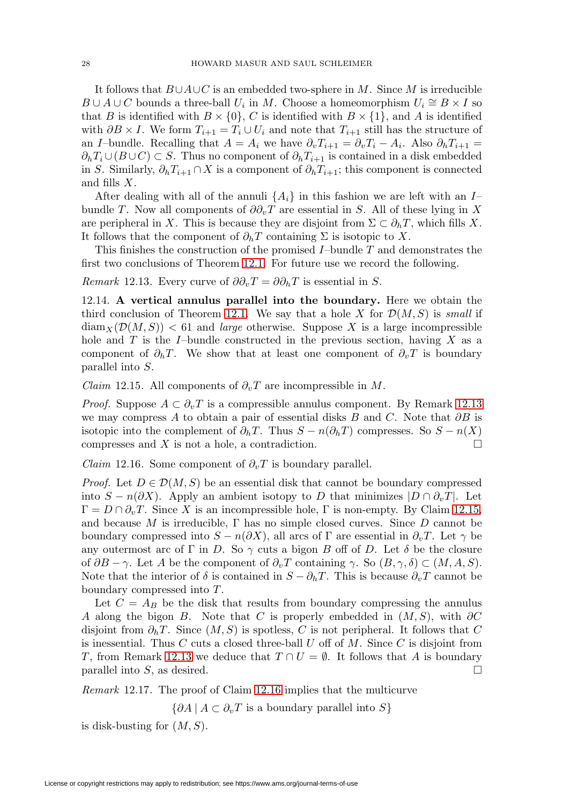It follows that  $B\cup A\cup C$  is an embedded two-sphere in M. Since M is irreducible  $B \cup A \cup C$  bounds a three-ball  $U_i$  in M. Choose a homeomorphism  $U_i \cong B \times I$  so that B is identified with  $B \times \{0\}$ , C is identified with  $B \times \{1\}$ , and A is identified with  $\partial B \times I$ . We form  $T_{i+1} = T_i \cup U_i$  and note that  $T_{i+1}$  still has the structure of an I–bundle. Recalling that  $A = A_i$  we have  $\partial_v T_{i+1} = \partial_v T_i - A_i$ . Also  $\partial_h T_{i+1} =$  $\partial_h T_i \cup (B \cup C) \subset S$ . Thus no component of  $\partial_h T_{i+1}$  is contained in a disk embedded in S. Similarly,  $\partial_h T_{i+1} \cap X$  is a component of  $\partial_h T_{i+1}$ ; this component is connected and fills X.

After dealing with all of the annuli  $\{A_i\}$  in this fashion we are left with an Ibundle T. Now all components of  $\partial \partial_y T$  are essential in S. All of these lying in X are peripheral in X. This is because they are disjoint from  $\Sigma \subset \partial_h T$ , which fills X. It follows that the component of  $\partial_h T$  containing  $\Sigma$  is isotopic to X.

This finishes the construction of the promised  $I$ –bundle  $T$  and demonstrates the first two conclusions of Theorem [12.1.](#page-24-1) For future use we record the following.

<span id="page-27-0"></span>Remark 12.13. Every curve of  $\partial \partial_v T = \partial \partial_h T$  is essential in S.

12.14. **A vertical annulus parallel into the boundary.** Here we obtain the third conclusion of Theorem [12.1.](#page-24-1) We say that a hole X for  $\mathcal{D}(M, S)$  is small if  $\text{diam}_X(\mathcal{D}(M,S)) < 61$  and *large* otherwise. Suppose X is a large incompressible hole and  $T$  is the I–bundle constructed in the previous section, having  $X$  as a component of  $\partial_h T$ . We show that at least one component of  $\partial_v T$  is boundary parallel into S.

<span id="page-27-1"></span>*Claim* 12.15. All components of  $\partial_v T$  are incompressible in M.

*Proof.* Suppose  $A \subset \partial_{\nu}T$  is a compressible annulus component. By Remark [12.13](#page-27-0) we may compress A to obtain a pair of essential disks B and C. Note that  $\partial B$  is isotopic into the complement of  $\partial_h T$ . Thus  $S - n(\partial_h T)$  compresses. So  $S - n(X)$ compresses and  $X$  is not a hole, a contradiction.  $\Box$ 

<span id="page-27-2"></span>*Claim* 12.16. Some component of  $\partial_v T$  is boundary parallel.

*Proof.* Let  $D \in \mathcal{D}(M, S)$  be an essential disk that cannot be boundary compressed into  $S - n(\partial X)$ . Apply an ambient isotopy to D that minimizes  $|D \cap \partial_v T|$ . Let  $\Gamma = D \cap \partial_v T$ . Since X is an incompressible hole,  $\Gamma$  is non-empty. By Claim [12.15,](#page-27-1) and because M is irreducible,  $\Gamma$  has no simple closed curves. Since D cannot be boundary compressed into  $S - n(\partial X)$ , all arcs of Γ are essential in  $\partial_v T$ . Let  $\gamma$  be any outermost arc of Γ in D. So  $\gamma$  cuts a bigon B off of D. Let  $\delta$  be the closure of  $\partial B - \gamma$ . Let A be the component of  $\partial_v T$  containing  $\gamma$ . So  $(B, \gamma, \delta) \subset (M, A, S)$ . Note that the interior of  $\delta$  is contained in  $S - \partial_h T$ . This is because  $\partial_v T$  cannot be boundary compressed into T.

Let  $C = A_B$  be the disk that results from boundary compressing the annulus A along the bigon B. Note that C is properly embedded in  $(M, S)$ , with ∂C disjoint from  $\partial_h T$ . Since  $(M, S)$  is spotless, C is not peripheral. It follows that C is inessential. Thus C cuts a closed three-ball U off of M. Since C is disjoint from T, from Remark [12.13](#page-27-0) we deduce that  $T \cap U = \emptyset$ . It follows that A is boundary parallel into S, as desired.  $\Box$ 

Remark 12.17. The proof of Claim [12.16](#page-27-2) implies that the multicurve

 $\{\partial A \mid A \subset \partial_v T$  is a boundary parallel into S}

is disk-busting for  $(M, S)$ .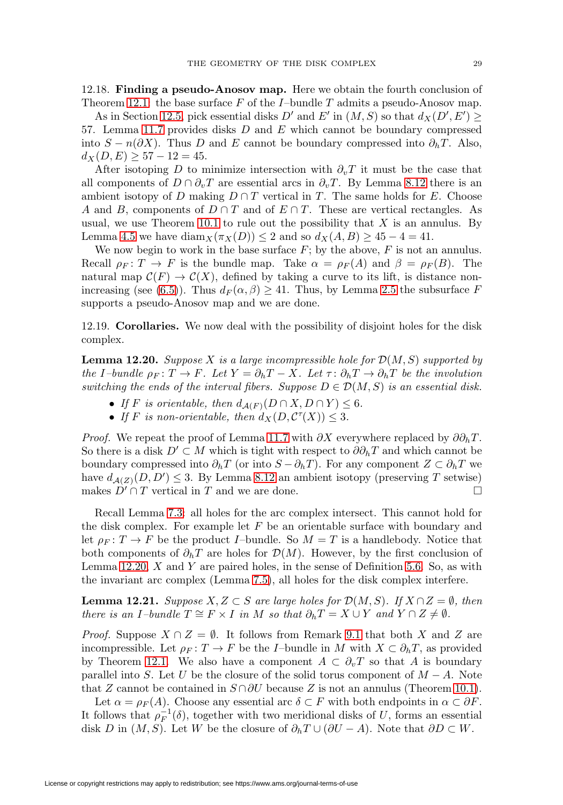As in Section [12.5,](#page-24-3) pick essential disks D' and E' in  $(M, S)$  so that  $d_X(D', E') \geq$ 57. Lemma [11.7](#page-23-1) provides disks D and E which cannot be boundary compressed into  $S - n(\partial X)$ . Thus D and E cannot be boundary compressed into  $\partial_h T$ . Also,  $d_X(D, E) \geq 57 - 12 = 45.$ 

After isotoping D to minimize intersection with  $\partial_{\nu}T$  it must be the case that all components of  $D \cap \partial_v T$  are essential arcs in  $\partial_v T$ . By Lemma [8.12](#page-16-0) there is an ambient isotopy of D making  $D \cap T$  vertical in T. The same holds for E. Choose A and B, components of  $D \cap T$  and of  $E \cap T$ . These are vertical rectangles. As usual, we use Theorem [10.1](#page-18-1) to rule out the possibility that  $X$  is an annulus. By Lemma [4.5](#page-8-3) we have  $\text{diam}_X(\pi_X(D)) \leq 2$  and so  $d_X(A, B) \geq 45 - 4 = 41$ .

We now begin to work in the base surface  $F$ ; by the above,  $F$  is not an annulus. Recall  $\rho_F : T \to F$  is the bundle map. Take  $\alpha = \rho_F(A)$  and  $\beta = \rho_F(B)$ . The natural map  $C(F) \to C(X)$ , defined by taking a curve to its lift, is distance non-increasing (see [\(6.5\)](#page-12-3)). Thus  $d_F(\alpha, \beta) \geq 41$ . Thus, by Lemma [2.5](#page-3-1) the subsurface F supports a pseudo-Anosov map and we are done.

12.19. **Corollaries.** We now deal with the possibility of disjoint holes for the disk complex.

<span id="page-28-0"></span>**Lemma 12.20.** Suppose X is a large incompressible hole for  $\mathcal{D}(M, S)$  supported by the I–bundle  $\rho_F \colon T \to F$ . Let  $Y = \partial_h T - X$ . Let  $\tau \colon \partial_h T \to \partial_h T$  be the involution switching the ends of the interval fibers. Suppose  $D \in \mathcal{D}(M, S)$  is an essential disk.

- If F is orientable, then  $d_{\mathcal{A}(F)}(D \cap X, D \cap Y) \leq 6$ .
- If F is non-orientable, then  $d_X(D, \mathcal{C}^{\tau}(X)) \leq 3$ .

*Proof.* We repeat the proof of Lemma [11.7](#page-23-1) with  $\partial X$  everywhere replaced by  $\partial \partial_h T$ . So there is a disk  $D' \subset M$  which is tight with respect to  $\partial \partial_h T$  and which cannot be boundary compressed into  $\partial_h T$  (or into  $S - \partial_h T$ ). For any component  $Z \subset \partial_h T$  we have  $d_{\mathcal{A}(Z)}(D, D') \leq 3$ . By Lemma [8.12](#page-16-0) an ambient isotopy (preserving T setwise) makes  $D' \cap T$  vertical in T and we are done.  $\Box$ 

Recall Lemma [7.3:](#page-13-3) all holes for the arc complex intersect. This cannot hold for the disk complex. For example let  $F$  be an orientable surface with boundary and let  $\rho_F: T \to F$  be the product *I*–bundle. So  $M = T$  is a handlebody. Notice that both components of  $\partial_h T$  are holes for  $\mathcal{D}(M)$ . However, by the first conclusion of Lemma [12.20,](#page-28-0)  $X$  and  $Y$  are paired holes, in the sense of Definition [5.6.](#page-11-4) So, as with the invariant arc complex (Lemma [7.5\)](#page-13-4), all holes for the disk complex interfere.

<span id="page-28-1"></span>**Lemma 12.21.** Suppose  $X, Z \subset S$  are large holes for  $\mathcal{D}(M, S)$ . If  $X \cap Z = \emptyset$ , then there is an I–bundle  $T \cong F \times I$  in M so that  $\partial_h T = X \cup Y$  and  $Y \cap Z \neq \emptyset$ .

*Proof.* Suppose  $X \cap Z = \emptyset$ . It follows from Remark [9.1](#page-17-2) that both X and Z are incompressible. Let  $\rho_F : T \to F$  be the I–bundle in M with  $X \subset \partial_h T$ , as provided by Theorem [12.1.](#page-24-1) We also have a component  $A \subset \partial_{\nu}T$  so that A is boundary parallel into S. Let U be the closure of the solid torus component of  $M - A$ . Note that Z cannot be contained in  $S \cap \partial U$  because Z is not an annulus (Theorem [10.1\)](#page-18-1).

Let  $\alpha = \rho_F(A)$ . Choose any essential arc  $\delta \subset F$  with both endpoints in  $\alpha \subset \partial F$ . It follows that  $\rho_F^{-1}(\delta)$ , together with two meridional disks of U, forms an essential disk D in  $(M, S)$ . Let W be the closure of  $\partial_h T \cup (\partial U - A)$ . Note that  $\partial D \subset W$ .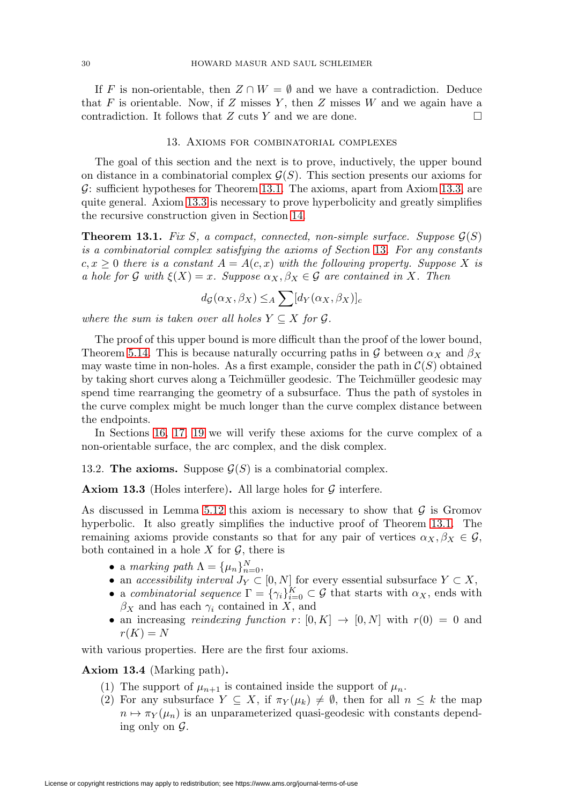If F is non-orientable, then  $Z \cap W = \emptyset$  and we have a contradiction. Deduce that F is orientable. Now, if Z misses Y, then Z misses W and we again have a contradiction. It follows that  $Z$  cuts Y and we are done.  $\Box$ 

## 13. Axioms for combinatorial complexes

<span id="page-29-0"></span>The goal of this section and the next is to prove, inductively, the upper bound on distance in a combinatorial complex  $\mathcal{G}(S)$ . This section presents our axioms for  $\mathcal{G}$ : sufficient hypotheses for Theorem [13.1.](#page-29-1) The axioms, apart from Axiom [13.3,](#page-29-2) are quite general. Axiom [13.3](#page-29-2) is necessary to prove hyperbolicity and greatly simplifies the recursive construction given in Section [14.](#page-31-0)

<span id="page-29-1"></span>**Theorem 13.1.** Fix S, a compact, connected, non-simple surface. Suppose  $\mathcal{G}(S)$ is a combinatorial complex satisfying the axioms of Section [13](#page-29-0). For any constants  $c, x \geq 0$  there is a constant  $A = A(c, x)$  with the following property. Suppose X is a hole for G with  $\xi(X) = x$ . Suppose  $\alpha_X, \beta_X \in \mathcal{G}$  are contained in X. Then

$$
d_{\mathcal{G}}(\alpha_X, \beta_X) \leq_A \sum [d_Y(\alpha_X, \beta_X)]_c
$$

where the sum is taken over all holes  $Y \subseteq X$  for  $\mathcal{G}$ .

The proof of this upper bound is more difficult than the proof of the lower bound, Theorem [5.14.](#page-11-2) This is because naturally occurring paths in G between  $\alpha_X$  and  $\beta_X$ may waste time in non-holes. As a first example, consider the path in  $\mathcal{C}(S)$  obtained by taking short curves along a Teichmüller geodesic. The Teichmüller geodesic may spend time rearranging the geometry of a subsurface. Thus the path of systoles in the curve complex might be much longer than the curve complex distance between the endpoints.

In Sections [16,](#page-43-0) [17,](#page-46-0) [19](#page-49-0) we will verify these axioms for the curve complex of a non-orientable surface, the arc complex, and the disk complex.

## 13.2. **The axioms.** Suppose  $\mathcal{G}(S)$  is a combinatorial complex.

<span id="page-29-2"></span>**Axiom 13.3** (Holes interfere). All large holes for  $\mathcal{G}$  interfere.

As discussed in Lemma [5.12](#page-11-1) this axiom is necessary to show that  $\mathcal G$  is Gromov hyperbolic. It also greatly simplifies the inductive proof of Theorem [13.1.](#page-29-1) The remaining axioms provide constants so that for any pair of vertices  $\alpha_X, \beta_X \in \mathcal{G}$ , both contained in a hole  $X$  for  $\mathcal{G}$ , there is

- a marking path  $\Lambda = {\mu_n}_{n=0}^N$ ,
- an accessibility interval  $J_Y \subset [0, N]$  for every essential subsurface  $Y \subset X$ ,
- a combinatorial sequence  $\Gamma = {\gamma_i}_{i=0}^K \subset \mathcal{G}$  that starts with  $\alpha_X$ , ends with  $\beta_X$  and has each  $\gamma_i$  contained in X, and
- an increasing *reindexing function*  $r: [0, K] \rightarrow [0, N]$  with  $r(0) = 0$  and  $r(K) = N$

with various properties. Here are the first four axioms.

### <span id="page-29-3"></span>**Axiom 13.4** (Marking path)**.**

- (1) The support of  $\mu_{n+1}$  is contained inside the support of  $\mu_n$ .
- (2) For any subsurface  $Y \subseteq X$ , if  $\pi_Y(\mu_k) \neq \emptyset$ , then for all  $n \leq k$  the map  $n \mapsto \pi_Y(\mu_n)$  is an unparameterized quasi-geodesic with constants depending only on  $\mathcal{G}$ .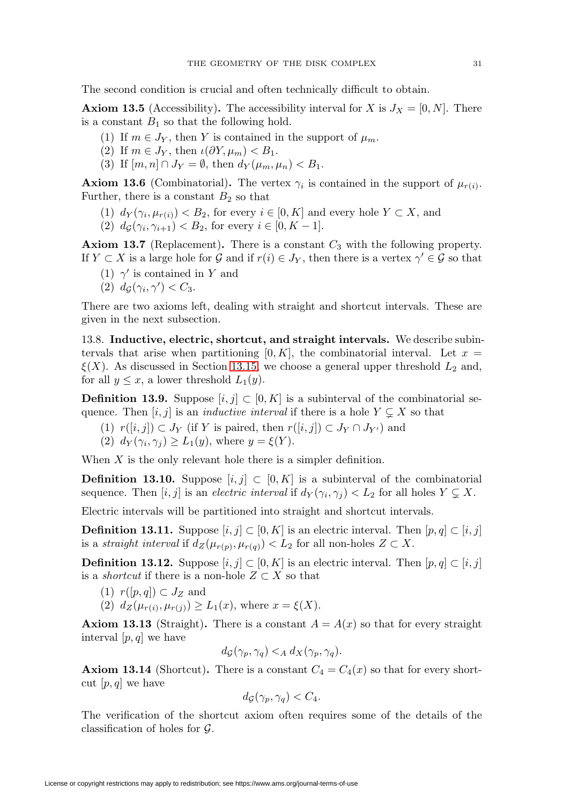The second condition is crucial and often technically difficult to obtain.

<span id="page-30-0"></span>**Axiom 13.5** (Accessibility). The accessibility interval for X is  $J_X = [0, N]$ . There is a constant  $B_1$  so that the following hold.

- (1) If  $m \in J_Y$ , then Y is contained in the support of  $\mu_m$ .
- (2) If  $m \in J_Y$ , then  $\iota(\partial Y, \mu_m) < B_1$ .
- (3) If  $[m, n] \cap J_Y = \emptyset$ , then  $d_Y(\mu_m, \mu_n) < B_1$ .

<span id="page-30-1"></span>**Axiom 13.6** (Combinatorial). The vertex  $\gamma_i$  is contained in the support of  $\mu_{r(i)}$ . Further, there is a constant  $B_2$  so that

(1)  $d_Y(\gamma_i, \mu_{r(i)}) < B_2$ , for every  $i \in [0, K]$  and every hole  $Y \subset X$ , and

(2)  $d_{\mathcal{G}}(\gamma_i, \gamma_{i+1}) < B_2$ , for every  $i \in [0, K - 1]$ .

<span id="page-30-4"></span>**Axiom 13.7** (Replacement). There is a constant  $C_3$  with the following property. If  $Y \subset X$  is a large hole for G and if  $r(i) \in J_Y$ , then there is a vertex  $\gamma' \in \mathcal{G}$  so that

- (1)  $\gamma'$  is contained in Y and
- (2)  $d_{\mathcal{G}}(\gamma_i, \gamma') < C_3$ .

There are two axioms left, dealing with straight and shortcut intervals. These are given in the next subsection.

13.8. **Inductive, electric, shortcut, and straight intervals.** We describe subintervals that arise when partitioning  $[0, K]$ , the combinatorial interval. Let  $x =$  $\xi(X)$ . As discussed in Section [13.15,](#page-31-1) we choose a general upper threshold  $L_2$  and, for all  $y \leq x$ , a lower threshold  $L_1(y)$ .

**Definition 13.9.** Suppose  $[i, j] \subset [0, K]$  is a subinterval of the combinatorial sequence. Then  $[i, j]$  is an *inductive interval* if there is a hole  $Y \subsetneq X$  so that

(1)  $r([i, j]) \subset J_Y$  (if Y is paired, then  $r([i, j]) \subset J_Y \cap J_{Y'}$ ) and (2)  $d_Y(\gamma_i, \gamma_j) \geq L_1(y)$ , where  $y = \xi(Y)$ .

When  $X$  is the only relevant hole there is a simpler definition.

**Definition 13.10.** Suppose  $[i, j] \subset [0, K]$  is a subinterval of the combinatorial sequence. Then  $[i, j]$  is an *electric interval* if  $d_Y(\gamma_i, \gamma_j) < L_2$  for all holes  $Y \subsetneq X$ .

Electric intervals will be partitioned into straight and shortcut intervals.

**Definition 13.11.** Suppose  $[i, j] \subset [0, K]$  is an electric interval. Then  $[p, q] \subset [i, j]$ is a straight interval if  $d_Z(\mu_{r(p)}, \mu_{r(q)}) < L_2$  for all non-holes  $Z \subset X$ .

<span id="page-30-5"></span>**Definition 13.12.** Suppose  $[i, j] \subset [0, K]$  is an electric interval. Then  $[p, q] \subset [i, j]$ is a *shortcut* if there is a non-hole  $Z \subset X$  so that

- $(1)$   $r([p,q]) \subset J_Z$  and
- (2)  $d_Z(\mu_{r(i)}, \mu_{r(j)}) \geq L_1(x)$ , where  $x = \xi(X)$ .

<span id="page-30-3"></span>**Axiom 13.13** (Straight). There is a constant  $A = A(x)$  so that for every straight interval  $[p, q]$  we have

$$
d_{\mathcal{G}}(\gamma_p, \gamma_q) <_{A} d_X(\gamma_p, \gamma_q).
$$

<span id="page-30-2"></span>**Axiom 13.14** (Shortcut). There is a constant  $C_4 = C_4(x)$  so that for every shortcut  $[p, q]$  we have

$$
d_{\mathcal{G}}(\gamma_p, \gamma_q) < C_4.
$$

The verification of the shortcut axiom often requires some of the details of the classification of holes for G.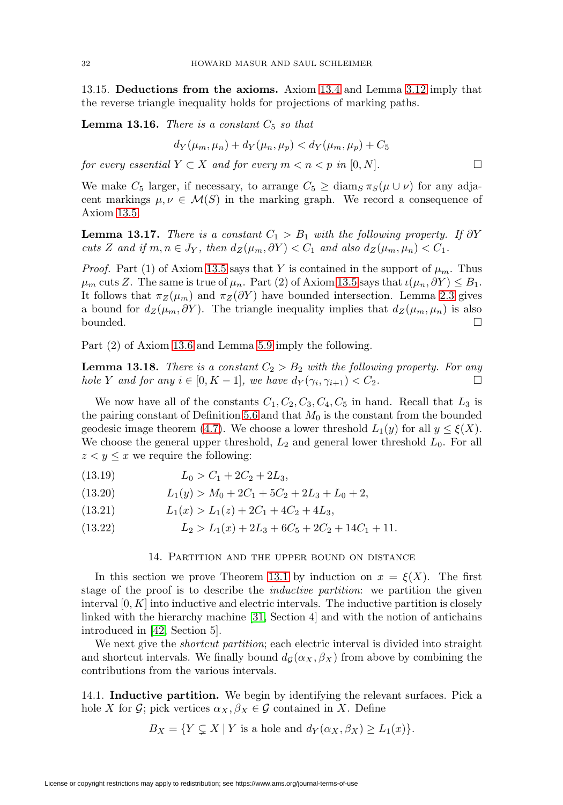<span id="page-31-10"></span><span id="page-31-1"></span>13.15. **Deductions from the axioms.** Axiom [13.4](#page-29-3) and Lemma [3.12](#page-6-1) imply that the reverse triangle inequality holds for projections of marking paths.

<span id="page-31-2"></span>**Lemma 13.16.** There is a constant  $C_5$  so that

$$
d_Y(\mu_m, \mu_n) + d_Y(\mu_n, \mu_p) < d_Y(\mu_m, \mu_p) + C_5
$$

for every essential  $Y \subset X$  and for every  $m < n < p$  in  $[0, N]$ .  $\Box$ 

We make  $C_5$  larger, if necessary, to arrange  $C_5 \ge \text{diam}_S \pi_S(\mu \cup \nu)$  for any adjacent markings  $\mu, \nu \in \mathcal{M}(S)$  in the marking graph. We record a consequence of Axiom [13.5.](#page-30-0)

<span id="page-31-6"></span>**Lemma 13.17.** There is a constant  $C_1 > B_1$  with the following property. If  $\partial Y$ cuts Z and if  $m, n \in J_Y$ , then  $d_Z(\mu_m, \partial Y) < C_1$  and also  $d_Z(\mu_m, \mu_n) < C_1$ .

*Proof.* Part (1) of Axiom [13.5](#page-30-0) says that Y is contained in the support of  $\mu_m$ . Thus  $\mu_m$  cuts Z. The same is true of  $\mu_n$ . Part (2) of Axiom [13.5](#page-30-0) says that  $\iota(\mu_n, \partial Y) \leq B_1$ . It follows that  $\pi_Z(\mu_m)$  and  $\pi_Z(\partial Y)$  have bounded intersection. Lemma [2.3](#page-3-0) gives a bound for  $d_Z(\mu_m, \partial Y)$ . The triangle inequality implies that  $d_Z(\mu_m, \mu_n)$  is also  $\Box$  $\Box$ 

Part (2) of Axiom [13.6](#page-30-1) and Lemma [5.9](#page-11-3) imply the following.

<span id="page-31-4"></span>**Lemma 13.18.** There is a constant  $C_2 > B_2$  with the following property. For any hole Y and for any  $i \in [0, K - 1]$ , we have  $d_Y(\gamma_i, \gamma_{i+1}) < C_2$ .

We now have all of the constants  $C_1, C_2, C_3, C_4, C_5$  in hand. Recall that  $L_3$  is the pairing constant of Definition [5.6](#page-11-4) and that  $M_0$  is the constant from the bounded geodesic image theorem [\(4.7\)](#page-8-5). We choose a lower threshold  $L_1(y)$  for all  $y \leq \xi(X)$ . We choose the general upper threshold,  $L_2$  and general lower threshold  $L_0$ . For all  $z < y \leq x$  we require the following:

<span id="page-31-7"></span>(13.19)  $L_0 > C_1 + 2C_2 + 2L_3$ 

<span id="page-31-3"></span>
$$
(13.20) \t\t\t L_1(y) > M_0 + 2C_1 + 5C_2 + 2L_3 + L_0 + 2,
$$

<span id="page-31-5"></span>(13.21)  $L_1(x) > L_1(z) + 2C_1 + 4C_2 + 4L_3,$ 

<span id="page-31-9"></span><span id="page-31-0"></span>(13.22)  $L_2 > L_1(x) + 2L_3 + 6C_5 + 2C_2 + 14C_1 + 11.$ 

# 14. Partition and the upper bound on distance

In this section we prove Theorem [13.1](#page-29-1) by induction on  $x = \xi(X)$ . The first stage of the proof is to describe the *inductive partition*: we partition the given interval  $[0, K]$  into inductive and electric intervals. The inductive partition is closely linked with the hierarchy machine [\[31,](#page-60-4) Section 4] and with the notion of antichains introduced in [\[42,](#page-61-7) Section 5].

We next give the *shortcut partition*; each electric interval is divided into straight and shortcut intervals. We finally bound  $d_G(\alpha_X, \beta_X)$  from above by combining the contributions from the various intervals.

<span id="page-31-8"></span>14.1. **Inductive partition.** We begin by identifying the relevant surfaces. Pick a hole X for G; pick vertices  $\alpha_X, \beta_X \in \mathcal{G}$  contained in X. Define

 $B_X = \{ Y \subsetneq X \mid Y \text{ is a hole and } d_Y(\alpha_X, \beta_X) \ge L_1(x) \}.$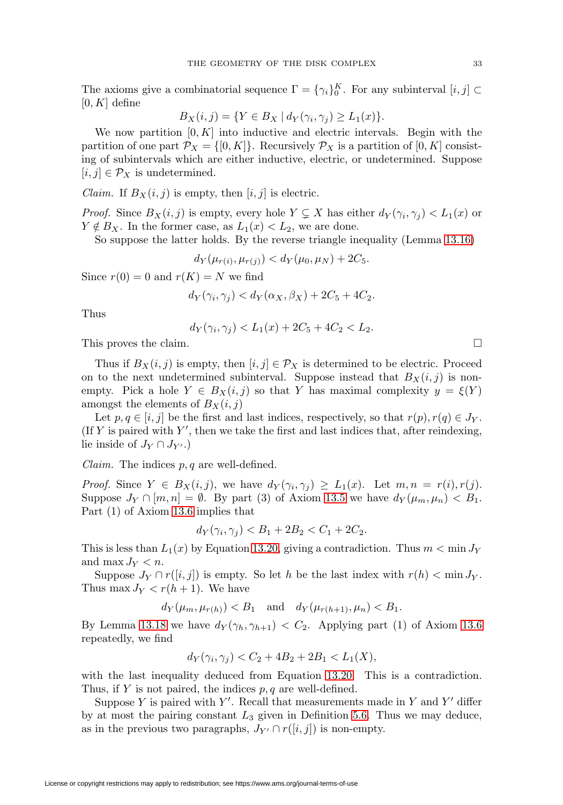The axioms give a combinatorial sequence  $\Gamma = {\gamma_i}_{0}^{K}$ . For any subinterval  $[i, j] \subset$  $[0, K]$  define

$$
B_X(i,j) = \{ Y \in B_X \mid d_Y(\gamma_i, \gamma_j) \ge L_1(x) \}.
$$

We now partition  $[0, K]$  into inductive and electric intervals. Begin with the partition of one part  $\mathcal{P}_X = \{ [0, K] \}$ . Recursively  $\mathcal{P}_X$  is a partition of  $[0, K]$  consisting of subintervals which are either inductive, electric, or undetermined. Suppose  $[i, j] \in \mathcal{P}_X$  is undetermined.

*Claim.* If  $B_X(i, j)$  is empty, then  $[i, j]$  is electric.

*Proof.* Since  $B_X(i, j)$  is empty, every hole  $Y \subsetneq X$  has either  $d_Y(\gamma_i, \gamma_j) < L_1(x)$  or  $Y \notin B_X$ . In the former case, as  $L_1(x) < L_2$ , we are done.

So suppose the latter holds. By the reverse triangle inequality (Lemma [13.16\)](#page-31-2)

 $d_Y(\mu_{r(i)}, \mu_{r(j)}) < d_Y(\mu_0, \mu_N) + 2C_5.$ 

Since  $r(0) = 0$  and  $r(K) = N$  we find

$$
d_Y(\gamma_i, \gamma_j) < d_Y(\alpha_X, \beta_X) + 2C_5 + 4C_2.
$$

Thus

$$
d_Y(\gamma_i, \gamma_j) < L_1(x) + 2C_5 + 4C_2 < L_2.
$$

This proves the claim.

Thus if  $B_X(i, j)$  is empty, then  $[i, j] \in \mathcal{P}_X$  is determined to be electric. Proceed on to the next undetermined subinterval. Suppose instead that  $B_X(i, j)$  is nonempty. Pick a hole  $Y \in B_X(i,j)$  so that Y has maximal complexity  $y = \xi(Y)$ amongst the elements of  $B_X(i, j)$ 

Let  $p, q \in [i, j]$  be the first and last indices, respectively, so that  $r(p), r(q) \in J_Y$ . (If Y is paired with  $Y'$ , then we take the first and last indices that, after reindexing, lie inside of  $J_Y \cap J_{Y'}$ .)

*Claim.* The indices  $p, q$  are well-defined.

*Proof.* Since  $Y \in B_X(i,j)$ , we have  $d_Y(\gamma_i, \gamma_j) \geq L_1(x)$ . Let  $m, n = r(i), r(j)$ . Suppose  $J_Y \cap [m, n] = \emptyset$ . By part (3) of Axiom [13.5](#page-30-0) we have  $d_Y(\mu_m, \mu_n) < B_1$ . Part (1) of Axiom [13.6](#page-30-1) implies that

$$
d_Y(\gamma_i, \gamma_j) < B_1 + 2B_2 < C_1 + 2C_2.
$$

This is less than  $L_1(x)$  by Equation [13.20,](#page-31-3) giving a contradiction. Thus  $m < \min J_Y$ and max  $J_Y < n$ .

Suppose  $J_Y \cap r([i, j])$  is empty. So let h be the last index with  $r(h) < \min J_Y$ . Thus max  $J_Y < r(h+1)$ . We have

 $d_Y(\mu_m, \mu_{r(h)}) < B_1$  and  $d_Y(\mu_{r(h+1)}, \mu_n) < B_1$ .

By Lemma [13.18](#page-31-4) we have  $d_Y(\gamma_h, \gamma_{h+1}) < C_2$ . Applying part (1) of Axiom [13.6](#page-30-1) repeatedly, we find

$$
d_Y(\gamma_i, \gamma_j) < C_2 + 4B_2 + 2B_1 < L_1(X),
$$

with the last inequality deduced from Equation [13.20.](#page-31-3) This is a contradiction. Thus, if Y is not paired, the indices  $p, q$  are well-defined.

Suppose Y is paired with Y'. Recall that measurements made in Y and Y' differ by at most the pairing constant  $L_3$  given in Definition [5.6.](#page-11-4) Thus we may deduce, as in the previous two paragraphs,  $J_{Y'} \cap r([i,j])$  is non-empty.

 $\Box$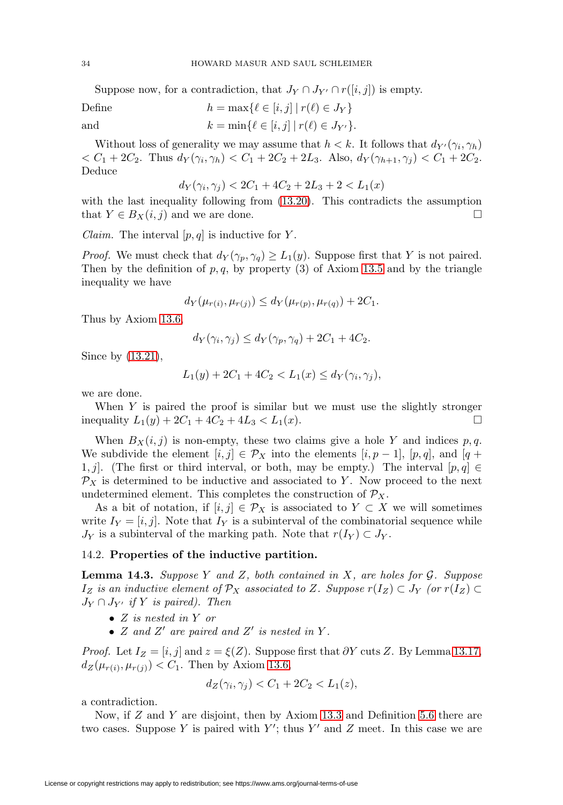Suppose now, for a contradiction, that  $J_Y \cap J_{Y'} \cap r([i,j])$  is empty.

Define  $h = \max\{ \ell \in [i, j] \mid r(\ell) \in J_Y \}$ and  $k = \min \{ \ell \in [i, j] \mid r(\ell) \in J_{Y'} \}.$ 

Without loss of generality we may assume that  $h < k$ . It follows that  $d_{Y'}(\gamma_i, \gamma_h)$  $\langle C_1 + 2C_2$ . Thus  $d_Y(\gamma_i, \gamma_h) \langle C_1 + 2C_2 + 2L_3$ . Also,  $d_Y(\gamma_{h+1}, \gamma_j) \langle C_1 + 2C_2$ . Deduce

$$
d_Y(\gamma_i, \gamma_j) < 2C_1 + 4C_2 + 2L_3 + 2 < L_1(x)
$$

with the last inequality following from [\(13.20\)](#page-31-3). This contradicts the assumption that  $Y \in B_X(i,j)$  and we are done.

*Claim.* The interval  $[p, q]$  is inductive for Y.

*Proof.* We must check that  $d_Y(\gamma_p, \gamma_q) \geq L_1(y)$ . Suppose first that Y is not paired. Then by the definition of  $p, q$ , by property (3) of Axiom [13.5](#page-30-0) and by the triangle inequality we have

$$
d_Y(\mu_{r(i)}, \mu_{r(j)}) \le d_Y(\mu_{r(p)}, \mu_{r(q)}) + 2C_1.
$$

Thus by Axiom [13.6,](#page-30-1)

$$
d_Y(\gamma_i, \gamma_j) \le d_Y(\gamma_p, \gamma_q) + 2C_1 + 4C_2.
$$

Since by [\(13.21\)](#page-31-5),

$$
L_1(y) + 2C_1 + 4C_2 < L_1(x) \le d_Y(\gamma_i, \gamma_j),
$$

we are done.

When Y is paired the proof is similar but we must use the slightly stronger inequality  $L_1(y) + 2C_1 + 4C_2 + 4L_3 < L_1(x)$ .

When  $B_X(i, j)$  is non-empty, these two claims give a hole Y and indices p, q. We subdivide the element  $[i, j] \in \mathcal{P}_X$  into the elements  $[i, p-1]$ ,  $[p, q]$ , and  $[q +$ 1, j]. (The first or third interval, or both, may be empty.) The interval  $[p, q] \in$  $\mathcal{P}_X$  is determined to be inductive and associated to Y. Now proceed to the next undetermined element. This completes the construction of  $\mathcal{P}_X$ .

As a bit of notation, if  $[i, j] \in \mathcal{P}_X$  is associated to  $Y \subset X$  we will sometimes write  $I_Y = [i, j]$ . Note that  $I_Y$  is a subinterval of the combinatorial sequence while  $J_Y$  is a subinterval of the marking path. Note that  $r(I_Y) \subset J_Y$ .

### 14.2. **Properties of the inductive partition.**

<span id="page-33-0"></span>**Lemma 14.3.** Suppose Y and Z, both contained in X, are holes for G. Suppose  $I_Z$  is an inductive element of  $\mathcal{P}_X$  associated to Z. Suppose  $r(I_Z) \subset J_Y$  (or  $r(I_Z) \subset$  $J_Y \cap J_{Y'}$  if Y is paired). Then

- Z is nested in Y or
- Z and Z' are paired and Z' is nested in Y.

*Proof.* Let  $I_Z = [i, j]$  and  $z = \xi(Z)$ . Suppose first that ∂Y cuts Z. By Lemma [13.17,](#page-31-6)  $d_Z(\mu_{r(i)}, \mu_{r(j)}) < C_1$ . Then by Axiom [13.6,](#page-30-1)

$$
d_Z(\gamma_i, \gamma_j) < C_1 + 2C_2 < L_1(z),
$$

a contradiction.

Now, if  $Z$  and  $Y$  are disjoint, then by Axiom [13.3](#page-29-2) and Definition [5.6](#page-11-4) there are two cases. Suppose Y is paired with Y'; thus Y' and Z meet. In this case we are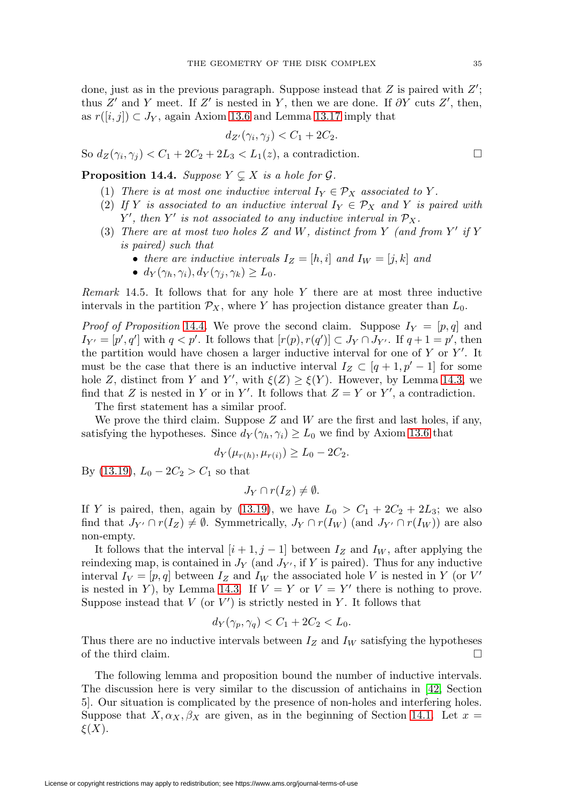<span id="page-34-2"></span>done, just as in the previous paragraph. Suppose instead that  $Z$  is paired with  $Z'$ ; thus Z' and Y meet. If Z' is nested in Y, then we are done. If  $\partial Y$  cuts Z', then, as  $r([i, j]) \subset J_Y$ , again Axiom [13.6](#page-30-1) and Lemma [13.17](#page-31-6) imply that

$$
d_{Z'}(\gamma_i, \gamma_j) < C_1 + 2C_2.
$$

So  $d_Z(\gamma_i, \gamma_i) < C_1 + 2C_2 + 2L_3 < L_1(z)$ , a contradiction.

<span id="page-34-0"></span>**Proposition 14.4.** Suppose  $Y \subsetneq X$  is a hole for  $\mathcal{G}$ .

- (1) There is at most one inductive interval  $I_Y \in \mathcal{P}_X$  associated to Y.
- (2) If Y is associated to an inductive interval  $I_Y \in \mathcal{P}_X$  and Y is paired with Y', then Y' is not associated to any inductive interval in  $\mathcal{P}_X$ .
- (3) There are at most two holes Z and W, distinct from Y (and from Y' if Y is paired) such that
	- there are inductive intervals  $I_Z = [h, i]$  and  $I_W = [j, k]$  and
	- $d_Y(\gamma_h, \gamma_i), d_Y(\gamma_i, \gamma_k) \geq L_0$ .

<span id="page-34-1"></span>Remark 14.5. It follows that for any hole  $Y$  there are at most three inductive intervals in the partition  $\mathcal{P}_X$ , where Y has projection distance greater than  $L_0$ .

*Proof of Proposition* [14.4](#page-34-0). We prove the second claim. Suppose  $I_Y = [p, q]$  and  $I_{Y'} = [p', q']$  with  $q < p'$ . It follows that  $[r(p), r(q')] \subset J_Y \cap J_{Y'}$ . If  $q + 1 = p'$ , then the partition would have chosen a larger inductive interval for one of  $Y$  or  $Y'$ . It must be the case that there is an inductive interval  $I_Z \subset [q+1, p'-1]$  for some hole Z, distinct from Y and Y', with  $\xi(Z) \geq \xi(Y)$ . However, by Lemma [14.3,](#page-33-0) we find that Z is nested in Y or in Y'. It follows that  $Z = Y$  or Y', a contradiction.

The first statement has a similar proof.

We prove the third claim. Suppose  $Z$  and  $W$  are the first and last holes, if any, satisfying the hypotheses. Since  $d_Y(\gamma_h, \gamma_i) \geq L_0$  we find by Axiom [13.6](#page-30-1) that

$$
d_Y(\mu_{r(h)}, \mu_{r(i)}) \ge L_0 - 2C_2.
$$

By [\(13.19\)](#page-31-7),  $L_0 - 2C_2 > C_1$  so that

$$
J_Y \cap r(I_Z) \neq \emptyset.
$$

If Y is paired, then, again by [\(13.19\)](#page-31-7), we have  $L_0 > C_1 + 2C_2 + 2L_3$ ; we also find that  $J_{Y'} \cap r(I_Z) \neq \emptyset$ . Symmetrically,  $J_Y \cap r(I_W)$  (and  $J_{Y'} \cap r(I_W)$ ) are also non-empty.

It follows that the interval  $[i+1, j-1]$  between  $I_Z$  and  $I_W$ , after applying the reindexing map, is contained in  $J_Y$  (and  $J_{Y'}$ , if Y is paired). Thus for any inductive interval  $I_V = [p, q]$  between  $I_Z$  and  $I_W$  the associated hole V is nested in Y (or V' is nested in Y), by Lemma [14.3.](#page-33-0) If  $V = Y$  or  $V = Y'$  there is nothing to prove. Suppose instead that  $V$  (or  $V'$ ) is strictly nested in Y. It follows that

$$
d_Y(\gamma_p, \gamma_q) < C_1 + 2C_2 < L_0.
$$

Thus there are no inductive intervals between  $I_Z$  and  $I_W$  satisfying the hypotheses of the third claim.  $\Box$ 

The following lemma and proposition bound the number of inductive intervals. The discussion here is very similar to the discussion of antichains in [\[42,](#page-61-7) Section 5]. Our situation is complicated by the presence of non-holes and interfering holes. Suppose that  $X, \alpha_X, \beta_X$  are given, as in the beginning of Section [14.1.](#page-31-8) Let  $x =$  $\xi(X)$ .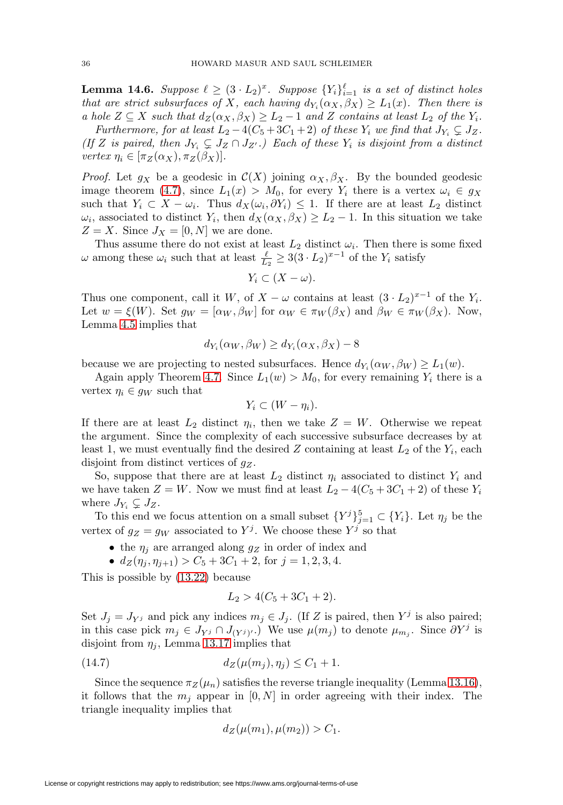<span id="page-35-1"></span>**Lemma 14.6.** Suppose  $\ell \geq (3 \cdot L_2)^x$ . Suppose  $\{Y_i\}_{i=1}^{\ell}$  is a set of distinct holes that are strict subsurfaces of X, each having  $d_{Y_i}(\alpha_X, \beta_X) \geq L_1(x)$ . Then there is a hole  $Z \subseteq X$  such that  $d_Z(\alpha_X, \beta_X) \geq L_2 - 1$  and Z contains at least  $L_2$  of the  $Y_i$ .

Furthermore, for at least  $L_2 - 4(C_5 + 3C_1 + 2)$  of these  $Y_i$  we find that  $J_{Y_i} \subsetneq J_Z$ . (If Z is paired, then  $J_{Y_i} \subsetneq J_Z \cap J_{Z'}$ .) Each of these  $Y_i$  is disjoint from a distinct vertex  $\eta_i \in [\pi_Z(\alpha_X), \pi_Z(\beta_X)].$ 

*Proof.* Let  $g_X$  be a geodesic in  $\mathcal{C}(X)$  joining  $\alpha_X, \beta_X$ . By the bounded geodesic image theorem [\(4.7\)](#page-8-5), since  $L_1(x) > M_0$ , for every  $Y_i$  there is a vertex  $\omega_i \in g_X$ such that  $Y_i \subset X - \omega_i$ . Thus  $d_X(\omega_i, \partial Y_i) \leq 1$ . If there are at least  $L_2$  distinct  $\omega_i$ , associated to distinct  $Y_i$ , then  $d_X(\alpha_X, \beta_X) \geq L_2 - 1$ . In this situation we take  $Z = X$ . Since  $J_X = [0, N]$  we are done.

Thus assume there do not exist at least  $L_2$  distinct  $\omega_i$ . Then there is some fixed  $\omega$  among these  $\omega_i$  such that at least  $\frac{\ell}{L_2} \geq 3(3 \cdot L_2)^{x-1}$  of the  $Y_i$  satisfy

$$
Y_i \subset (X - \omega).
$$

Thus one component, call it W, of  $X - \omega$  contains at least  $(3 \cdot L_2)^{x-1}$  of the  $Y_i$ . Let  $w = \xi(W)$ . Set  $g_W = [\alpha_W, \beta_W]$  for  $\alpha_W \in \pi_W(\beta_X)$  and  $\beta_W \in \pi_W(\beta_X)$ . Now, Lemma [4.5](#page-8-3) implies that

$$
d_{Y_i}(\alpha_W, \beta_W) \ge d_{Y_i}(\alpha_X, \beta_X) - 8
$$

because we are projecting to nested subsurfaces. Hence  $d_{Y_i}(\alpha_W, \beta_W) \geq L_1(w)$ .

Again apply Theorem [4.7.](#page-8-5) Since  $L_1(w) > M_0$ , for every remaining  $Y_i$  there is a vertex  $\eta_i \in q_W$  such that

$$
Y_i \subset (W - \eta_i).
$$

If there are at least  $L_2$  distinct  $\eta_i$ , then we take  $Z = W$ . Otherwise we repeat the argument. Since the complexity of each successive subsurface decreases by at least 1, we must eventually find the desired Z containing at least  $L_2$  of the  $Y_i$ , each disjoint from distinct vertices of  $g_Z$ .

So, suppose that there are at least  $L_2$  distinct  $\eta_i$  associated to distinct  $Y_i$  and we have taken  $Z = W$ . Now we must find at least  $L_2 - 4(C_5 + 3C_1 + 2)$  of these  $Y_i$ where  $J_{Y_i} \subsetneq J_Z$ .

To this end we focus attention on a small subset  ${Y^j}_{j=1}^5 \subset {Y_i}$ . Let  $\eta_j$  be the vertex of  $g_Z = g_W$  associated to Y<sup>j</sup>. We choose these Y<sup>j</sup> so that

- the  $\eta_i$  are arranged along  $g_Z$  in order of index and
- $d_Z(\eta_i, \eta_{i+1}) > C_5 + 3C_1 + 2$ , for  $j = 1, 2, 3, 4$ .

This is possible by [\(13.22\)](#page-31-9) because

$$
L_2 > 4(C_5 + 3C_1 + 2).
$$

Set  $J_j = J_{Y_j}$  and pick any indices  $m_j \in J_j$ . (If Z is paired, then  $Y^j$  is also paired; in this case pick  $m_j \in J_{Y_j} \cap J_{(Y_j)'}.$  We use  $\mu(m_j)$  to denote  $\mu_{m_j}$ . Since  $\partial Y^j$  is disjoint from  $\eta_i$ , Lemma [13.17](#page-31-6) implies that

<span id="page-35-0"></span>(14.7) 
$$
d_Z(\mu(m_j), \eta_j) \le C_1 + 1.
$$

Since the sequence  $\pi_Z(\mu_n)$  satisfies the reverse triangle inequality (Lemma [13.16\)](#page-31-2), it follows that the  $m_i$  appear in  $[0, N]$  in order agreeing with their index. The triangle inequality implies that

$$
d_Z(\mu(m_1), \mu(m_2)) > C_1.
$$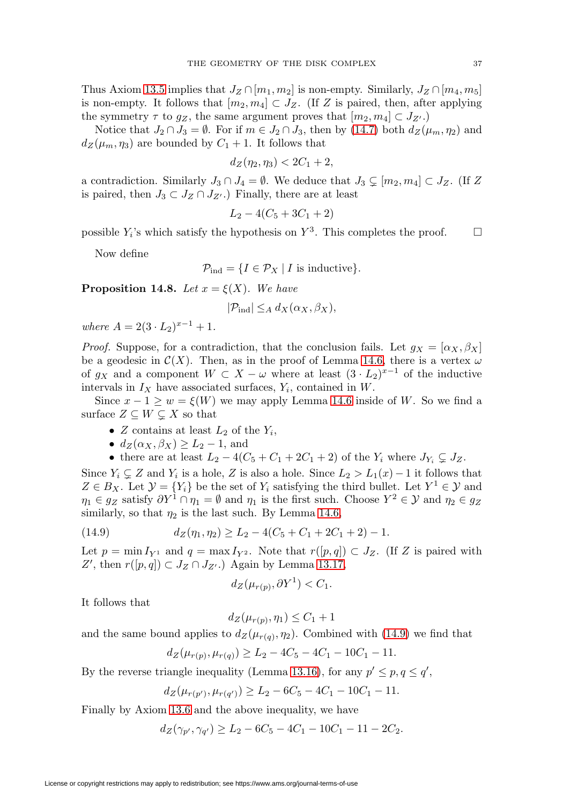Thus Axiom [13.5](#page-30-0) implies that  $J_Z \cap [m_1, m_2]$  is non-empty. Similarly,  $J_Z \cap [m_4, m_5]$ is non-empty. It follows that  $[m_2, m_4] \subset J_Z$ . (If Z is paired, then, after applying the symmetry  $\tau$  to  $g_Z$ , the same argument proves that  $[m_2, m_4] \subset J_{Z'}$ .

Notice that  $J_2 \cap J_3 = \emptyset$ . For if  $m \in J_2 \cap J_3$ , then by [\(14.7\)](#page-35-0) both  $d_Z(\mu_m, \eta_2)$  and  $d_Z(\mu_m, \eta_3)$  are bounded by  $C_1 + 1$ . It follows that

$$
d_Z(\eta_2, \eta_3) < 2C_1 + 2,
$$

a contradiction. Similarly  $J_3 \cap J_4 = \emptyset$ . We deduce that  $J_3 \subsetneq [m_2, m_4] \subset J_Z$ . (If Z is paired, then  $J_3 \subset J_Z \cap J_{Z'}$ .) Finally, there are at least

$$
L_2 - 4(C_5 + 3C_1 + 2)
$$

possible  $Y_i$ 's which satisfy the hypothesis on  $Y^3$ . This completes the proof.  $\Box$ 

Now define

$$
\mathcal{P}_{\text{ind}} = \{ I \in \mathcal{P}_X \mid I \text{ is inductive} \}.
$$

<span id="page-36-1"></span>**Proposition 14.8.** Let  $x = \xi(X)$ . We have

$$
|\mathcal{P}_{\text{ind}}| \leq_A d_X(\alpha_X, \beta_X),
$$

where  $A = 2(3 \cdot L_2)^{x-1} + 1$ .

*Proof.* Suppose, for a contradiction, that the conclusion fails. Let  $g_X = [\alpha_X, \beta_X]$ be a geodesic in  $\mathcal{C}(X)$ . Then, as in the proof of Lemma [14.6,](#page-35-1) there is a vertex  $\omega$ of  $g_X$  and a component  $W \subset X - \omega$  where at least  $(3 \cdot L_2)^{x-1}$  of the inductive intervals in  $I_X$  have associated surfaces,  $Y_i$ , contained in W.

Since  $x - 1 \geq w = \xi(W)$  we may apply Lemma [14.6](#page-35-1) inside of W. So we find a surface  $Z \subseteq W \subsetneq X$  so that

- Z contains at least  $L_2$  of the  $Y_i$ ,
- $d_Z(\alpha_X, \beta_X) \geq L_2 1$ , and
- there are at least  $L_2 4(C_5 + C_1 + 2C_1 + 2)$  of the  $Y_i$  where  $J_{Y_i} \subsetneq J_Z$ .

Since  $Y_i \subsetneq Z$  and  $Y_i$  is a hole, Z is also a hole. Since  $L_2 > L_1(x) - 1$  it follows that  $Z \in B_X$ . Let  $\mathcal{Y} = \{Y_i\}$  be the set of  $Y_i$  satisfying the third bullet. Let  $Y^1 \in \mathcal{Y}$  and  $\eta_1 \in g_Z$  satisfy  $\partial Y^1 \cap \eta_1 = \emptyset$  and  $\eta_1$  is the first such. Choose  $Y^2 \in \mathcal{Y}$  and  $\eta_2 \in g_Z$ similarly, so that  $\eta_2$  is the last such. By Lemma [14.6,](#page-35-1)

<span id="page-36-0"></span>(14.9) 
$$
d_Z(\eta_1, \eta_2) \ge L_2 - 4(C_5 + C_1 + 2C_1 + 2) - 1.
$$

Let  $p = \min I_{Y^1}$  and  $q = \max I_{Y^2}$ . Note that  $r([p,q]) \subset J_Z$ . (If Z is paired with Z', then  $r([p,q]) \subset J_Z \cap J_{Z'}$ .) Again by Lemma [13.17,](#page-31-6)

$$
d_Z(\mu_{r(p)}, \partial Y^1) < C_1.
$$

It follows that

 $d_Z(\mu_{r(n)}, \eta_1) \leq C_1 + 1$ 

and the same bound applies to  $d_Z(\mu_{r(q)}, \eta_2)$ . Combined with [\(14.9\)](#page-36-0) we find that

$$
d_Z(\mu_{r(p)}, \mu_{r(q)}) \ge L_2 - 4C_5 - 4C_1 - 10C_1 - 11.
$$

By the reverse triangle inequality (Lemma [13.16\)](#page-31-2), for any  $p' \leq p, q \leq q'$ ,

$$
d_Z(\mu_{r(p')}, \mu_{r(q')}) \ge L_2 - 6C_5 - 4C_1 - 10C_1 - 11.
$$

Finally by Axiom [13.6](#page-30-1) and the above inequality, we have

 $d_Z(\gamma_{p'}, \gamma_{q'}) \ge L_2 - 6C_5 - 4C_1 - 10C_1 - 11 - 2C_2.$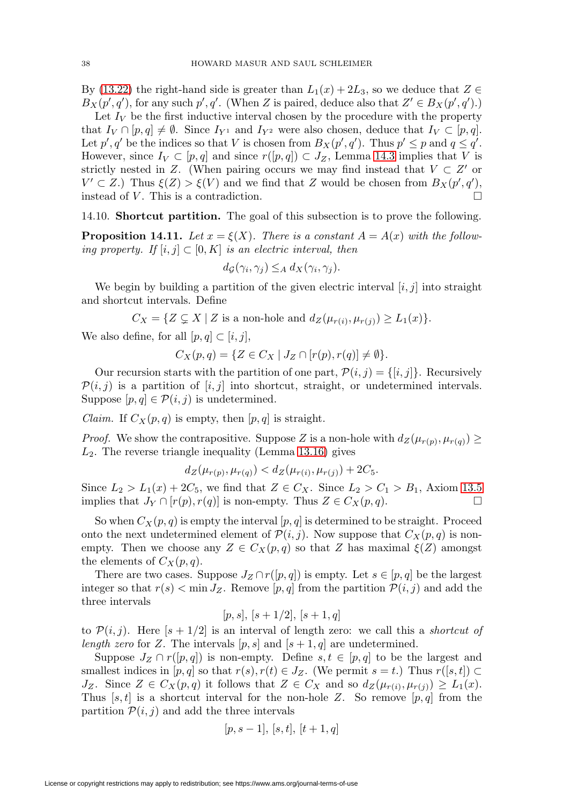By [\(13.22\)](#page-31-9) the right-hand side is greater than  $L_1(x)+2L_3$ , so we deduce that  $Z \in$  $B_X(p', q')$ , for any such  $p', q'$ . (When Z is paired, deduce also that  $Z' \in B_X(p', q')$ .)

Let  $I_V$  be the first inductive interval chosen by the procedure with the property that  $I_V \cap [p,q] \neq \emptyset$ . Since  $I_{Y^1}$  and  $I_{Y^2}$  were also chosen, deduce that  $I_V \subset [p,q]$ . Let  $p', q'$  be the indices so that V is chosen from  $B_X(p', q')$ . Thus  $p' \leq p$  and  $q \leq q'$ . However, since  $I_V \subset [p,q]$  and since  $r([p,q]) \subset J_Z$ , Lemma [14.3](#page-33-0) implies that V is strictly nested in Z. (When pairing occurs we may find instead that  $V \subset Z'$  or  $V' \subset Z$ .) Thus  $\xi(Z) > \xi(V)$  and we find that Z would be chosen from  $B_X(p', q')$ , instead of  $V$ . This is a contradiction.  $\Box$ 

14.10. **Shortcut partition.** The goal of this subsection is to prove the following.

<span id="page-37-0"></span>**Proposition 14.11.** Let  $x = \xi(X)$ . There is a constant  $A = A(x)$  with the following property. If  $[i, j] \subset [0, K]$  is an electric interval, then

$$
d_{\mathcal{G}}(\gamma_i, \gamma_j) \leq_A d_X(\gamma_i, \gamma_j).
$$

We begin by building a partition of the given electric interval  $[i, j]$  into straight and shortcut intervals. Define

 $C_X = \{ Z \subsetneq X \mid Z \text{ is a non-hole and } d_Z(\mu_{r(i)}, \mu_{r(j)}) \geq L_1(x) \}.$ 

We also define, for all  $[p, q] \subset [i, j]$ ,

 $C_X(p,q) = \{ Z \in C_X \mid J_Z \cap [r(p), r(q)] \neq \emptyset \}.$ 

Our recursion starts with the partition of one part,  $\mathcal{P}(i, j) = \{[i, j]\}\$ . Recursively  $\mathcal{P}(i, j)$  is a partition of [i, j] into shortcut, straight, or undetermined intervals. Suppose  $[p, q] \in \mathcal{P}(i, j)$  is undetermined.

Claim. If  $C_X(p,q)$  is empty, then  $[p,q]$  is straight.

*Proof.* We show the contrapositive. Suppose Z is a non-hole with  $d_Z(\mu_{r(p)}, \mu_{r(q)}) \ge$  $L_2$ . The reverse triangle inequality (Lemma [13.16\)](#page-31-2) gives

$$
d_Z(\mu_{r(p)}, \mu_{r(q)}) < d_Z(\mu_{r(i)}, \mu_{r(j)}) + 2C_5.
$$

Since  $L_2 > L_1(x) + 2C_5$ , we find that  $Z \in C_X$ . Since  $L_2 > C_1 > B_1$ , Axiom [13.5](#page-30-0) implies that  $J_Y \cap [r(p), r(q)]$  is non-empty. Thus  $Z \in C_X(p,q)$ .

So when  $C_X(p,q)$  is empty the interval  $[p,q]$  is determined to be straight. Proceed onto the next undetermined element of  $\mathcal{P}(i, j)$ . Now suppose that  $C_X(p, q)$  is nonempty. Then we choose any  $Z \in C_X(p,q)$  so that Z has maximal  $\xi(Z)$  amongst the elements of  $C_X(p,q)$ .

There are two cases. Suppose  $J_Z \cap r([p,q])$  is empty. Let  $s \in [p,q]$  be the largest integer so that  $r(s) < \min J_Z$ . Remove  $[p, q]$  from the partition  $\mathcal{P}(i, j)$  and add the three intervals

$$
[p,s], [s+1/2], [s+1,q]
$$

to  $\mathcal{P}(i, j)$ . Here  $[s + 1/2]$  is an interval of length zero: we call this a *shortcut of* length zero for Z. The intervals  $[p, s]$  and  $[s + 1, q]$  are undetermined.

Suppose  $J_Z \cap r([p,q])$  is non-empty. Define  $s, t \in [p,q]$  to be the largest and smallest indices in  $[p, q]$  so that  $r(s), r(t) \in J_Z$ . (We permit  $s = t$ .) Thus  $r([s, t]) \subset$  $J_Z$ . Since  $Z \in C_X(p,q)$  it follows that  $Z \in C_X$  and so  $d_Z(\mu_{r(i)}, \mu_{r(i)}) \geq L_1(x)$ . Thus  $[s, t]$  is a shortcut interval for the non-hole Z. So remove  $[p, q]$  from the partition  $P(i, j)$  and add the three intervals

$$
[p, s-1], [s, t], [t+1, q]
$$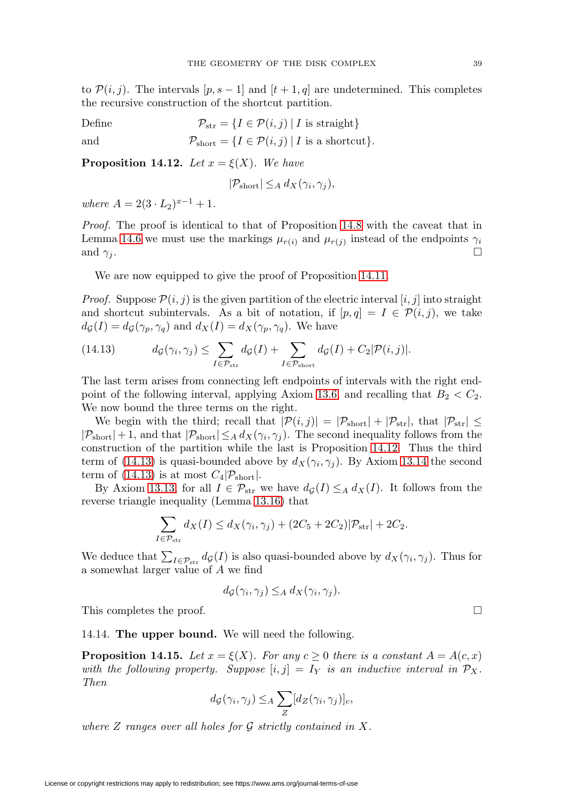to  $\mathcal{P}(i, j)$ . The intervals  $[p, s-1]$  and  $[t+1, q]$  are undetermined. This completes the recursive construction of the shortcut partition.

Define  $\mathcal{P}_{str} = \{I \in \mathcal{P}(i, j) | I \text{ is straight}\}\$ and  $\mathcal{P}_{short} = \{I \in \mathcal{P}(i,j) \mid I \text{ is a shortcut}\}.$ 

<span id="page-38-0"></span>**Proposition 14.12.** Let  $x = \xi(X)$ . We have

$$
|\mathcal{P}_{\text{short}}| \leq_A d_X(\gamma_i, \gamma_j),
$$

where  $A = 2(3 \cdot L_2)^{x-1} + 1$ .

Proof. The proof is identical to that of Proposition [14.8](#page-36-1) with the caveat that in Lemma [14.6](#page-35-1) we must use the markings  $\mu_{r(i)}$  and  $\mu_{r(j)}$  instead of the endpoints  $\gamma_i$ and  $\gamma_j$ .

We are now equipped to give the proof of Proposition [14.11.](#page-37-0)

*Proof.* Suppose  $\mathcal{P}(i, j)$  is the given partition of the electric interval  $[i, j]$  into straight and shortcut subintervals. As a bit of notation, if  $[p,q] = I \in \mathcal{P}(i,j)$ , we take  $d_{\mathcal{G}}(I) = d_{\mathcal{G}}(\gamma_p, \gamma_q)$  and  $d_X(I) = d_X(\gamma_p, \gamma_q)$ . We have

<span id="page-38-1"></span>(14.13) 
$$
d_{\mathcal{G}}(\gamma_i, \gamma_j) \leq \sum_{I \in \mathcal{P}_{\text{str}}} d_{\mathcal{G}}(I) + \sum_{I \in \mathcal{P}_{\text{short}}} d_{\mathcal{G}}(I) + C_2 |\mathcal{P}(i, j)|.
$$

The last term arises from connecting left endpoints of intervals with the right end-point of the following interval, applying Axiom [13.6,](#page-30-1) and recalling that  $B_2 < C_2$ . We now bound the three terms on the right.

We begin with the third; recall that  $|\mathcal{P}(i,j)| = |\mathcal{P}_{\text{short}}| + |\mathcal{P}_{\text{str}}|$ , that  $|\mathcal{P}_{\text{str}}| \le$  $|\mathcal{P}_{short}| + 1$ , and that  $|\mathcal{P}_{short}| \leq_A d_X(\gamma_i, \gamma_j)$ . The second inequality follows from the construction of the partition while the last is Proposition [14.12.](#page-38-0) Thus the third term of [\(14.13\)](#page-38-1) is quasi-bounded above by  $d_X(\gamma_i, \gamma_j)$ . By Axiom [13.14](#page-30-2) the second term of [\(14.13\)](#page-38-1) is at most  $C_4|\mathcal{P}_{short}|$ .

By Axiom [13.13,](#page-30-3) for all  $I \in \mathcal{P}_{str}$  we have  $d_{\mathcal{G}}(I) \leq_A d_X(I)$ . It follows from the reverse triangle inequality (Lemma [13.16\)](#page-31-2) that

$$
\sum_{I \in \mathcal{P}_{\text{str}}} d_X(I) \le d_X(\gamma_i, \gamma_j) + (2C_5 + 2C_2)|\mathcal{P}_{\text{str}}| + 2C_2.
$$

We deduce that  $\sum_{I \in \mathcal{P}_{\text{str}}} d_{\mathcal{G}}(I)$  is also quasi-bounded above by  $d_X(\gamma_i, \gamma_j)$ . Thus for a somewhat larger value of A we find

$$
d_{\mathcal{G}}(\gamma_i, \gamma_j) \leq_A d_X(\gamma_i, \gamma_j).
$$

This completes the proof.

14.14. **The upper bound.** We will need the following.

<span id="page-38-2"></span>**Proposition 14.15.** Let  $x = \xi(X)$ . For any  $c \geq 0$  there is a constant  $A = A(c, x)$ with the following property. Suppose  $[i, j] = I_Y$  is an inductive interval in  $\mathcal{P}_X$ . Then

$$
d_{\mathcal{G}}(\gamma_i, \gamma_j) \leq_A \sum_Z [d_Z(\gamma_i, \gamma_j)]_c,
$$

where  $Z$  ranges over all holes for  $G$  strictly contained in  $X$ .

 $\Box$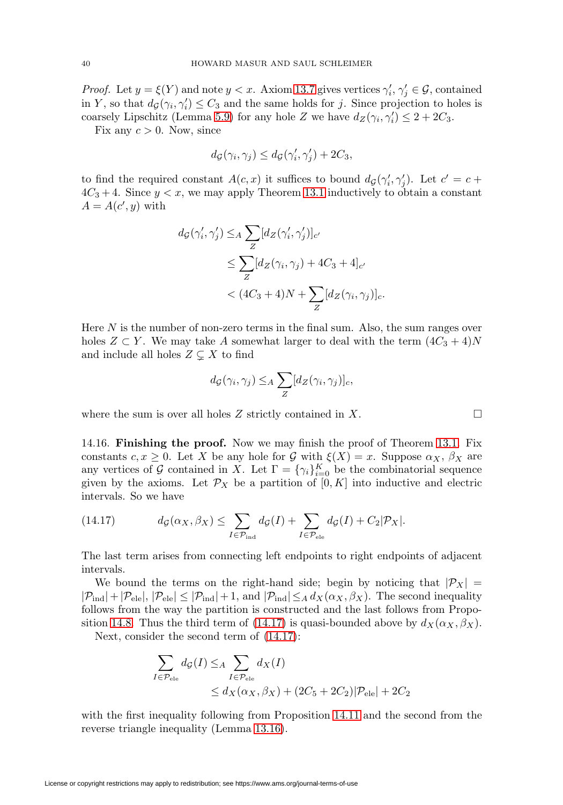*Proof.* Let  $y = \xi(Y)$  and note  $y < x$ . Axiom [13.7](#page-30-4) gives vertices  $\gamma'_i, \gamma'_j \in \mathcal{G}$ , contained in Y, so that  $d_{\mathcal{G}}(\gamma_i, \gamma'_i) \leq C_3$  and the same holds for j. Since projection to holes is coarsely Lipschitz (Lemma [5.9\)](#page-11-3) for any hole Z we have  $d_Z(\gamma_i, \gamma'_i) \leq 2 + 2C_3$ .

Fix any  $c > 0$ . Now, since

$$
d_{\mathcal{G}}(\gamma_i, \gamma_j) \leq d_{\mathcal{G}}(\gamma'_i, \gamma'_j) + 2C_3,
$$

to find the required constant  $A(c, x)$  it suffices to bound  $d_{\mathcal{G}}(\gamma_i', \gamma_j')$ . Let  $c' = c +$  $4C_3 + 4$ . Since  $y < x$ , we may apply Theorem [13.1](#page-29-1) inductively to obtain a constant  $A = A(c', y)$  with

$$
d_{\mathcal{G}}(\gamma'_i, \gamma'_j) \leq_A \sum_{Z} [d_Z(\gamma'_i, \gamma'_j)]_{c'}
$$
  
\n
$$
\leq \sum_{Z} [d_Z(\gamma_i, \gamma_j) + 4C_3 + 4]_{c'}
$$
  
\n
$$
< (4C_3 + 4)N + \sum_{Z} [d_Z(\gamma_i, \gamma_j)]_{c}.
$$

Here  $N$  is the number of non-zero terms in the final sum. Also, the sum ranges over holes  $Z \subset Y$ . We may take A somewhat larger to deal with the term  $(4C_3 + 4)N$ and include all holes  $Z \subsetneq X$  to find

$$
d_{\mathcal{G}}(\gamma_i, \gamma_j) \leq_A \sum_{Z} [d_Z(\gamma_i, \gamma_j)]_c,
$$

where the sum is over all holes  $Z$  strictly contained in  $X$ .

14.16. **Finishing the proof.** Now we may finish the proof of Theorem [13.1.](#page-29-1) Fix constants  $c, x \geq 0$ . Let X be any hole for G with  $\xi(X) = x$ . Suppose  $\alpha_X, \beta_X$  are any vertices of G contained in X. Let  $\Gamma = {\gamma_i}_{i=0}^K$  be the combinatorial sequence given by the axioms. Let  $\mathcal{P}_X$  be a partition of  $[0, K]$  into inductive and electric intervals. So we have

<span id="page-39-0"></span>(14.17) 
$$
d_{\mathcal{G}}(\alpha_X, \beta_X) \leq \sum_{I \in \mathcal{P}_{\text{ind}}} d_{\mathcal{G}}(I) + \sum_{I \in \mathcal{P}_{\text{ele}}} d_{\mathcal{G}}(I) + C_2 |\mathcal{P}_X|.
$$

The last term arises from connecting left endpoints to right endpoints of adjacent intervals.

We bound the terms on the right-hand side; begin by noticing that  $|\mathcal{P}_X|$  =  $|\mathcal{P}_{\text{ind}}| + |\mathcal{P}_{\text{ele}}|, |\mathcal{P}_{\text{ele}}| \leq |\mathcal{P}_{\text{ind}}| + 1$ , and  $|\mathcal{P}_{\text{ind}}| \leq_A d_X(\alpha_X, \beta_X)$ . The second inequality follows from the way the partition is constructed and the last follows from Propo-sition [14.8.](#page-36-1) Thus the third term of [\(14.17\)](#page-39-0) is quasi-bounded above by  $d_X(\alpha_X, \beta_X)$ .

Next, consider the second term of [\(14.17\)](#page-39-0):

$$
\sum_{I \in \mathcal{P}_{\text{ele}}} d_{\mathcal{G}}(I) \leq_{A} \sum_{I \in \mathcal{P}_{\text{ele}}} d_{X}(I)
$$
  

$$
\leq d_{X}(\alpha_{X}, \beta_{X}) + (2C_{5} + 2C_{2})|\mathcal{P}_{\text{ele}}| + 2C_{2}
$$

with the first inequality following from Proposition [14.11](#page-37-0) and the second from the reverse triangle inequality (Lemma [13.16\)](#page-31-2).

$$
\Box
$$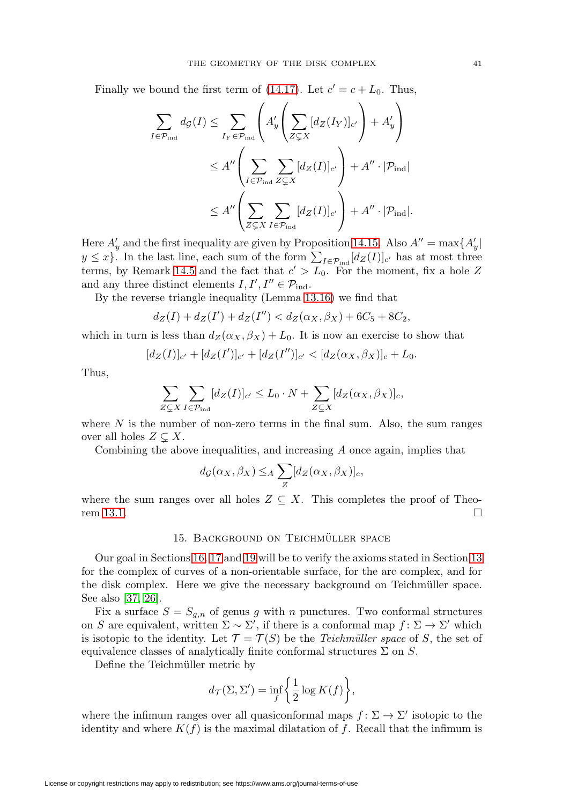<span id="page-40-1"></span>Finally we bound the first term of [\(14.17\)](#page-39-0). Let  $c' = c + L_0$ . Thus,

$$
\sum_{I \in \mathcal{P}_{\text{ind}}} d_{\mathcal{G}}(I) \leq \sum_{I_Y \in \mathcal{P}_{\text{ind}}} \left( A'_y \left( \sum_{Z \subsetneq X} [d_Z(I_Y)]_{c'} \right) + A'_y \right)
$$
  

$$
\leq A'' \left( \sum_{I \in \mathcal{P}_{\text{ind}}} \sum_{Z \subsetneq X} [d_Z(I)]_{c'} \right) + A'' \cdot |\mathcal{P}_{\text{ind}}|
$$
  

$$
\leq A'' \left( \sum_{Z \subsetneq X} \sum_{I \in \mathcal{P}_{\text{ind}}} [d_Z(I)]_{c'} \right) + A'' \cdot |\mathcal{P}_{\text{ind}}|.
$$

Here  $A'_y$  and the first inequality are given by Proposition [14.15.](#page-38-2) Also  $A'' = \max\{A'_y |$  $y \leq x$ . In the last line, each sum of the form  $\sum_{I \in \mathcal{P}_{ind}} [d_Z(I)]_{c'}$  has at most three terms, by Remark [14.5](#page-34-1) and the fact that  $c' > L_0$ . For the moment, fix a hole Z and any three distinct elements  $I, I', I'' \in \mathcal{P}_{\text{ind}}$ .

By the reverse triangle inequality (Lemma [13.16\)](#page-31-2) we find that

$$
d_Z(I) + d_Z(I') + d_Z(I'') < d_Z(\alpha_X, \beta_X) + 6C_5 + 8C_2,
$$

which in turn is less than  $d_Z(\alpha_X, \beta_X) + L_0$ . It is now an exercise to show that

$$
[d_Z(I)]_{c'} + [d_Z(I')]_{c'} + [d_Z(I'')]_{c'} < [d_Z(\alpha_X, \beta_X)]_c + L_0.
$$

Thus,

$$
\sum_{Z \subsetneq X} \sum_{I \in \mathcal{P}_{\text{ind}}} [d_Z(I)]_{c'} \leq L_0 \cdot N + \sum_{Z \subsetneq X} [d_Z(\alpha_X, \beta_X)]_c,
$$

where  $N$  is the number of non-zero terms in the final sum. Also, the sum ranges over all holes  $Z \subsetneq X$ .

Combining the above inequalities, and increasing  $A$  once again, implies that

$$
d_{\mathcal{G}}(\alpha_X, \beta_X) \leq_A \sum_Z [d_Z(\alpha_X, \beta_X)]_c,
$$

<span id="page-40-0"></span>where the sum ranges over all holes  $Z \subseteq X$ . This completes the proof of Theo-rem [13.1.](#page-29-1)  $\Box$ 

## 15. BACKGROUND ON TEICHMÜLLER SPACE

Our goal in Sections [16,](#page-43-0) [17](#page-46-0) and [19](#page-49-0) will be to verify the axioms stated in Section [13](#page-29-0) for the complex of curves of a non-orientable surface, for the arc complex, and for the disk complex. Here we give the necessary background on Teichmüller space. See also [\[37,](#page-60-14) [26\]](#page-60-15).

Fix a surface  $S = S_{g,n}$  of genus g with n punctures. Two conformal structures on S are equivalent, written  $\Sigma \sim \Sigma'$ , if there is a conformal map  $f: \Sigma \to \Sigma'$  which is isotopic to the identity. Let  $\mathcal{T} = \mathcal{T}(S)$  be the *Teichmüller space* of S, the set of equivalence classes of analytically finite conformal structures  $\Sigma$  on  $S$ .

Define the Teichmüller metric by

$$
d_{\mathcal{T}}(\Sigma, \Sigma') = \inf_{f} \left\{ \frac{1}{2} \log K(f) \right\},\,
$$

where the infimum ranges over all quasiconformal maps  $f: \Sigma \to \Sigma'$  isotopic to the identity and where  $K(f)$  is the maximal dilatation of f. Recall that the infimum is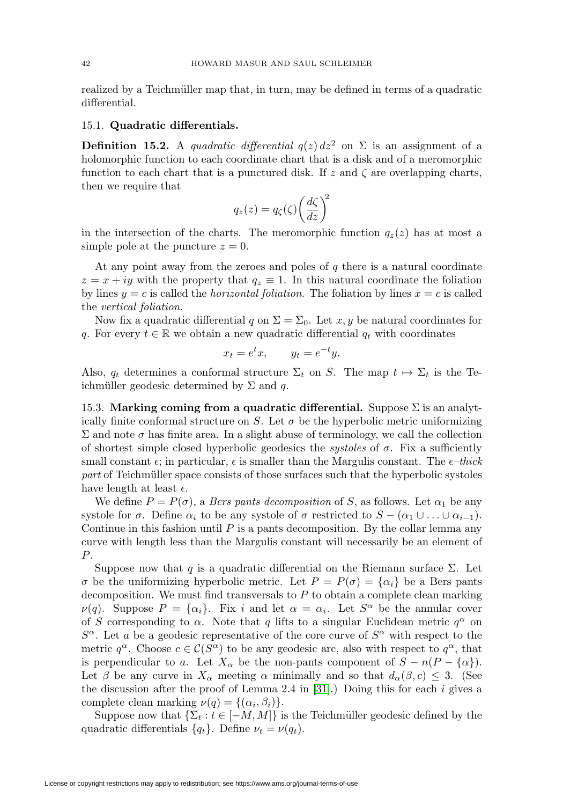<span id="page-41-0"></span>realized by a Teichmüller map that, in turn, may be defined in terms of a quadratic differential.

## 15.1. **Quadratic differentials.**

**Definition 15.2.** A quadratic differential  $q(z) dz^2$  on  $\Sigma$  is an assignment of a holomorphic function to each coordinate chart that is a disk and of a meromorphic function to each chart that is a punctured disk. If z and  $\zeta$  are overlapping charts, then we require that

$$
q_z(z) = q_\zeta(\zeta) \left(\frac{d\zeta}{dz}\right)^2
$$

in the intersection of the charts. The meromorphic function  $q_z(z)$  has at most a simple pole at the puncture  $z = 0$ .

At any point away from the zeroes and poles of  $q$  there is a natural coordinate  $z = x + iy$  with the property that  $q_z \equiv 1$ . In this natural coordinate the foliation by lines  $y = c$  is called the *horizontal foliation*. The foliation by lines  $x = c$  is called the vertical foliation.

Now fix a quadratic differential q on  $\Sigma = \Sigma_0$ . Let x, y be natural coordinates for q. For every  $t \in \mathbb{R}$  we obtain a new quadratic differential  $q_t$  with coordinates

$$
x_t = e^t x, \qquad y_t = e^{-t} y.
$$

Also,  $q_t$  determines a conformal structure  $\Sigma_t$  on S. The map  $t \mapsto \Sigma_t$  is the Teichmüller geodesic determined by  $\Sigma$  and q.

15.3. **Marking coming from a quadratic differential.** Suppose Σ is an analytically finite conformal structure on S. Let  $\sigma$  be the hyperbolic metric uniformizing  $\Sigma$  and note *σ* has finite area. In a slight abuse of terminology, we call the collection of shortest simple closed hyperbolic geodesics the *systoles* of  $\sigma$ . Fix a sufficiently small constant  $\epsilon$ ; in particular,  $\epsilon$  is smaller than the Margulis constant. The  $\epsilon$ -thick part of Teichmüller space consists of those surfaces such that the hyperbolic systoles have length at least  $\epsilon$ .

We define  $P = P(\sigma)$ , a *Bers pants decomposition* of *S*, as follows. Let  $\alpha_1$  be any systole for  $\sigma$ . Define  $\alpha_i$  to be any systole of  $\sigma$  restricted to  $S - (\alpha_1 \cup \ldots \cup \alpha_{i-1}).$ Continue in this fashion until  $P$  is a pants decomposition. By the collar lemma any curve with length less than the Margulis constant will necessarily be an element of P.

Suppose now that q is a quadratic differential on the Riemann surface  $\Sigma$ . Let  $\sigma$  be the uniformizing hyperbolic metric. Let  $P = P(\sigma) = {\alpha_i}$  be a Bers pants decomposition. We must find transversals to  $P$  to obtain a complete clean marking  $\nu(q)$ . Suppose  $P = {\alpha_i}$ . Fix i and let  $\alpha = \alpha_i$ . Let  $S^{\alpha}$  be the annular cover of S corresponding to  $\alpha$ . Note that q lifts to a singular Euclidean metric  $q^{\alpha}$  on  $S^{\alpha}$ . Let a be a geodesic representative of the core curve of  $S^{\alpha}$  with respect to the metric  $q^{\alpha}$ . Choose  $c \in \mathcal{C}(S^{\alpha})$  to be any geodesic arc, also with respect to  $q^{\alpha}$ , that is perpendicular to a. Let  $X_{\alpha}$  be the non-pants component of  $S - n(P - {\alpha})$ . Let  $\beta$  be any curve in  $X_{\alpha}$  meeting  $\alpha$  minimally and so that  $d_{\alpha}(\beta, c) \leq 3$ . (See the discussion after the proof of Lemma 2.4 in [\[31\]](#page-60-4).) Doing this for each  $i$  gives a complete clean marking  $\nu(q) = \{(\alpha_i, \beta_i)\}.$ 

Suppose now that  $\{\Sigma_t : t \in [-M, M]\}$  is the Teichmüller geodesic defined by the quadratic differentials  $\{q_t\}$ . Define  $\nu_t = \nu(q_t)$ .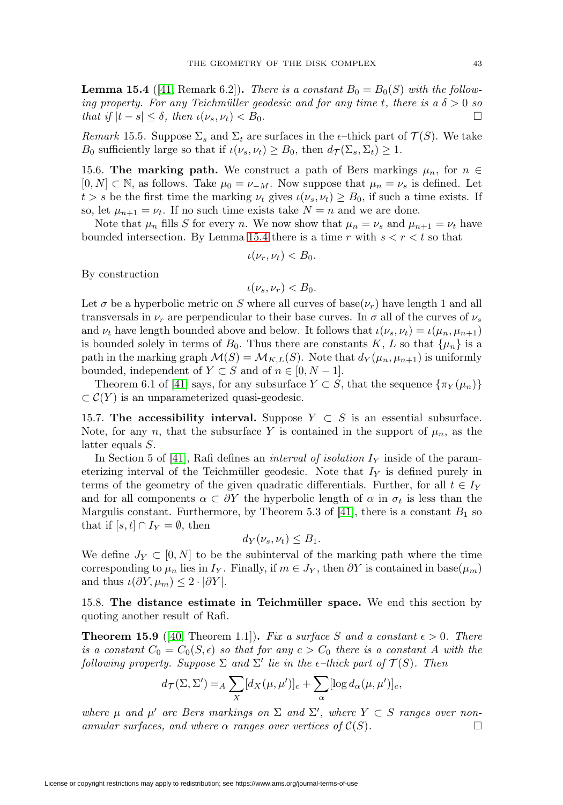<span id="page-42-5"></span><span id="page-42-0"></span>**Lemma 15.4** ([\[41,](#page-61-2) Remark 6.2]). There is a constant  $B_0 = B_0(S)$  with the following property. For any Teichmüller geodesic and for any time t, there is a  $\delta > 0$  so that if  $|t - s| \leq \delta$ , then  $\iota(\nu_s, \nu_t) < B_0$ .

<span id="page-42-3"></span>Remark 15.5. Suppose  $\Sigma_s$  and  $\Sigma_t$  are surfaces in the e-thick part of  $\mathcal{T}(S)$ . We take  $B_0$  sufficiently large so that if  $\iota(\nu_s, \nu_t) \geq B_0$ , then  $d_{\mathcal{T}}(\Sigma_s, \Sigma_t) \geq 1$ .

<span id="page-42-1"></span>15.6. **The marking path.** We construct a path of Bers markings  $\mu_n$ , for  $n \in$  $[0, N] \subset \mathbb{N}$ , as follows. Take  $\mu_0 = \nu_{-M}$ . Now suppose that  $\mu_n = \nu_s$  is defined. Let  $t>s$  be the first time the marking  $\nu_t$  gives  $\iota(\nu_s, \nu_t) \geq B_0$ , if such a time exists. If so, let  $\mu_{n+1} = \nu_t$ . If no such time exists take  $N = n$  and we are done.

Note that  $\mu_n$  fills S for every n. We now show that  $\mu_n = \nu_s$  and  $\mu_{n+1} = \nu_t$  have bounded intersection. By Lemma [15.4](#page-42-0) there is a time r with  $s < r < t$  so that

$$
\iota(\nu_r,\nu_t) < B_0.
$$

By construction

$$
\iota(\nu_s,\nu_r)
$$

Let  $\sigma$  be a hyperbolic metric on S where all curves of base $(\nu_r)$  have length 1 and all transversals in  $\nu_r$  are perpendicular to their base curves. In  $\sigma$  all of the curves of  $\nu_s$ and  $\nu_t$  have length bounded above and below. It follows that  $\iota(\nu_s, \nu_t) = \iota(\mu_n, \mu_{n+1})$ is bounded solely in terms of  $B_0$ . Thus there are constants K, L so that  $\{\mu_n\}$  is a path in the marking graph  $\mathcal{M}(S) = \mathcal{M}_{K,L}(S)$ . Note that  $d_Y(\mu_n, \mu_{n+1})$  is uniformly bounded, independent of  $Y \subset S$  and of  $n \in [0, N - 1]$ .

Theorem 6.1 of [\[41\]](#page-61-2) says, for any subsurface  $Y \subset S$ , that the sequence  $\{\pi_Y(\mu_n)\}\$  $\subset \mathcal{C}(Y)$  is an unparameterized quasi-geodesic.

<span id="page-42-2"></span>15.7. **The accessibility interval.** Suppose  $Y \subset S$  is an essential subsurface. Note, for any n, that the subsurface Y is contained in the support of  $\mu_n$ , as the latter equals S.

In Section 5 of [\[41\]](#page-61-2), Rafi defines an *interval of isolation I<sub>Y</sub>* inside of the parameterizing interval of the Teichmüller geodesic. Note that  $I_Y$  is defined purely in terms of the geometry of the given quadratic differentials. Further, for all  $t \in I_Y$ and for all components  $\alpha \subset \partial Y$  the hyperbolic length of  $\alpha$  in  $\sigma_t$  is less than the Margulis constant. Furthermore, by Theorem 5.3 of [\[41\]](#page-61-2), there is a constant  $B_1$  so that if  $[s, t] \cap I_Y = \emptyset$ , then

$$
d_Y(\nu_s,\nu_t)\leq B_1.
$$

We define  $J_Y \subset [0,N]$  to be the subinterval of the marking path where the time corresponding to  $\mu_n$  lies in  $I_Y$ . Finally, if  $m \in J_Y$ , then  $\partial Y$  is contained in base( $\mu_m$ ) and thus  $\iota(\partial Y,\mu_m) \leq 2 \cdot |\partial Y|$ .

15.8. **The distance estimate in Teichm¨uller space.** We end this section by quoting another result of Rafi.

<span id="page-42-4"></span>**Theorem 15.9** ([\[40,](#page-61-8) Theorem 1.1]). Fix a surface S and a constant  $\epsilon > 0$ . There is a constant  $C_0 = C_0(S, \epsilon)$  so that for any  $c > C_0$  there is a constant A with the following property. Suppose  $\Sigma$  and  $\Sigma'$  lie in the  $\epsilon$ -thick part of  $\mathcal{T}(S)$ . Then

$$
d_{\mathcal{T}}(\Sigma, \Sigma') =_A \sum_X [d_X(\mu, \mu')]_c + \sum_\alpha [\log d_\alpha(\mu, \mu')]_c,
$$

where  $\mu$  and  $\mu'$  are Bers markings on  $\Sigma$  and  $\Sigma'$ , where  $Y \subset S$  ranges over nonannular surfaces, and where  $\alpha$  ranges over vertices of  $\mathcal{C}(S)$ .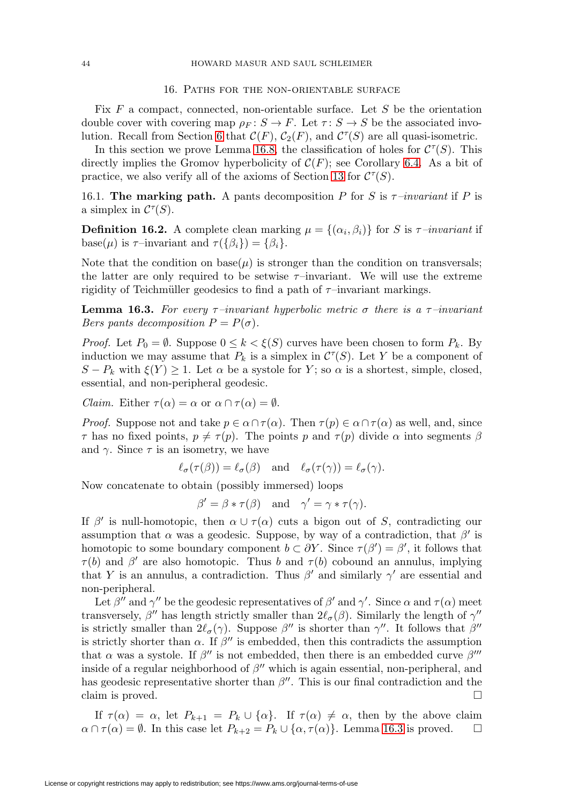#### 16. Paths for the non-orientable surface

<span id="page-43-0"></span>Fix  $F$  a compact, connected, non-orientable surface. Let  $S$  be the orientation double cover with covering map  $\rho_F : S \to F$ . Let  $\tau : S \to S$  be the associated invo-lution. Recall from Section [6](#page-12-0) that  $\mathcal{C}(F)$ ,  $\mathcal{C}_2(F)$ , and  $\mathcal{C}^{\tau}(S)$  are all quasi-isometric.

In this section we prove Lemma [16.8,](#page-45-0) the classification of holes for  $C^{\tau}(S)$ . This directly implies the Gromov hyperbolicity of  $\mathcal{C}(F)$ ; see Corollary [6.4.](#page-12-1) As a bit of practice, we also verify all of the axioms of Section [13](#page-29-0) for  $\mathcal{C}^{\tau}(S)$ .

<span id="page-43-2"></span>16.1. **The marking path.** A pants decomposition P for S is  $\tau$ -invariant if P is a simplex in  $\mathcal{C}^{\tau}(S)$ .

**Definition 16.2.** A complete clean marking  $\mu = \{(\alpha_i, \beta_i)\}\$  for S is  $\tau$ -invariant if base( $\mu$ ) is  $\tau$ –invariant and  $\tau({\beta_i}) = {\beta_i}.$ 

Note that the condition on base( $\mu$ ) is stronger than the condition on transversals; the latter are only required to be setwise  $\tau$ –invariant. We will use the extreme rigidity of Teichmüller geodesics to find a path of  $\tau$ –invariant markings.

<span id="page-43-1"></span>**Lemma 16.3.** For every  $\tau$ –invariant hyperbolic metric  $\sigma$  there is a  $\tau$ –invariant Bers pants decomposition  $P = P(\sigma)$ .

*Proof.* Let  $P_0 = \emptyset$ . Suppose  $0 \le k \le \xi(S)$  curves have been chosen to form  $P_k$ . By induction we may assume that  $P_k$  is a simplex in  $\mathcal{C}^{\tau}(S)$ . Let Y be a component of  $S - P_k$  with  $\xi(Y) \geq 1$ . Let  $\alpha$  be a systole for Y; so  $\alpha$  is a shortest, simple, closed, essential, and non-peripheral geodesic.

*Claim.* Either  $\tau(\alpha) = \alpha$  or  $\alpha \cap \tau(\alpha) = \emptyset$ .

*Proof.* Suppose not and take  $p \in \alpha \cap \tau(\alpha)$ . Then  $\tau(p) \in \alpha \cap \tau(\alpha)$  as well, and, since  $\tau$  has no fixed points,  $p \neq \tau(p)$ . The points p and  $\tau(p)$  divide  $\alpha$  into segments  $\beta$ and  $\gamma$ . Since  $\tau$  is an isometry, we have

$$
\ell_{\sigma}(\tau(\beta)) = \ell_{\sigma}(\beta)
$$
 and  $\ell_{\sigma}(\tau(\gamma)) = \ell_{\sigma}(\gamma)$ .

Now concatenate to obtain (possibly immersed) loops

$$
\beta' = \beta * \tau(\beta) \quad \text{and} \quad \gamma' = \gamma * \tau(\gamma).
$$

If  $\beta'$  is null-homotopic, then  $\alpha \cup \tau(\alpha)$  cuts a bigon out of S, contradicting our assumption that  $\alpha$  was a geodesic. Suppose, by way of a contradiction, that  $\beta'$  is homotopic to some boundary component  $b \subset \partial Y$ . Since  $\tau(\beta') = \beta'$ , it follows that  $\tau(b)$  and  $\beta'$  are also homotopic. Thus b and  $\tau(b)$  cobound an annulus, implying that Y is an annulus, a contradiction. Thus  $\beta'$  and similarly  $\gamma'$  are essential and non-peripheral.

Let  $\beta''$  and  $\gamma''$  be the geodesic representatives of  $\beta'$  and  $\gamma'$ . Since  $\alpha$  and  $\tau(\alpha)$  meet transversely,  $\beta''$  has length strictly smaller than  $2\ell_{\sigma}(\beta)$ . Similarly the length of  $\gamma''$ is strictly smaller than  $2\ell_{\sigma}(\gamma)$ . Suppose  $\beta''$  is shorter than  $\gamma''$ . It follows that  $\beta''$ is strictly shorter than  $\alpha$ . If  $\beta''$  is embedded, then this contradicts the assumption that  $\alpha$  was a systole. If  $\beta''$  is not embedded, then there is an embedded curve  $\beta'''$ inside of a regular neighborhood of  $\beta''$  which is again essential, non-peripheral, and has geodesic representative shorter than  $\beta''$ . This is our final contradiction and the claim is proved.  $\Box$ 

If  $\tau(\alpha) = \alpha$ , let  $P_{k+1} = P_k \cup {\alpha}$ . If  $\tau(\alpha) \neq \alpha$ , then by the above claim  $\alpha \cap \tau(\alpha) = \emptyset$ . In this case let  $P_{k+2} = P_k \cup \{\alpha, \tau(\alpha)\}\)$ . Lemma [16.3](#page-43-1) is proved.  $\Box$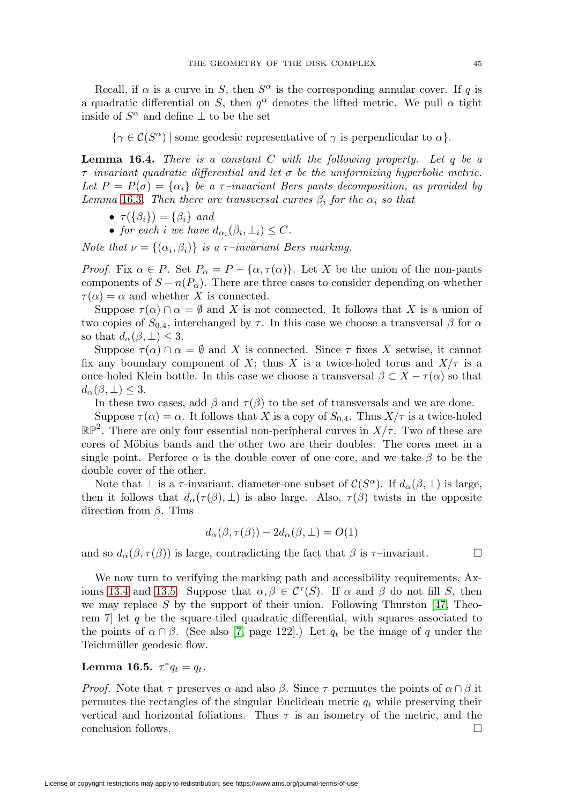<span id="page-44-2"></span>Recall, if  $\alpha$  is a curve in S, then  $S^{\alpha}$  is the corresponding annular cover. If q is a quadratic differential on S, then  $q^{\alpha}$  denotes the lifted metric. We pull  $\alpha$  tight inside of  $S^{\alpha}$  and define  $\perp$  to be the set

 $\{\gamma \in C(S^{\alpha}) \mid \text{some geodesic representative of } \gamma \text{ is perpendicular to } \alpha\}.$ 

<span id="page-44-0"></span>**Lemma 16.4.** There is a constant  $C$  with the following property. Let  $q$  be a  $\tau$ –invariant quadratic differential and let  $\sigma$  be the uniformizing hyperbolic metric. Let  $P = P(\sigma) = \{\alpha_i\}$  be a  $\tau$ -invariant Bers pants decomposition, as provided by Lemma [16.3](#page-43-1). Then there are transversal curves  $\beta_i$  for the  $\alpha_i$  so that

•  $\tau(\{\beta_i\}) = \{\beta_i\}$  and

• for each i we have  $d_{\alpha_i}(\beta_i, \perp_i) \leq C$ .

Note that  $\nu = \{(\alpha_i, \beta_i)\}\$ is a  $\tau$ -invariant Bers marking.

*Proof.* Fix  $\alpha \in P$ . Set  $P_{\alpha} = P - {\alpha, \tau(\alpha)}$ . Let X be the union of the non-pants components of  $S - n(P_\alpha)$ . There are three cases to consider depending on whether  $\tau(\alpha) = \alpha$  and whether X is connected.

Suppose  $\tau(\alpha) \cap \alpha = \emptyset$  and X is not connected. It follows that X is a union of two copies of  $S_{0,4}$ , interchanged by  $\tau$ . In this case we choose a transversal  $\beta$  for  $\alpha$ so that  $d_{\alpha}(\beta, \perp) \leq 3$ .

Suppose  $\tau(\alpha) \cap \alpha = \emptyset$  and X is connected. Since  $\tau$  fixes X setwise, it cannot fix any boundary component of X; thus X is a twice-holed torus and  $X/\tau$  is a once-holed Klein bottle. In this case we choose a transversal  $\beta \subset X - \tau(\alpha)$  so that  $d_{\alpha}(\beta, \perp) \leq 3.$ 

In these two cases, add  $\beta$  and  $\tau(\beta)$  to the set of transversals and we are done.

Suppose  $\tau(\alpha) = \alpha$ . It follows that X is a copy of  $S_{0,4}$ . Thus  $X/\tau$  is a twice-holed  $\mathbb{RP}^2$ . There are only four essential non-peripheral curves in  $X/\tau$ . Two of these are cores of Möbius bands and the other two are their doubles. The cores meet in a single point. Perforce  $\alpha$  is the double cover of one core, and we take  $\beta$  to be the double cover of the other.

Note that  $\perp$  is a  $\tau$ -invariant, diameter-one subset of  $\mathcal{C}(S^{\alpha})$ . If  $d_{\alpha}(\beta, \perp)$  is large, then it follows that  $d_{\alpha}(\tau(\beta), \perp)$  is also large. Also,  $\tau(\beta)$  twists in the opposite direction from  $\beta$ . Thus

$$
d_{\alpha}(\beta, \tau(\beta)) - 2d_{\alpha}(\beta, \perp) = O(1)
$$

and so  $d_{\alpha}(\beta, \tau(\beta))$  is large, contradicting the fact that  $\beta$  is  $\tau$ -invariant.  $\Box$ 

We now turn to verifying the marking path and accessibility requirements, Ax-ioms [13.4](#page-29-3) and [13.5.](#page-30-0) Suppose that  $\alpha, \beta \in C^{\tau}(S)$ . If  $\alpha$  and  $\beta$  do not fill S, then we may replace  $S$  by the support of their union. Following Thurston [\[47,](#page-61-5) Theorem  $7$  let  $q$  be the square-tiled quadratic differential, with squares associated to the points of  $\alpha \cap \beta$ . (See also [\[7,](#page-59-6) page 122].) Let  $q_t$  be the image of q under the Teichmüller geodesic flow.

# <span id="page-44-1"></span>**Lemma 16.5.**  $\tau^* q_t = q_t$ .

*Proof.* Note that  $\tau$  preserves  $\alpha$  and also  $\beta$ . Since  $\tau$  permutes the points of  $\alpha \cap \beta$  it permutes the rectangles of the singular Euclidean metric  $q_t$  while preserving their vertical and horizontal foliations. Thus  $\tau$  is an isometry of the metric, and the conclusion follows.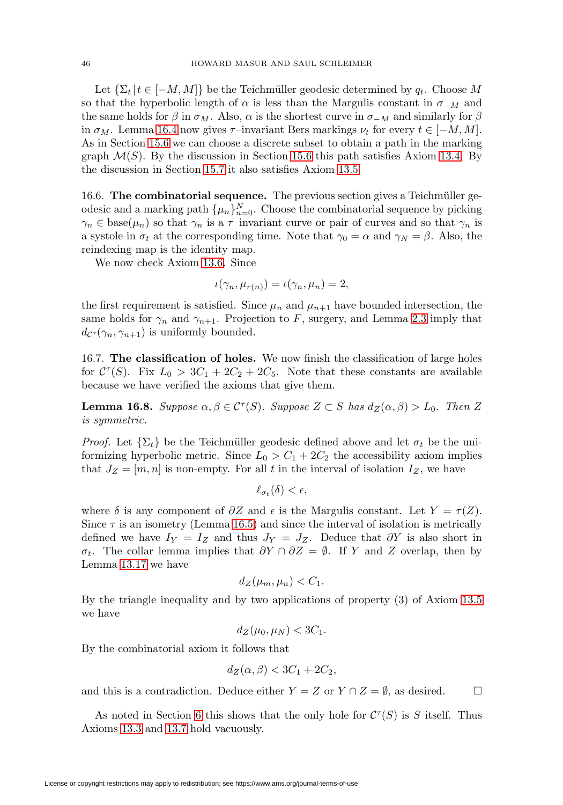Let  $\{\Sigma_t | t \in [-M, M]\}$  be the Teichmüller geodesic determined by  $q_t$ . Choose M so that the hyperbolic length of  $\alpha$  is less than the Margulis constant in  $\sigma_{-M}$  and the same holds for  $\beta$  in  $\sigma_M$ . Also,  $\alpha$  is the shortest curve in  $\sigma_M$  and similarly for  $\beta$ in  $\sigma_M$ . Lemma [16.4](#page-44-0) now gives  $\tau$ –invariant Bers markings  $\nu_t$  for every  $t \in [-M, M]$ . As in Section [15.6](#page-42-1) we can choose a discrete subset to obtain a path in the marking graph  $\mathcal{M}(S)$ . By the discussion in Section [15.6](#page-42-1) this path satisfies Axiom [13.4.](#page-29-3) By the discussion in Section [15.7](#page-42-2) it also satisfies Axiom [13.5.](#page-30-0)

16.6. **The combinatorial sequence.** The previous section gives a Teichmüller geodesic and a marking path  $\{\mu_n\}_{n=0}^N$ . Choose the combinatorial sequence by picking  $\gamma_n \in \text{base}(\mu_n)$  so that  $\gamma_n$  is a  $\tau$ -invariant curve or pair of curves and so that  $\gamma_n$  is a systole in  $\sigma_t$  at the corresponding time. Note that  $\gamma_0 = \alpha$  and  $\gamma_N = \beta$ . Also, the reindexing map is the identity map.

We now check Axiom [13.6.](#page-30-1) Since

$$
\iota(\gamma_n, \mu_{r(n)}) = \iota(\gamma_n, \mu_n) = 2,
$$

the first requirement is satisfied. Since  $\mu_n$  and  $\mu_{n+1}$  have bounded intersection, the same holds for  $\gamma_n$  and  $\gamma_{n+1}$ . Projection to F, surgery, and Lemma [2.3](#page-3-0) imply that  $d_{\mathcal{C}^{\tau}}(\gamma_n, \gamma_{n+1})$  is uniformly bounded.

16.7. **The classification of holes.** We now finish the classification of large holes for  $C^{\tau}(S)$ . Fix  $L_0 > 3C_1 + 2C_2 + 2C_5$ . Note that these constants are available because we have verified the axioms that give them.

<span id="page-45-0"></span>**Lemma 16.8.** Suppose  $\alpha, \beta \in \mathcal{C}^{\tau}(S)$ . Suppose  $Z \subset S$  has  $d_Z(\alpha, \beta) > L_0$ . Then Z is symmetric.

*Proof.* Let  $\{\Sigma_t\}$  be the Teichmüller geodesic defined above and let  $\sigma_t$  be the uniformizing hyperbolic metric. Since  $L_0 > C_1 + 2C_2$  the accessibility axiom implies that  $J_Z = [m, n]$  is non-empty. For all t in the interval of isolation  $I_Z$ , we have

$$
\ell_{\sigma_t}(\delta) < \epsilon,
$$

where  $\delta$  is any component of  $\partial Z$  and  $\epsilon$  is the Margulis constant. Let  $Y = \tau(Z)$ . Since  $\tau$  is an isometry (Lemma [16.5\)](#page-44-1) and since the interval of isolation is metrically defined we have  $I_Y = I_Z$  and thus  $J_Y = J_Z$ . Deduce that  $\partial Y$  is also short in σt. The collar lemma implies that ∂Y ∩ ∂Z = ∅. If Y and Z overlap, then by Lemma [13.17](#page-31-6) we have

$$
d_Z(\mu_m, \mu_n) < C_1.
$$

By the triangle inequality and by two applications of property (3) of Axiom [13.5](#page-30-0) we have

$$
d_Z(\mu_0, \mu_N) < 3C_1.
$$

By the combinatorial axiom it follows that

$$
d_Z(\alpha, \beta) < 3C_1 + 2C_2
$$

and this is a contradiction. Deduce either  $Y = Z$  or  $Y \cap Z = \emptyset$ , as desired.  $\Box$ 

As noted in Section [6](#page-12-0) this shows that the only hole for  $C^{\tau}(S)$  is S itself. Thus Axioms [13.3](#page-29-2) and [13.7](#page-30-4) hold vacuously.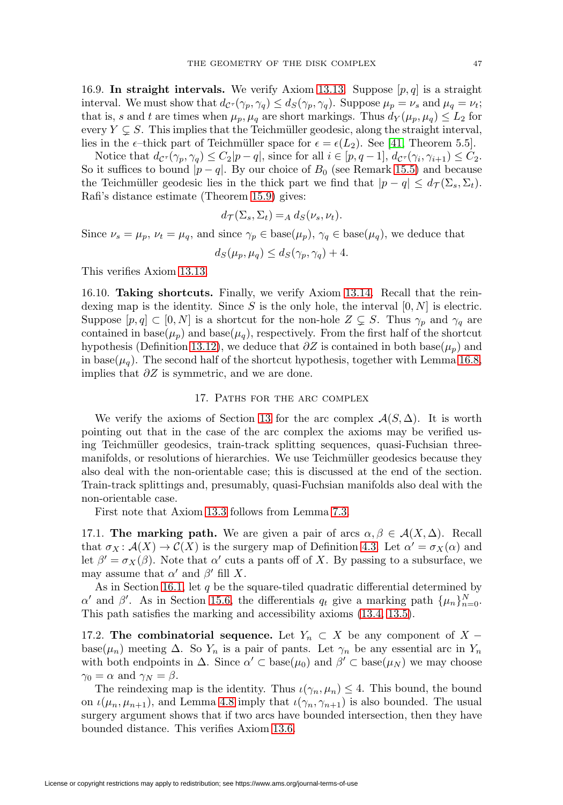<span id="page-46-1"></span>16.9. In straight intervals. We verify Axiom [13.13.](#page-30-3) Suppose  $[p, q]$  is a straight interval. We must show that  $d_{\mathcal{C}^{\tau}}(\gamma_p, \gamma_q) \leq d_{S}(\gamma_p, \gamma_q)$ . Suppose  $\mu_p = \nu_s$  and  $\mu_q = \nu_t$ ; that is, s and t are times when  $\mu_p, \mu_q$  are short markings. Thus  $d_Y(\mu_p, \mu_q) \leq L_2$  for every  $Y \subsetneq S$ . This implies that the Teichmüller geodesic, along the straight interval, lies in the  $\epsilon$ -thick part of Teichmüller space for  $\epsilon = \epsilon(L_2)$ . See [\[41,](#page-61-2) Theorem 5.5].

Notice that  $d_{\mathcal{C}^{\tau}}(\gamma_p, \gamma_q) \leq C_2|p-q|$ , since for all  $i \in [p, q-1], d_{\mathcal{C}^{\tau}}(\gamma_i, \gamma_{i+1}) \leq C_2$ . So it suffices to bound  $|p - q|$ . By our choice of  $B_0$  (see Remark [15.5\)](#page-42-3) and because the Teichmüller geodesic lies in the thick part we find that  $|p - q| \leq d_{\mathcal{T}}(\Sigma_s, \Sigma_t)$ . Rafi's distance estimate (Theorem [15.9\)](#page-42-4) gives:

$$
d_{\mathcal{T}}(\Sigma_s, \Sigma_t) =_A d_S(\nu_s, \nu_t).
$$

Since  $\nu_s = \mu_p$ ,  $\nu_t = \mu_q$ , and since  $\gamma_p \in \text{base}(\mu_p)$ ,  $\gamma_q \in \text{base}(\mu_q)$ , we deduce that

$$
d_S(\mu_p, \mu_q) \le d_S(\gamma_p, \gamma_q) + 4.
$$

This verifies Axiom [13.13.](#page-30-3)

16.10. **Taking shortcuts.** Finally, we verify Axiom [13.14.](#page-30-2) Recall that the reindexing map is the identity. Since S is the only hole, the interval  $[0, N]$  is electric. Suppose  $[p, q] \subset [0, N]$  is a shortcut for the non-hole  $Z \subsetneq S$ . Thus  $\gamma_p$  and  $\gamma_q$  are contained in base( $\mu_p$ ) and base( $\mu_q$ ), respectively. From the first half of the shortcut hypothesis (Definition [13.12\)](#page-30-5), we deduce that  $\partial Z$  is contained in both base( $\mu_p$ ) and in base( $\mu_q$ ). The second half of the shortcut hypothesis, together with Lemma [16.8,](#page-45-0) implies that  $\partial Z$  is symmetric, and we are done.

## 17. PATHS FOR THE ARC COMPLEX

<span id="page-46-0"></span>We verify the axioms of Section [13](#page-29-0) for the arc complex  $\mathcal{A}(S,\Delta)$ . It is worth pointing out that in the case of the arc complex the axioms may be verified using Teichmüller geodesics, train-track splitting sequences, quasi-Fuchsian threemanifolds, or resolutions of hierarchies. We use Teichmüller geodesics because they also deal with the non-orientable case; this is discussed at the end of the section. Train-track splittings and, presumably, quasi-Fuchsian manifolds also deal with the non-orientable case.

First note that Axiom [13.3](#page-29-2) follows from Lemma [7.3.](#page-13-3)

17.1. **The marking path.** We are given a pair of arcs  $\alpha, \beta \in \mathcal{A}(X, \Delta)$ . Recall that  $\sigma_X : \mathcal{A}(X) \to \mathcal{C}(X)$  is the surgery map of Definition [4.3.](#page-8-1) Let  $\alpha' = \sigma_X(\alpha)$  and let  $\beta' = \sigma_X(\beta)$ . Note that  $\alpha'$  cuts a pants off of X. By passing to a subsurface, we may assume that  $\alpha'$  and  $\beta'$  fill X.

As in Section [16.1,](#page-43-2) let q be the square-tiled quadratic differential determined by α' and β'. As in Section [15.6,](#page-42-1) the differentials  $q_t$  give a marking path  $\{\mu_n\}_{n=0}^N$ . This path satisfies the marking and accessibility axioms [\(13.4,](#page-29-3) [13.5\)](#page-30-0).

17.2. **The combinatorial sequence.** Let  $Y_n \subset X$  be any component of X – base( $\mu_n$ ) meeting  $\Delta$ . So  $Y_n$  is a pair of pants. Let  $\gamma_n$  be any essential arc in  $Y_n$ with both endpoints in  $\Delta$ . Since  $\alpha' \subset \text{base}(\mu_0)$  and  $\beta' \subset \text{base}(\mu_N)$  we may choose  $\gamma_0 = \alpha$  and  $\gamma_N = \beta$ .

The reindexing map is the identity. Thus  $\iota(\gamma_n, \mu_n) \leq 4$ . This bound, the bound on  $\iota(\mu_n, \mu_{n+1})$ , and Lemma [4.8](#page-8-4) imply that  $\iota(\gamma_n, \gamma_{n+1})$  is also bounded. The usual surgery argument shows that if two arcs have bounded intersection, then they have bounded distance. This verifies Axiom [13.6.](#page-30-1)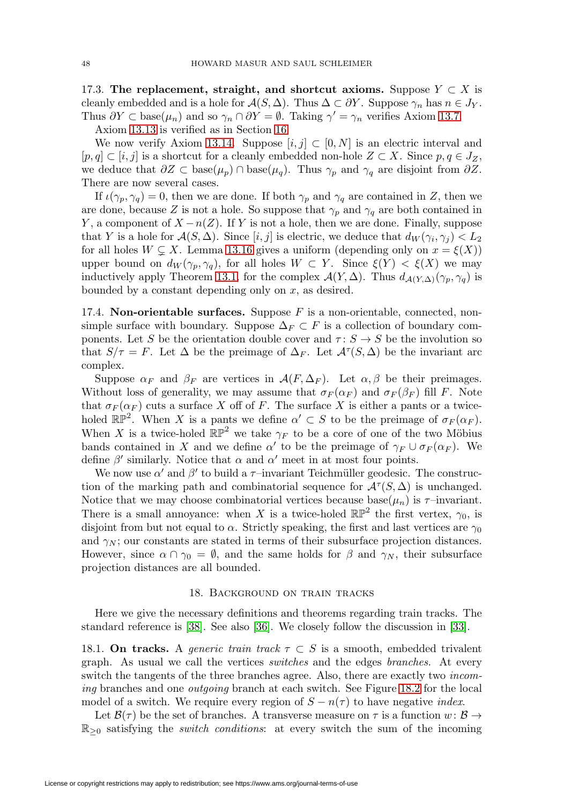<span id="page-47-1"></span>17.3. The replacement, straight, and shortcut axioms. Suppose  $Y \subset X$  is cleanly embedded and is a hole for  $\mathcal{A}(S, \Delta)$ . Thus  $\Delta \subset \partial Y$ . Suppose  $\gamma_n$  has  $n \in J_Y$ . Thus  $\partial Y \subset \text{base}(\mu_n)$  and so  $\gamma_n \cap \partial Y = \emptyset$ . Taking  $\gamma' = \gamma_n$  verifies Axiom [13.7.](#page-30-4)

Axiom [13.13](#page-30-3) is verified as in Section [16.](#page-43-0)

We now verify Axiom [13.14.](#page-30-2) Suppose  $[i, j] \subset [0, N]$  is an electric interval and  $[p, q] \subset [i, j]$  is a shortcut for a cleanly embedded non-hole  $Z \subset X$ . Since  $p, q \in J_Z$ , we deduce that  $\partial Z \subset \text{base}(\mu_p) \cap \text{base}(\mu_q)$ . Thus  $\gamma_p$  and  $\gamma_q$  are disjoint from  $\partial Z$ . There are now several cases.

If  $\iota(\gamma_p, \gamma_q) = 0$ , then we are done. If both  $\gamma_p$  and  $\gamma_q$  are contained in Z, then we are done, because Z is not a hole. So suppose that  $\gamma_p$  and  $\gamma_q$  are both contained in Y, a component of  $X - n(Z)$ . If Y is not a hole, then we are done. Finally, suppose that Y is a hole for  $\mathcal{A}(S, \Delta)$ . Since  $[i, j]$  is electric, we deduce that  $d_W(\gamma_i, \gamma_j) < L_2$ for all holes  $W \subsetneq X$ . Lemma [13.16](#page-31-2) gives a uniform (depending only on  $x = \xi(X)$ ) upper bound on  $d_W(\gamma_p, \gamma_q)$ , for all holes  $W \subset Y$ . Since  $\xi(Y) < \xi(X)$  we may inductively apply Theorem [13.1,](#page-29-1) for the complex  $\mathcal{A}(Y,\Delta)$ . Thus  $d_{\mathcal{A}(Y,\Delta)}(\gamma_p,\gamma_q)$  is bounded by a constant depending only on  $x$ , as desired.

17.4. **Non-orientable surfaces.** Suppose  $F$  is a non-orientable, connected, nonsimple surface with boundary. Suppose  $\Delta_F \subset F$  is a collection of boundary components. Let S be the orientation double cover and  $\tau: S \to S$  be the involution so that  $S/\tau = F$ . Let  $\Delta$  be the preimage of  $\Delta_F$ . Let  $\mathcal{A}^{\tau}(S,\Delta)$  be the invariant arc complex.

Suppose  $\alpha_F$  and  $\beta_F$  are vertices in  $\mathcal{A}(F,\Delta_F)$ . Let  $\alpha,\beta$  be their preimages. Without loss of generality, we may assume that  $\sigma_F(\alpha_F)$  and  $\sigma_F(\beta_F)$  fill F. Note that  $\sigma_F(\alpha_F)$  cuts a surface X off of F. The surface X is either a pants or a twiceholed  $\mathbb{RP}^2$ . When X is a pants we define  $\alpha' \subset S$  to be the preimage of  $\sigma_F(\alpha_F)$ . When X is a twice-holed  $\mathbb{RP}^2$  we take  $\gamma_F$  to be a core of one of the two Möbius bands contained in X and we define  $\alpha'$  to be the preimage of  $\gamma_F \cup \sigma_F(\alpha_F)$ . We define  $\beta'$  similarly. Notice that  $\alpha$  and  $\alpha'$  meet in at most four points.

We now use  $\alpha'$  and  $\beta'$  to build a  $\tau$ –invariant Teichmüller geodesic. The construction of the marking path and combinatorial sequence for  $\mathcal{A}^{\tau}(S,\Delta)$  is unchanged. Notice that we may choose combinatorial vertices because base $(\mu_n)$  is  $\tau$ -invariant. There is a small annoyance: when X is a twice-holed  $\mathbb{RP}^2$  the first vertex,  $\gamma_0$ , is disjoint from but not equal to  $\alpha$ . Strictly speaking, the first and last vertices are  $\gamma_0$ and  $\gamma_N$ ; our constants are stated in terms of their subsurface projection distances. However, since  $\alpha \cap \gamma_0 = \emptyset$ , and the same holds for  $\beta$  and  $\gamma_N$ , their subsurface projection distances are all bounded.

### 18. Background on train tracks

<span id="page-47-0"></span>Here we give the necessary definitions and theorems regarding train tracks. The standard reference is [\[38\]](#page-60-16). See also [\[36\]](#page-60-17). We closely follow the discussion in [\[33\]](#page-60-5).

18.1. **On tracks.** A generic train track  $\tau \subset S$  is a smooth, embedded trivalent graph. As usual we call the vertices switches and the edges branches. At every switch the tangents of the three branches agree. Also, there are exactly two incoming branches and one *outgoing* branch at each switch. See Figure [18.2](#page-48-0) for the local model of a switch. We require every region of  $S - n(\tau)$  to have negative *index*.

Let  $\mathcal{B}(\tau)$  be the set of branches. A transverse measure on  $\tau$  is a function  $w: \mathcal{B} \to$  $\mathbb{R}_{\geq 0}$  satisfying the *switch conditions*: at every switch the sum of the incoming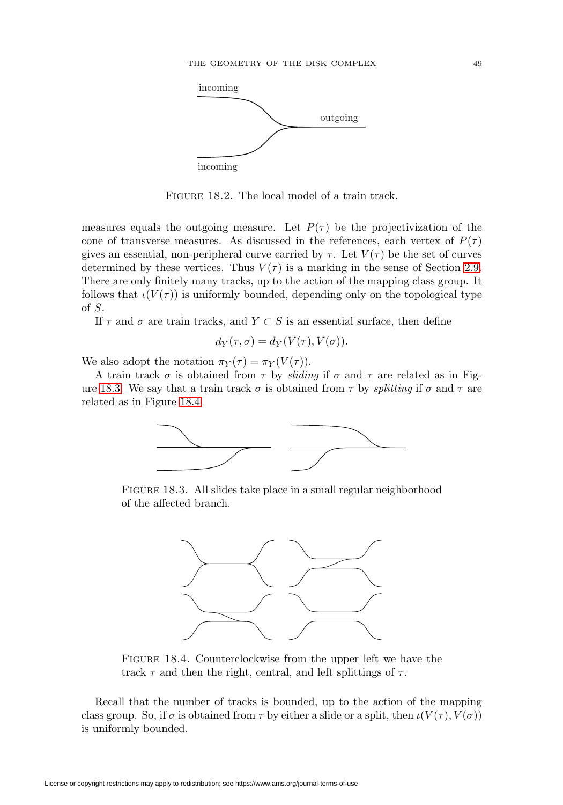

<span id="page-48-0"></span>FIGURE 18.2. The local model of a train track.

measures equals the outgoing measure. Let  $P(\tau)$  be the projectivization of the cone of transverse measures. As discussed in the references, each vertex of  $P(\tau)$ gives an essential, non-peripheral curve carried by  $\tau$ . Let  $V(\tau)$  be the set of curves determined by these vertices. Thus  $V(\tau)$  is a marking in the sense of Section [2.9.](#page-4-0) There are only finitely many tracks, up to the action of the mapping class group. It follows that  $\iota(V(\tau))$  is uniformly bounded, depending only on the topological type of S.

If  $\tau$  and  $\sigma$  are train tracks, and  $Y \subset S$  is an essential surface, then define

$$
d_Y(\tau,\sigma) = d_Y(V(\tau),V(\sigma)).
$$

We also adopt the notation  $\pi_Y(\tau) = \pi_Y(V(\tau))$ .

A train track  $\sigma$  is obtained from  $\tau$  by *sliding* if  $\sigma$  and  $\tau$  are related as in Fig-ure [18.3.](#page-48-1) We say that a train track  $\sigma$  is obtained from  $\tau$  by *splitting* if  $\sigma$  and  $\tau$  are related as in Figure [18.4.](#page-48-2)



FIGURE 18.3. All slides take place in a small regular neighborhood of the affected branch.

<span id="page-48-1"></span>

<span id="page-48-2"></span>FIGURE 18.4. Counterclockwise from the upper left we have the track  $\tau$  and then the right, central, and left splittings of  $\tau$ .

Recall that the number of tracks is bounded, up to the action of the mapping class group. So, if  $\sigma$  is obtained from  $\tau$  by either a slide or a split, then  $\iota(V(\tau), V(\sigma))$ is uniformly bounded.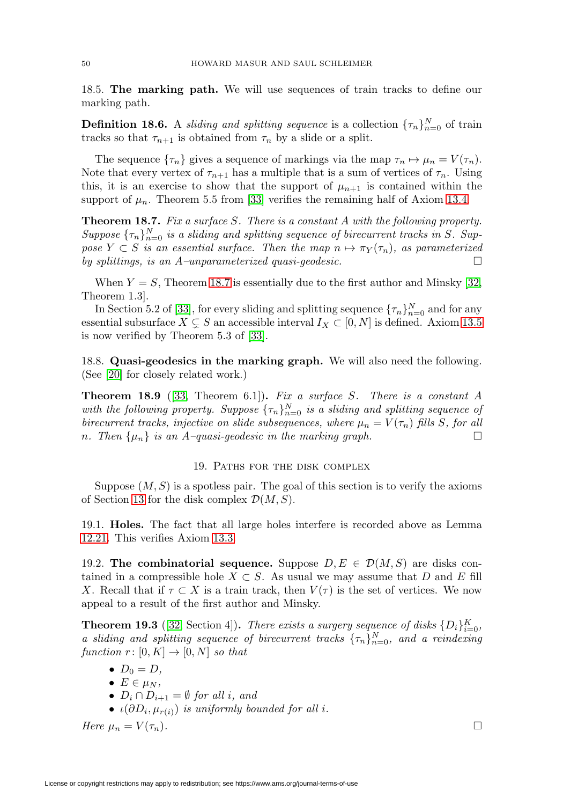<span id="page-49-4"></span>18.5. **The marking path.** We will use sequences of train tracks to define our marking path.

**Definition 18.6.** A sliding and splitting sequence is a collection  $\{\tau_n\}_{n=0}^N$  of train tracks so that  $\tau_{n+1}$  is obtained from  $\tau_n$  by a slide or a split.

The sequence  $\{\tau_n\}$  gives a sequence of markings via the map  $\tau_n \mapsto \mu_n = V(\tau_n)$ . Note that every vertex of  $\tau_{n+1}$  has a multiple that is a sum of vertices of  $\tau_n$ . Using this, it is an exercise to show that the support of  $\mu_{n+1}$  is contained within the support of  $\mu_n$ . Theorem 5.5 from [\[33\]](#page-60-5) verifies the remaining half of Axiom [13.4.](#page-29-3)

<span id="page-49-1"></span>**Theorem 18.7.** Fix a surface S. There is a constant A with the following property. Suppose  $\{\tau_n\}_{n=0}^N$  is a sliding and splitting sequence of birecurrent tracks in S. Suppose  $Y \subset S$  is an essential surface. Then the map  $n \mapsto \pi_Y(\tau_n)$ , as parameterized by splittings, is an  $A$ -unparameterized quasi-geodesic.  $\Box$ 

When  $Y = S$ , Theorem [18.7](#page-49-1) is essentially due to the first author and Minsky [\[32,](#page-60-3) Theorem 1.3].

In Section 5.2 of [\[33\]](#page-60-5), for every sliding and splitting sequence  $\{\tau_n\}_{n=0}^N$  and for any essential subsurface  $X \subsetneq S$  an accessible interval  $I_X \subset [0, N]$  is defined. Axiom [13.5](#page-30-0) is now verified by Theorem 5.3 of [\[33\]](#page-60-5).

18.8. **Quasi-geodesics in the marking graph.** We will also need the following. (See [\[20\]](#page-60-18) for closely related work.)

<span id="page-49-3"></span>**Theorem 18.9** ([\[33,](#page-60-5) Theorem 6.1]). Fix a surface S. There is a constant A with the following property. Suppose  $\{\tau_n\}_{n=0}^N$  is a sliding and splitting sequence of birecurrent tracks, injective on slide subsequences, where  $\mu_n = V(\tau_n)$  fills S, for all n. Then  $\{\mu_n\}$  is an A-quasi-geodesic in the marking graph.

#### 19. Paths for the disk complex

<span id="page-49-0"></span>Suppose  $(M, S)$  is a spotless pair. The goal of this section is to verify the axioms of Section [13](#page-29-0) for the disk complex  $\mathcal{D}(M,S)$ .

19.1. **Holes.** The fact that all large holes interfere is recorded above as Lemma [12.21.](#page-28-1) This verifies Axiom [13.3.](#page-29-2)

19.2. **The combinatorial sequence.** Suppose  $D, E \in \mathcal{D}(M, S)$  are disks contained in a compressible hole  $X \subset S$ . As usual we may assume that D and E fill X. Recall that if  $\tau \subset X$  is a train track, then  $V(\tau)$  is the set of vertices. We now appeal to a result of the first author and Minsky.

<span id="page-49-2"></span>**Theorem 19.3** ([\[32,](#page-60-3) Section 4]). There exists a surgery sequence of disks  $\{D_i\}_{i=0}^K$ , a sliding and splitting sequence of birecurrent tracks  $\{\tau_n\}_{n=0}^N$ , and a reindexing function  $r: [0, K] \to [0, N]$  so that

- $\bullet$   $D_0 = D$ ,
- $E \in \mu_N$ ,
- $D_i \cap D_{i+1} = \emptyset$  for all i, and
- $\iota(\partial D_i, \mu_{r(i)})$  is uniformly bounded for all i.

Here  $\mu_n = V(\tau_n)$ .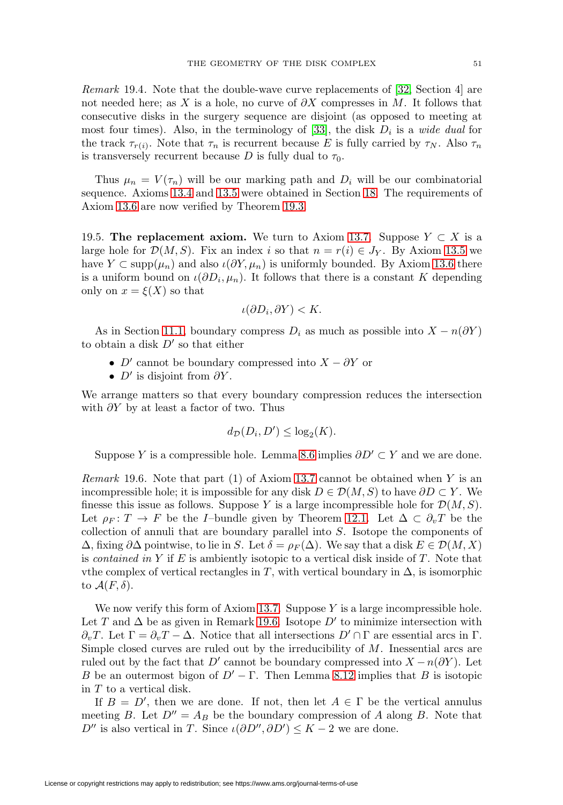<span id="page-50-2"></span>Remark 19.4. Note that the double-wave curve replacements of [\[32,](#page-60-3) Section 4] are not needed here; as X is a hole, no curve of  $\partial X$  compresses in M. It follows that consecutive disks in the surgery sequence are disjoint (as opposed to meeting at most four times). Also, in the terminology of [\[33\]](#page-60-5), the disk  $D_i$  is a *wide dual* for the track  $\tau_{r(i)}$ . Note that  $\tau_n$  is recurrent because E is fully carried by  $\tau_N$ . Also  $\tau_n$ is transversely recurrent because D is fully dual to  $\tau_0$ .

Thus  $\mu_n = V(\tau_n)$  will be our marking path and  $D_i$  will be our combinatorial sequence. Axioms [13.4](#page-29-3) and [13.5](#page-30-0) were obtained in Section [18.](#page-47-0) The requirements of Axiom [13.6](#page-30-1) are now verified by Theorem [19.3.](#page-49-2)

<span id="page-50-1"></span>19.5. **The replacement axiom.** We turn to Axiom [13.7.](#page-30-4) Suppose  $Y \subset X$  is a large hole for  $\mathcal{D}(M,S)$ . Fix an index i so that  $n = r(i) \in J_Y$ . By Axiom [13.5](#page-30-0) we have  $Y \subset \text{supp}(\mu_n)$  and also  $\iota(\partial Y, \mu_n)$  is uniformly bounded. By Axiom [13.6](#page-30-1) there is a uniform bound on  $\iota(\partial D_i, \mu_n)$ . It follows that there is a constant K depending only on  $x = \xi(X)$  so that

$$
\iota(\partial D_i, \partial Y) < K.
$$

As in Section [11.1,](#page-21-3) boundary compress  $D_i$  as much as possible into  $X - n(\partial Y)$ to obtain a disk  $D'$  so that either

- D' cannot be boundary compressed into  $X \partial Y$  or
- $D'$  is disjoint from  $\partial Y$ .

We arrange matters so that every boundary compression reduces the intersection with  $\partial Y$  by at least a factor of two. Thus

$$
d_{\mathcal{D}}(D_i, D') \le \log_2(K).
$$

Suppose Y is a compressible hole. Lemma [8.6](#page-14-2) implies  $\partial D' \subset Y$  and we are done.

<span id="page-50-0"></span>Remark 19.6. Note that part  $(1)$  of Axiom [13.7](#page-30-4) cannot be obtained when Y is an incompressible hole; it is impossible for any disk  $D \in \mathcal{D}(M, S)$  to have  $\partial D \subset Y$ . We finesse this issue as follows. Suppose Y is a large incompressible hole for  $\mathcal{D}(M, S)$ . Let  $\rho_F : T \to F$  be the I–bundle given by Theorem [12.1.](#page-24-1) Let  $\Delta \subset \partial_v T$  be the collection of annuli that are boundary parallel into S. Isotope the components of  $\Delta$ , fixing  $\partial \Delta$  pointwise, to lie in S. Let  $\delta = \rho_F(\Delta)$ . We say that a disk  $E \in \mathcal{D}(M, X)$ is contained in Y if E is ambiently isotopic to a vertical disk inside of  $T$ . Note that vthe complex of vertical rectangles in T, with vertical boundary in  $\Delta$ , is isomorphic to  $\mathcal{A}(F,\delta)$ .

We now verify this form of Axiom [13.7.](#page-30-4) Suppose  $Y$  is a large incompressible hole. Let T and  $\Delta$  be as given in Remark [19.6.](#page-50-0) Isotope D' to minimize intersection with  $\partial_v T$ . Let  $\Gamma = \partial_v T - \Delta$ . Notice that all intersections  $D' \cap \Gamma$  are essential arcs in  $\Gamma$ . Simple closed curves are ruled out by the irreducibility of  $M$ . Inessential arcs are ruled out by the fact that D' cannot be boundary compressed into  $X - n(\partial Y)$ . Let B be an outermost bigon of  $D' - \Gamma$ . Then Lemma [8.12](#page-16-0) implies that B is isotopic in T to a vertical disk.

If  $B = D'$ , then we are done. If not, then let  $A \in \Gamma$  be the vertical annulus meeting B. Let  $D'' = A_B$  be the boundary compression of A along B. Note that D'' is also vertical in T. Since  $\iota(\partial D'', \partial D') \leq K - 2$  we are done.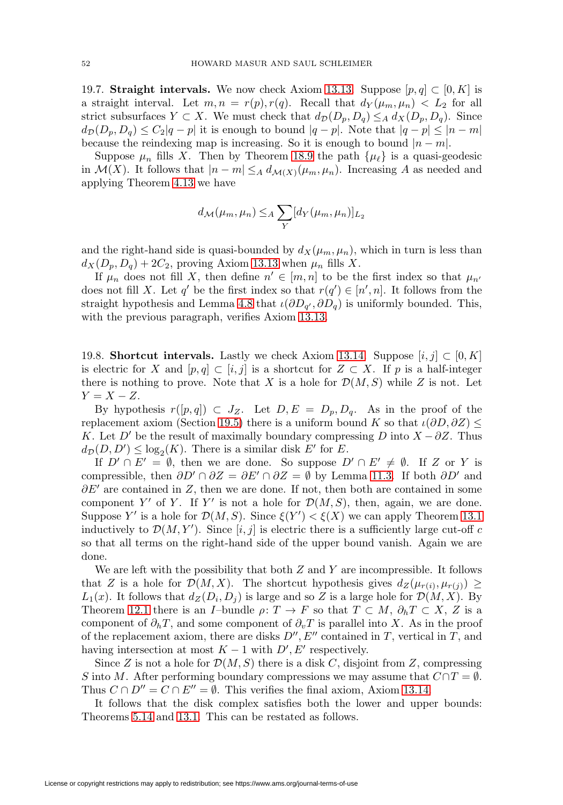19.7. **Straight intervals.** We now check Axiom [13.13.](#page-30-3) Suppose  $[p, q] \subset [0, K]$  is a straight interval. Let  $m, n = r(p), r(q)$ . Recall that  $d_Y(\mu_m, \mu_n) < L_2$  for all strict subsurfaces  $Y \subset X$ . We must check that  $d_{\mathcal{D}}(D_p, D_q) \leq_A d_X(D_p, D_q)$ . Since  $d_D(D_p, D_q) \leq C_2|q-p|$  it is enough to bound  $|q-p|$ . Note that  $|q-p| \leq |n-m|$ because the reindexing map is increasing. So it is enough to bound  $|n - m|$ .

Suppose  $\mu_n$  fills X. Then by Theorem [18.9](#page-49-3) the path  $\{\mu_\ell\}$  is a quasi-geodesic in  $\mathcal{M}(X)$ . It follows that  $|n - m| \leq_A d_{\mathcal{M}(X)}(\mu_m, \mu_n)$ . Increasing A as needed and applying Theorem [4.13](#page-9-0) we have

$$
d_{\mathcal{M}}(\mu_m, \mu_n) \leq A \sum_{Y} [d_Y(\mu_m, \mu_n)]_{L_2}
$$

and the right-hand side is quasi-bounded by  $d_X(\mu_m, \mu_n)$ , which in turn is less than  $d_X(D_p, D_q)+2C_2$ , proving Axiom [13.13](#page-30-3) when  $\mu_n$  fills X.

If  $\mu_n$  does not fill X, then define  $n' \in [m, n]$  to be the first index so that  $\mu_{n'}$ does not fill X. Let q' be the first index so that  $r(q') \in [n', n]$ . It follows from the straight hypothesis and Lemma [4.8](#page-8-4) that  $\iota(\partial D_{q'}, \partial D_q)$  is uniformly bounded. This, with the previous paragraph, verifies Axiom [13.13.](#page-30-3)

19.8. **Shortcut intervals.** Lastly we check Axiom [13.14.](#page-30-2) Suppose  $[i, j] \subset [0, K]$ is electric for X and  $[p,q] \subset [i,j]$  is a shortcut for  $Z \subset X$ . If p is a half-integer there is nothing to prove. Note that X is a hole for  $\mathcal{D}(M, S)$  while Z is not. Let  $Y = X - Z$ .

By hypothesis  $r([p,q]) \subset J_Z$ . Let  $D, E = D_p, D_q$ . As in the proof of the replacement axiom (Section [19.5\)](#page-50-1) there is a uniform bound K so that  $\iota(\partial D, \partial Z)$ K. Let D' be the result of maximally boundary compressing D into  $X - \partial Z$ . Thus  $d_{\mathcal{D}}(D, D') \leq \log_2(K)$ . There is a similar disk E' for E.

If  $D' \cap E' = \emptyset$ , then we are done. So suppose  $D' \cap E' \neq \emptyset$ . If Z or Y is compressible, then  $\partial D' \cap \partial Z = \partial E' \cap \partial Z = \emptyset$  by Lemma [11.3.](#page-21-2) If both  $\partial D'$  and  $\partial E'$  are contained in Z, then we are done. If not, then both are contained in some component Y' of Y. If Y' is not a hole for  $\mathcal{D}(M,S)$ , then, again, we are done. Suppose Y' is a hole for  $\mathcal{D}(M, S)$ . Since  $\xi(Y') < \xi(X)$  we can apply Theorem [13.1](#page-29-1) inductively to  $\mathcal{D}(M, Y')$ . Since  $[i, j]$  is electric there is a sufficiently large cut-off c so that all terms on the right-hand side of the upper bound vanish. Again we are done.

We are left with the possibility that both  $Z$  and  $Y$  are incompressible. It follows that Z is a hole for  $\mathcal{D}(M,X)$ . The shortcut hypothesis gives  $d_Z(\mu_{r(i)}, \mu_{r(i)}) \geq$  $L_1(x)$ . It follows that  $d_Z(D_i, D_j)$  is large and so Z is a large hole for  $\mathcal{D}(M, X)$ . By Theorem [12.1](#page-24-1) there is an I-bundle  $\rho: T \to F$  so that  $T \subset M$ ,  $\partial_h T \subset X$ , Z is a component of  $\partial_h T$ , and some component of  $\partial_v T$  is parallel into X. As in the proof of the replacement axiom, there are disks  $D'', E''$  contained in T, vertical in T, and having intersection at most  $K-1$  with  $D', E'$  respectively.

Since Z is not a hole for  $\mathcal{D}(M, S)$  there is a disk C, disjoint from Z, compressing S into M. After performing boundary compressions we may assume that  $C \cap T = \emptyset$ . Thus  $C \cap D'' = C \cap E'' = \emptyset$ . This verifies the final axiom, Axiom [13.14.](#page-30-2)

It follows that the disk complex satisfies both the lower and upper bounds: Theorems [5.14](#page-11-2) and [13.1.](#page-29-1) This can be restated as follows.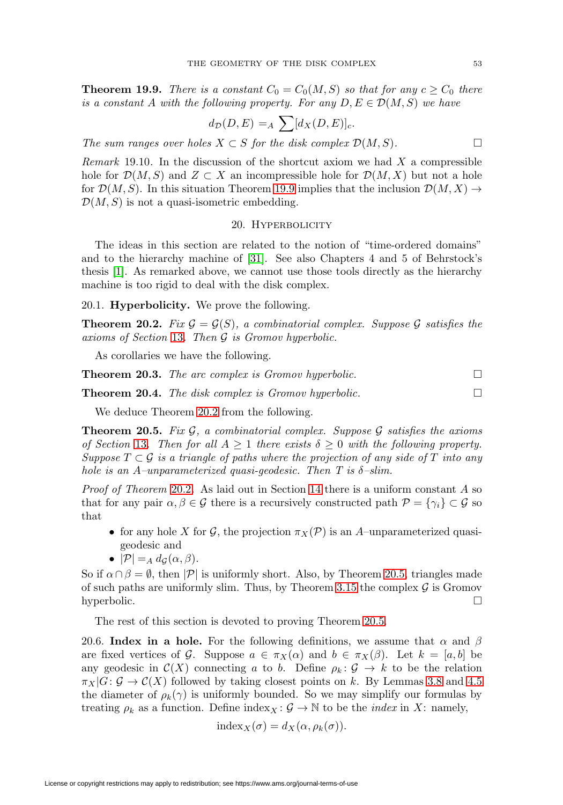<span id="page-52-7"></span><span id="page-52-3"></span>**Theorem 19.9.** There is a constant  $C_0 = C_0(M, S)$  so that for any  $c \geq C_0$  there is a constant A with the following property. For any  $D, E \in \mathcal{D}(M, S)$  we have

$$
d_{\mathcal{D}}(D, E) =_A \sum [d_X(D, E)]_c.
$$

The sum ranges over holes  $X \subset S$  for the disk complex  $\mathcal{D}(M, S)$ .

<span id="page-52-4"></span>*Remark* 19.10. In the discussion of the shortcut axiom we had  $X$  a compressible hole for  $\mathcal{D}(M,S)$  and  $Z \subset X$  an incompressible hole for  $\mathcal{D}(M,X)$  but not a hole for  $\mathcal{D}(M, S)$ . In this situation Theorem [19.9](#page-52-3) implies that the inclusion  $\mathcal{D}(M, X) \rightarrow$  $\mathcal{D}(M,S)$  is not a quasi-isometric embedding.

#### 20. HYPERBOLICITY

<span id="page-52-0"></span>The ideas in this section are related to the notion of "time-ordered domains" and to the hierarchy machine of [\[31\]](#page-60-4). See also Chapters 4 and 5 of Behrstock's thesis [\[1\]](#page-59-7). As remarked above, we cannot use those tools directly as the hierarchy machine is too rigid to deal with the disk complex.

### 20.1. **Hyperbolicity.** We prove the following.

<span id="page-52-5"></span>**Theorem 20.2.** Fix  $\mathcal{G} = \mathcal{G}(S)$ , a combinatorial complex. Suppose  $\mathcal{G}$  satisfies the axioms of Section [13](#page-29-0). Then G is Gromov hyperbolic.

As corollaries we have the following.

<span id="page-52-2"></span>**Theorem 20.3.** The arc complex is Gromov hyperbolic.  $\Box$ 

<span id="page-52-1"></span>**Theorem 20.4.** The disk complex is Gromov hyperbolic.  $\Box$ 

We deduce Theorem [20.2](#page-52-5) from the following.

<span id="page-52-6"></span>**Theorem 20.5.** Fix  $\mathcal{G}$ , a combinatorial complex. Suppose  $\mathcal{G}$  satisfies the axioms of Section [13](#page-29-0). Then for all  $A \geq 1$  there exists  $\delta \geq 0$  with the following property. Suppose  $T \subset \mathcal{G}$  is a triangle of paths where the projection of any side of T into any hole is an A–unparameterized quasi-geodesic. Then T is  $\delta$ –slim.

*Proof of Theorem [20.2](#page-52-5).* As laid out in Section [14](#page-31-0) there is a uniform constant  $A$  so that for any pair  $\alpha, \beta \in \mathcal{G}$  there is a recursively constructed path  $\mathcal{P} = \{\gamma_i\} \subset \mathcal{G}$  so that

- for any hole X for G, the projection  $\pi_X(\mathcal{P})$  is an A–unparameterized quasigeodesic and
- $|\mathcal{P}| =_A d_G(\alpha, \beta).$

So if  $\alpha \cap \beta = \emptyset$ , then  $|\mathcal{P}|$  is uniformly short. Also, by Theorem [20.5,](#page-52-6) triangles made of such paths are uniformly slim. Thus, by Theorem [3.15](#page-7-1) the complex  $\mathcal G$  is Gromov hyperbolic.  $\square$ 

The rest of this section is devoted to proving Theorem [20.5.](#page-52-6)

20.6. **Index in a hole.** For the following definitions, we assume that  $\alpha$  and  $\beta$ are fixed vertices of G. Suppose  $a \in \pi_X(\alpha)$  and  $b \in \pi_X(\beta)$ . Let  $k = [a, b]$  be any geodesic in  $\mathcal{C}(X)$  connecting a to b. Define  $\rho_k : \mathcal{G} \to k$  to be the relation  $\pi_X|G: \mathcal{G} \to \mathcal{C}(X)$  followed by taking closest points on k. By Lemmas [3.8](#page-6-2) and [4.5](#page-8-3) the diameter of  $\rho_k(\gamma)$  is uniformly bounded. So we may simplify our formulas by treating  $\rho_k$  as a function. Define index $_X : \mathcal{G} \to \mathbb{N}$  to be the *index* in X: namely,

$$
\mathrm{index}_X(\sigma) = d_X(\alpha, \rho_k(\sigma)).
$$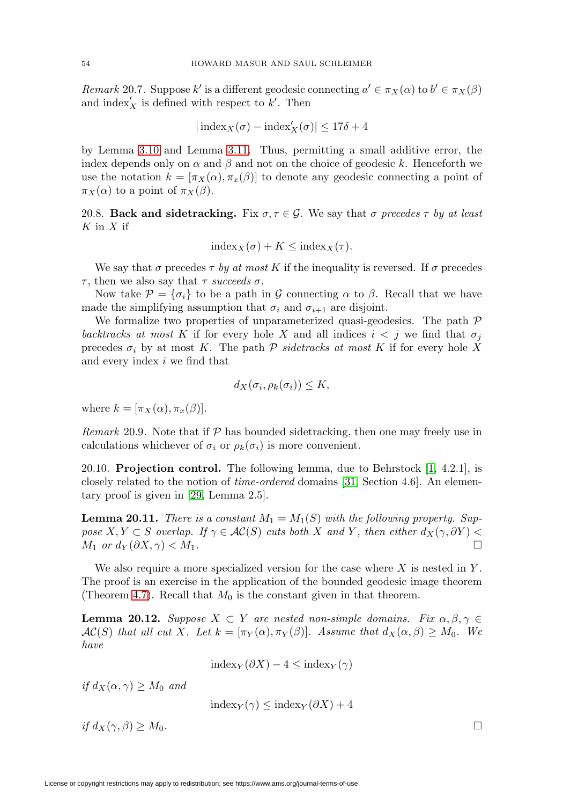<span id="page-53-2"></span>Remark 20.7. Suppose k' is a different geodesic connecting  $a' \in \pi_X(\alpha)$  to  $b' \in \pi_X(\beta)$ and  $index'_{X}$  is defined with respect to k'. Then

$$
|\operatorname{index}_{X}(\sigma) - \operatorname{index}'_{X}(\sigma)| \le 17\delta + 4
$$

by Lemma [3.10](#page-6-3) and Lemma [3.11.](#page-6-4) Thus, permitting a small additive error, the index depends only on  $\alpha$  and  $\beta$  and not on the choice of geodesic k. Henceforth we use the notation  $k = [\pi_X(\alpha), \pi_x(\beta)]$  to denote any geodesic connecting a point of  $\pi_X(\alpha)$  to a point of  $\pi_X(\beta)$ .

20.8. **Back and sidetracking.** Fix  $\sigma, \tau \in \mathcal{G}$ . We say that  $\sigma$  precedes  $\tau$  by at least  $K$  in  $X$  if

$$
\mathrm{index}_X(\sigma) + K \le \mathrm{index}_X(\tau).
$$

We say that  $\sigma$  precedes  $\tau$  by at most K if the inequality is reversed. If  $\sigma$  precedes τ, then we also say that τ succeeds σ.

Now take  $\mathcal{P} = {\sigma_i}$  to be a path in G connecting  $\alpha$  to  $\beta$ . Recall that we have made the simplifying assumption that  $\sigma_i$  and  $\sigma_{i+1}$  are disjoint.

We formalize two properties of unparameterized quasi-geodesics. The path  $P$ backtracks at most K if for every hole X and all indices  $i < j$  we find that  $\sigma_j$ precedes  $\sigma_i$  by at most K. The path  $P$  sidetracks at most K if for every hole X and every index i we find that

$$
d_X(\sigma_i, \rho_k(\sigma_i)) \leq K,
$$

where  $k = [\pi_X(\alpha), \pi_x(\beta)].$ 

Remark 20.9. Note that if  $\mathcal P$  has bounded sidetracking, then one may freely use in calculations whichever of  $\sigma_i$  or  $\rho_k(\sigma_i)$  is more convenient.

20.10. **Projection control.** The following lemma, due to Behrstock [\[1,](#page-59-7) 4.2.1], is closely related to the notion of time-ordered domains [\[31,](#page-60-4) Section 4.6]. An elementary proof is given in [\[29,](#page-60-19) Lemma 2.5].

<span id="page-53-1"></span>**Lemma 20.11.** There is a constant  $M_1 = M_1(S)$  with the following property. Suppose  $X, Y \subset S$  overlap. If  $\gamma \in AC(S)$  cuts both X and Y, then either  $d_X(\gamma, \partial Y)$  $M_1$  or  $d_Y(\partial X, \gamma) < M_1$ .

We also require a more specialized version for the case where  $X$  is nested in  $Y$ . The proof is an exercise in the application of the bounded geodesic image theorem (Theorem [4.7\)](#page-8-5). Recall that  $M_0$  is the constant given in that theorem.

<span id="page-53-0"></span>**Lemma 20.12.** Suppose  $X \subset Y$  are nested non-simple domains. Fix  $\alpha, \beta, \gamma \in Y$  $AC(S)$  that all cut X. Let  $k = [\pi_Y(\alpha), \pi_Y(\beta)]$ . Assume that  $d_X(\alpha, \beta) \geq M_0$ . We have

 $index_Y(\partial X) - 4 \leq index_Y(\gamma)$ 

if  $d_X(\alpha, \gamma) \geq M_0$  and

$$
\mathrm{index}_Y(\gamma) \le \mathrm{index}_Y(\partial X) + 4
$$

if  $d_X(\gamma, \beta) > M_0$ .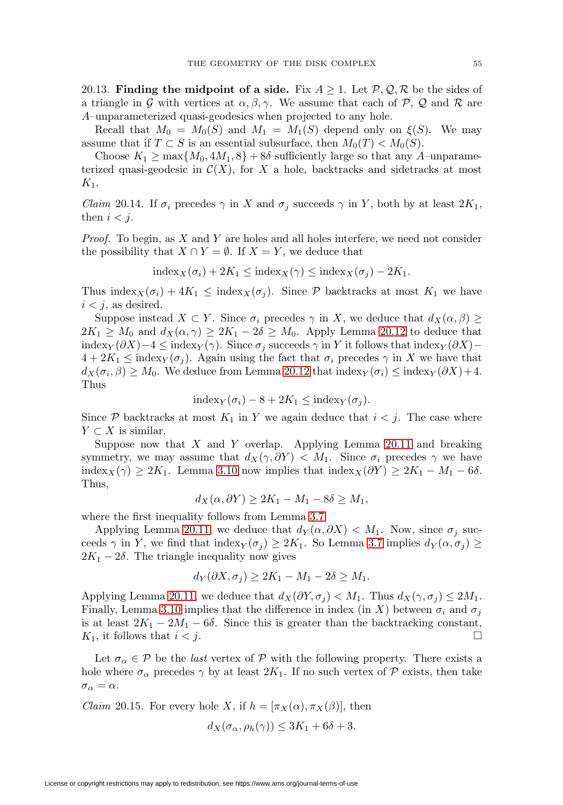20.13. **Finding the midpoint of a side.** Fix  $A \geq 1$ . Let  $\mathcal{P}, \mathcal{Q}, \mathcal{R}$  be the sides of a triangle in G with vertices at  $\alpha, \beta, \gamma$ . We assume that each of P, Q and R are A–unparameterized quasi-geodesics when projected to any hole.

Recall that  $M_0 = M_0(S)$  and  $M_1 = M_1(S)$  depend only on  $\xi(S)$ . We may assume that if  $T \subset S$  is an essential subsurface, then  $M_0(T) < M_0(S)$ .

Choose  $K_1 \ge \max\{M_0, 4M_1, 8\} + 8\delta$  sufficiently large so that any A–unparameterized quasi-geodesic in  $\mathcal{C}(X)$ , for X a hole, backtracks and sidetracks at most  $K_1$ .

<span id="page-54-0"></span>*Claim* 20.14. If  $\sigma_i$  precedes  $\gamma$  in X and  $\sigma_j$  succeeds  $\gamma$  in Y, both by at least  $2K_1$ , then  $i < j$ .

Proof. To begin, as X and Y are holes and all holes interfere, we need not consider the possibility that  $X \cap Y = \emptyset$ . If  $X = Y$ , we deduce that

$$
\mathrm{index}_X(\sigma_i) + 2K_1 \leq \mathrm{index}_X(\gamma) \leq \mathrm{index}_X(\sigma_j) - 2K_1.
$$

Thus index $X(\sigma_i)+4K_1 \leq \text{index}_{X}(\sigma_j)$ . Since P backtracks at most  $K_1$  we have  $i < j$ , as desired.

Suppose instead  $X \subset Y$ . Since  $\sigma_i$  precedes  $\gamma$  in X, we deduce that  $d_X(\alpha, \beta) \geq$  $2K_1 \geq M_0$  and  $d_X(\alpha, \gamma) \geq 2K_1 - 2\delta \geq M_0$ . Apply Lemma [20.12](#page-53-0) to deduce that index<sub>Y</sub> (∂X)−4 ≤ index<sub>Y</sub>( $\gamma$ ). Since  $\sigma_j$  succeeds  $\gamma$  in Y it follows that index<sub>Y</sub> (∂X)−  $4+2K_1 \leq \text{index}_{Y}(\sigma_i)$ . Again using the fact that  $\sigma_i$  precedes  $\gamma$  in X we have that  $d_X(\sigma_i, \beta) \geq M_0$ . We deduce from Lemma [20.12](#page-53-0) that index $_Y(\sigma_i) \leq \text{index}_{Y}(\partial X) + 4$ . Thus

$$
\mathrm{index}_Y(\sigma_i) - 8 + 2K_1 \leq \mathrm{index}_Y(\sigma_j).
$$

Since  $P$  backtracks at most  $K_1$  in Y we again deduce that  $i < j$ . The case where  $Y \subset X$  is similar.

Suppose now that  $X$  and  $Y$  overlap. Applying Lemma [20.11](#page-53-1) and breaking symmetry, we may assume that  $d_X(\gamma, \partial Y) < M_1$ . Since  $\sigma_i$  precedes  $\gamma$  we have index<sub>X</sub>( $\gamma$ ) ≥ 2K<sub>1</sub>. Lemma [3.10](#page-6-3) now implies that index<sub>X</sub>( $\partial Y$ ) ≥ 2K<sub>1</sub> – M<sub>1</sub> – 6 $\delta$ . Thus,

$$
d_X(\alpha, \partial Y) \ge 2K_1 - M_1 - 8\delta \ge M_1,
$$

where the first inequality follows from Lemma [3.7.](#page-6-5)

Applying Lemma [20.11,](#page-53-1) we deduce that  $d_Y(\alpha, \partial X) < M_1$ . Now, since  $\sigma_j$  succeeds  $\gamma$  in Y, we find that index $_Y(\sigma_j) \geq 2K_1$ . So Lemma [3.7](#page-6-5) implies  $d_Y(\alpha, \sigma_j) \geq$  $2K_1 - 2\delta$ . The triangle inequality now gives

$$
d_Y(\partial X, \sigma_j) \ge 2K_1 - M_1 - 2\delta \ge M_1.
$$

Applying Lemma [20.11,](#page-53-1) we deduce that  $d_X(\partial Y, \sigma_j) < M_1$ . Thus  $d_X(\gamma, \sigma_j) \leq 2M_1$ . Finally, Lemma [3.10](#page-6-3) implies that the difference in index (in X) between  $\sigma_i$  and  $\sigma_j$ is at least  $2K_1 - 2M_1 - 6\delta$ . Since this is greater than the backtracking constant,  $K_1$ , it follows that  $i < j$ .

Let  $\sigma_{\alpha} \in \mathcal{P}$  be the *last* vertex of  $\mathcal{P}$  with the following property. There exists a hole where  $\sigma_{\alpha}$  precedes  $\gamma$  by at least  $2K_1$ . If no such vertex of P exists, then take  $\sigma_\alpha = \alpha.$ 

<span id="page-54-1"></span>*Claim* 20.15. For every hole X, if  $h = [\pi_X(\alpha), \pi_X(\beta)]$ , then

$$
d_X(\sigma_\alpha, \rho_h(\gamma)) \le 3K_1 + 6\delta + 3.
$$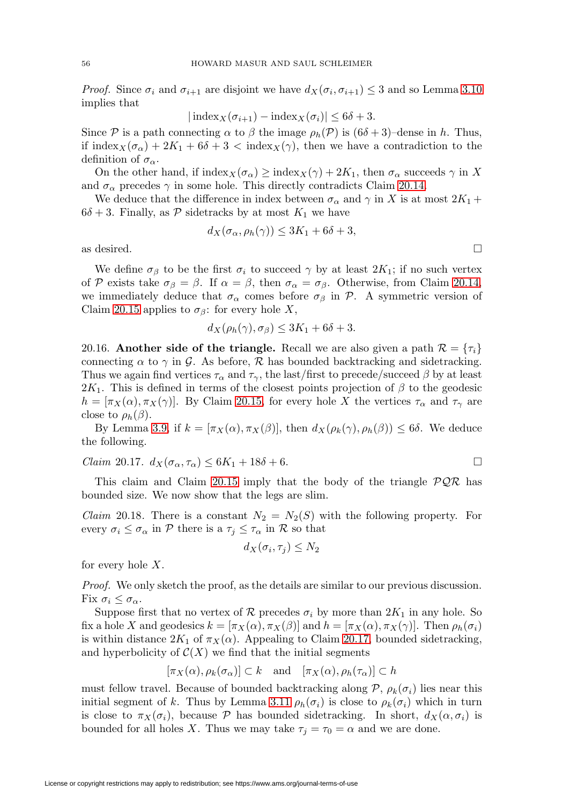*Proof.* Since  $\sigma_i$  and  $\sigma_{i+1}$  are disjoint we have  $d_X(\sigma_i, \sigma_{i+1}) \leq 3$  and so Lemma [3.10](#page-6-3) implies that

$$
|\operatorname{index}_{X}(\sigma_{i+1}) - \operatorname{index}_{X}(\sigma_{i})| \le 6\delta + 3.
$$

Since P is a path connecting  $\alpha$  to  $\beta$  the image  $\rho_h(\mathcal{P})$  is  $(6\delta + 3)$ –dense in h. Thus, if index $X(\sigma_{\alpha})+2K_1+6\delta+3$  < index $X(\gamma)$ , then we have a contradiction to the definition of  $\sigma_{\alpha}$ .

On the other hand, if  $\text{index}_X(\sigma_\alpha) \geq \text{index}_X(\gamma) + 2K_1$ , then  $\sigma_\alpha$  succeeds  $\gamma$  in X and  $\sigma_{\alpha}$  precedes  $\gamma$  in some hole. This directly contradicts Claim [20.14.](#page-54-0)

We deduce that the difference in index between  $\sigma_{\alpha}$  and  $\gamma$  in X is at most  $2K_1 +$  $6\delta + 3$ . Finally, as P sidetracks by at most  $K_1$  we have

$$
d_X(\sigma_\alpha, \rho_h(\gamma)) \le 3K_1 + 6\delta + 3,
$$

as desired.  $\Box$ 

We define  $\sigma_{\beta}$  to be the first  $\sigma_i$  to succeed  $\gamma$  by at least  $2K_1$ ; if no such vertex of P exists take  $\sigma_{\beta} = \beta$ . If  $\alpha = \beta$ , then  $\sigma_{\alpha} = \sigma_{\beta}$ . Otherwise, from Claim [20.14,](#page-54-0) we immediately deduce that  $\sigma_{\alpha}$  comes before  $\sigma_{\beta}$  in P. A symmetric version of Claim [20.15](#page-54-1) applies to  $\sigma_{\beta}$ : for every hole X,

$$
d_X(\rho_h(\gamma), \sigma_\beta) \le 3K_1 + 6\delta + 3.
$$

20.16. **Another side of the triangle.** Recall we are also given a path  $\mathcal{R} = \{\tau_i\}$ connecting  $\alpha$  to  $\gamma$  in G. As before,  $\mathcal R$  has bounded backtracking and sidetracking. Thus we again find vertices  $\tau_{\alpha}$  and  $\tau_{\gamma}$ , the last/first to precede/succeed  $\beta$  by at least 2K<sub>1</sub>. This is defined in terms of the closest points projection of  $\beta$  to the geodesic  $h = [\pi_X(\alpha), \pi_X(\gamma)]$ . By Claim [20.15,](#page-54-1) for every hole X the vertices  $\tau_\alpha$  and  $\tau_\gamma$  are close to  $\rho_h(\beta)$ .

By Lemma [3.9,](#page-6-6) if  $k = [\pi_X(\alpha), \pi_X(\beta)]$ , then  $d_X(\rho_k(\gamma), \rho_k(\beta)) \leq 6\delta$ . We deduce the following.

<span id="page-55-0"></span>
$$
Claim\ 20.17. d_X(\sigma_\alpha, \tau_\alpha) \le 6K_1 + 18\delta + 6.
$$

This claim and Claim [20.15](#page-54-1) imply that the body of the triangle  $\mathcal{PQR}$  has bounded size. We now show that the legs are slim.

*Claim* 20.18. There is a constant  $N_2 = N_2(S)$  with the following property. For every  $\sigma_i \leq \sigma_\alpha$  in P there is a  $\tau_j \leq \tau_\alpha$  in R so that

$$
d_X(\sigma_i, \tau_j) \leq N_2
$$

for every hole  $X$ .

Proof. We only sketch the proof, as the details are similar to our previous discussion. Fix  $\sigma_i \leq \sigma_{\alpha}$ .

Suppose first that no vertex of  $\mathcal R$  precedes  $\sigma_i$  by more than  $2K_1$  in any hole. So fix a hole X and geodesics  $k = [\pi_X(\alpha), \pi_X(\beta)]$  and  $h = [\pi_X(\alpha), \pi_X(\gamma)]$ . Then  $\rho_h(\sigma_i)$ is within distance  $2K_1$  of  $\pi_X(\alpha)$ . Appealing to Claim [20.17,](#page-55-0) bounded sidetracking, and hyperbolicity of  $C(X)$  we find that the initial segments

$$
[\pi_X(\alpha), \rho_k(\sigma_\alpha)] \subset k
$$
 and  $[\pi_X(\alpha), \rho_h(\tau_\alpha)] \subset h$ 

must fellow travel. Because of bounded backtracking along  $\mathcal{P}, \rho_k(\sigma_i)$  lies near this initial segment of k. Thus by Lemma [3.11](#page-6-4)  $\rho_h(\sigma_i)$  is close to  $\rho_k(\sigma_i)$  which in turn is close to  $\pi_X(\sigma_i)$ , because P has bounded sidetracking. In short,  $d_X(\alpha, \sigma_i)$  is bounded for all holes X. Thus we may take  $\tau_i = \tau_0 = \alpha$  and we are done.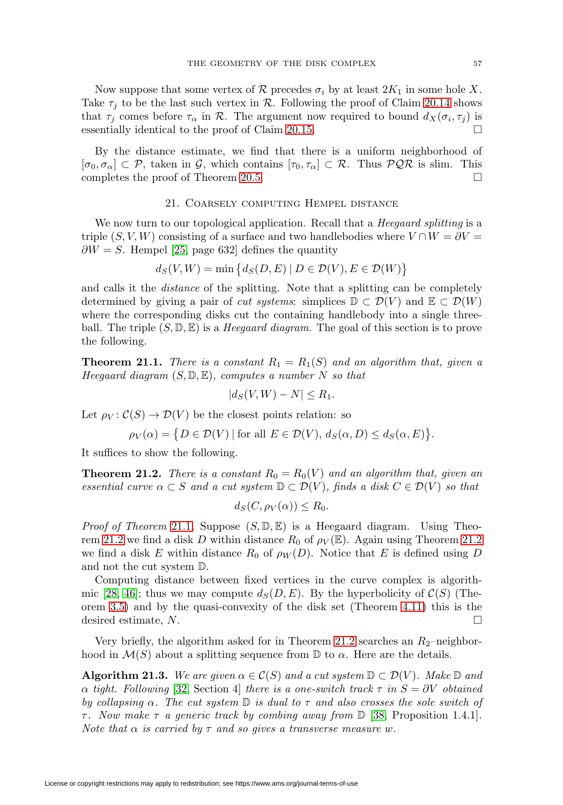<span id="page-56-4"></span>Now suppose that some vertex of R precedes  $\sigma_i$  by at least  $2K_1$  in some hole X. Take  $\tau_i$  to be the last such vertex in R. Following the proof of Claim [20.14](#page-54-0) shows that  $\tau_j$  comes before  $\tau_\alpha$  in  $\mathcal R$ . The argument now required to bound  $d_X(\sigma_i, \tau_j)$  is essentially identical to the proof of Claim [20.15.](#page-54-1)  $\Box$ 

By the distance estimate, we find that there is a uniform neighborhood of  $[\sigma_0, \sigma_\alpha] \subset \mathcal{P}$ , taken in  $\mathcal{G}$ , which contains  $[\tau_0, \tau_\alpha] \subset \mathcal{R}$ . Thus  $\mathcal{PQR}$  is slim. This completes the proof of Theorem [20.5.](#page-52-6)  $\Box$ 

### 21. Coarsely computing Hempel distance

<span id="page-56-0"></span>We now turn to our topological application. Recall that a *Heegaard splitting* is a triple  $(S, V, W)$  consisting of a surface and two handlebodies where  $V \cap W = \partial V =$  $\partial W = S$ . Hempel [\[25,](#page-60-1) page 632] defines the quantity

$$
d_S(V, W) = \min \left\{ d_S(D, E) \mid D \in \mathcal{D}(V), E \in \mathcal{D}(W) \right\}
$$

and calls it the distance of the splitting. Note that a splitting can be completely determined by giving a pair of *cut systems*: simplices  $\mathbb{D} \subset \mathcal{D}(V)$  and  $\mathbb{E} \subset \mathcal{D}(W)$ where the corresponding disks cut the containing handlebody into a single threeball. The triple  $(S, \mathbb{D}, \mathbb{E})$  is a *Heegaard diagram*. The goal of this section is to prove the following.

<span id="page-56-1"></span>**Theorem 21.1.** There is a constant  $R_1 = R_1(S)$  and an algorithm that, given a Heegaard diagram  $(S, \mathbb{D}, \mathbb{E})$ , computes a number N so that

$$
|d_S(V,W) - N| \le R_1.
$$

Let  $\rho_V : \mathcal{C}(S) \to \mathcal{D}(V)$  be the closest points relation: so

$$
\rho_V(\alpha) = \{ D \in \mathcal{D}(V) \mid \text{for all } E \in \mathcal{D}(V), d_S(\alpha, D) \le d_S(\alpha, E) \}.
$$

It suffices to show the following.

<span id="page-56-2"></span>**Theorem 21.2.** There is a constant  $R_0 = R_0(V)$  and an algorithm that, given an essential curve  $\alpha \subset S$  and a cut system  $\mathbb{D} \subset \mathcal{D}(V)$ , finds a disk  $C \in \mathcal{D}(V)$  so that

$$
d_S(C, \rho_V(\alpha)) \le R_0.
$$

*Proof of Theorem* [21.1](#page-56-1). Suppose  $(S, \mathbb{D}, \mathbb{E})$  is a Heegaard diagram. Using Theo-rem [21.2](#page-56-2) we find a disk D within distance  $R_0$  of  $\rho_V(\mathbb{E})$ . Again using Theorem 21.2 we find a disk E within distance  $R_0$  of  $\rho_W(D)$ . Notice that E is defined using D and not the cut system D.

Computing distance between fixed vertices in the curve complex is algorith-mic [\[28,](#page-60-20) [46\]](#page-61-9); thus we may compute  $d_S(D, E)$ . By the hyperbolicity of  $\mathcal{C}(S)$  (Theorem [3.5\)](#page-6-7) and by the quasi-convexity of the disk set (Theorem [4.11\)](#page-9-1) this is the desired estimate,  $N$ .  $\Box$ 

Very briefly, the algorithm asked for in Theorem [21.2](#page-56-2) searches an  $R_2$ -neighborhood in  $\mathcal{M}(S)$  about a splitting sequence from  $\mathbb D$  to  $\alpha$ . Here are the details.

<span id="page-56-3"></span>**Algorithm 21.3.** We are given  $\alpha \in \mathcal{C}(S)$  and a cut system  $\mathbb{D} \subset \mathcal{D}(V)$ . Make  $\mathbb{D}$  and α tight. Following [\[32,](#page-60-3) Section 4] there is a one-switch track  $τ$  in  $S = ∂V$  obtained by collapsing  $\alpha$ . The cut system  $\mathbb D$  is dual to  $\tau$  and also crosses the sole switch of τ . Now make τ a generic track by combing away from D [\[38,](#page-60-16) Proposition 1.4.1]. Note that  $\alpha$  is carried by  $\tau$  and so gives a transverse measure w.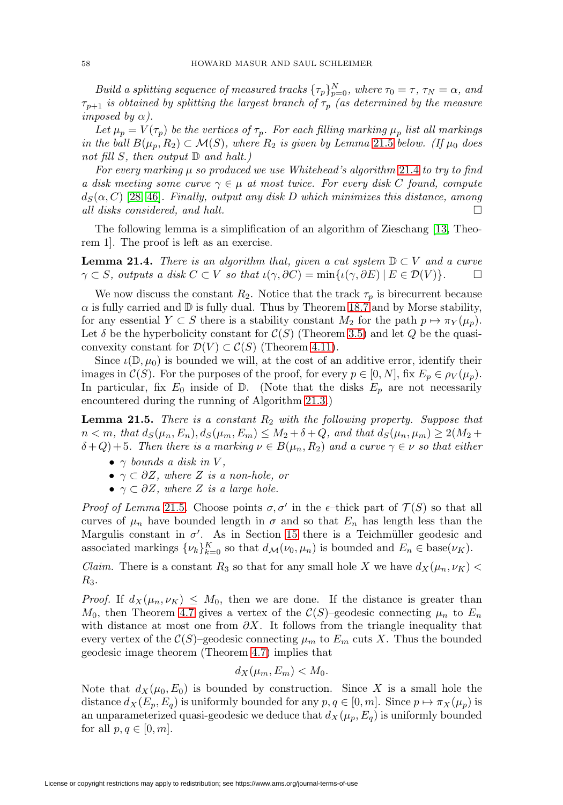<span id="page-57-2"></span>Build a splitting sequence of measured tracks  $\{\tau_p\}_{p=0}^N$ , where  $\tau_0 = \tau$ ,  $\tau_N = \alpha$ , and  $\tau_{p+1}$  is obtained by splitting the largest branch of  $\tau_p$  (as determined by the measure *imposed by*  $\alpha$ *).* 

Let  $\mu_p = V(\tau_p)$  be the vertices of  $\tau_p$ . For each filling marking  $\mu_p$  list all markings in the ball  $B(\mu_p, R_2) \subset \mathcal{M}(S)$ , where  $R_2$  is given by Lemma [21.5](#page-57-0) below. (If  $\mu_0$  does not fill S, then output  $\mathbb D$  and halt.)

For every marking  $\mu$  so produced we use Whitehead's algorithm [21.4](#page-57-1) to try to find a disk meeting some curve  $\gamma \in \mu$  at most twice. For every disk C found, compute  $d_S(\alpha, C)$  [\[28,](#page-60-20) [46\]](#page-61-9). Finally, output any disk D which minimizes this distance, among all disks considered, and halt.  $\Box$ 

The following lemma is a simplification of an algorithm of Zieschang [\[13,](#page-59-19) Theorem 1]. The proof is left as an exercise.

<span id="page-57-1"></span>**Lemma 21.4.** There is an algorithm that, given a cut system  $\mathbb{D} \subset V$  and a curve  $\gamma \subset S$ , outputs a disk  $C \subset V$  so that  $\iota(\gamma, \partial C) = \min{\{\iota(\gamma, \partial E) \mid E \in \mathcal{D}(V)\}}$ .

We now discuss the constant  $R_2$ . Notice that the track  $\tau_p$  is birecurrent because  $\alpha$  is fully carried and  $\mathbb D$  is fully dual. Thus by Theorem [18.7](#page-49-1) and by Morse stability, for any essential  $Y \subset S$  there is a stability constant  $M_2$  for the path  $p \mapsto \pi_Y(\mu_n)$ . Let  $\delta$  be the hyperbolicity constant for  $\mathcal{C}(S)$  (Theorem [3.5\)](#page-6-7) and let Q be the quasiconvexity constant for  $\mathcal{D}(V) \subset \mathcal{C}(S)$  (Theorem [4.11\)](#page-9-1).

Since  $\iota(\mathbb{D}, \mu_0)$  is bounded we will, at the cost of an additive error, identify their images in  $\mathcal{C}(S)$ . For the purposes of the proof, for every  $p \in [0, N]$ , fix  $E_p \in \rho_V(\mu_p)$ . In particular, fix  $E_0$  inside of  $\mathbb{D}$ . (Note that the disks  $E_p$  are not necessarily encountered during the running of Algorithm [21.3.](#page-56-3))

<span id="page-57-0"></span>**Lemma 21.5.** There is a constant  $R_2$  with the following property. Suppose that  $n < m$ , that  $d_S(\mu_n, E_n)$ ,  $d_S(\mu_m, E_m) \leq M_2 + \delta + Q$ , and that  $d_S(\mu_n, \mu_m) \geq 2(M_2 +$  $\delta + Q$ )+5. Then there is a marking  $\nu \in B(\mu_n, R_2)$  and a curve  $\gamma \in \nu$  so that either

- $\gamma$  bounds a disk in V,
- $\gamma \subset \partial Z$ , where Z is a non-hole, or
- $\gamma \subset \partial Z$ , where Z is a large hole.

*Proof of Lemma* [21.5](#page-57-0). Choose points  $\sigma, \sigma'$  in the  $\epsilon$ -thick part of  $\mathcal{T}(S)$  so that all curves of  $\mu_n$  have bounded length in  $\sigma$  and so that  $E_n$  has length less than the Margulis constant in  $\sigma'$ . As in Section [15](#page-40-0) there is a Teichmüller geodesic and associated markings  $\{\nu_k\}_{k=0}^K$  so that  $d_{\mathcal{M}}(\nu_0, \mu_n)$  is bounded and  $E_n \in \text{base}(\nu_K)$ .

*Claim.* There is a constant  $R_3$  so that for any small hole X we have  $d_X(\mu_n, \nu_K)$  $R_3$ .

*Proof.* If  $d_X(\mu_n, \nu_K) \leq M_0$ , then we are done. If the distance is greater than  $M_0$ , then Theorem [4.7](#page-8-5) gives a vertex of the  $\mathcal{C}(S)$ –geodesic connecting  $\mu_n$  to  $E_n$ with distance at most one from  $\partial X$ . It follows from the triangle inequality that every vertex of the  $\mathcal{C}(S)$ –geodesic connecting  $\mu_m$  to  $E_m$  cuts X. Thus the bounded geodesic image theorem (Theorem [4.7\)](#page-8-5) implies that

$$
d_X(\mu_m, E_m) < M_0.
$$

Note that  $d_X(\mu_0, E_0)$  is bounded by construction. Since X is a small hole the distance  $d_X(E_p, E_q)$  is uniformly bounded for any  $p, q \in [0, m]$ . Since  $p \mapsto \pi_X(\mu_p)$  is an unparameterized quasi-geodesic we deduce that  $d_X(\mu_p, E_q)$  is uniformly bounded for all  $p, q \in [0, m]$ .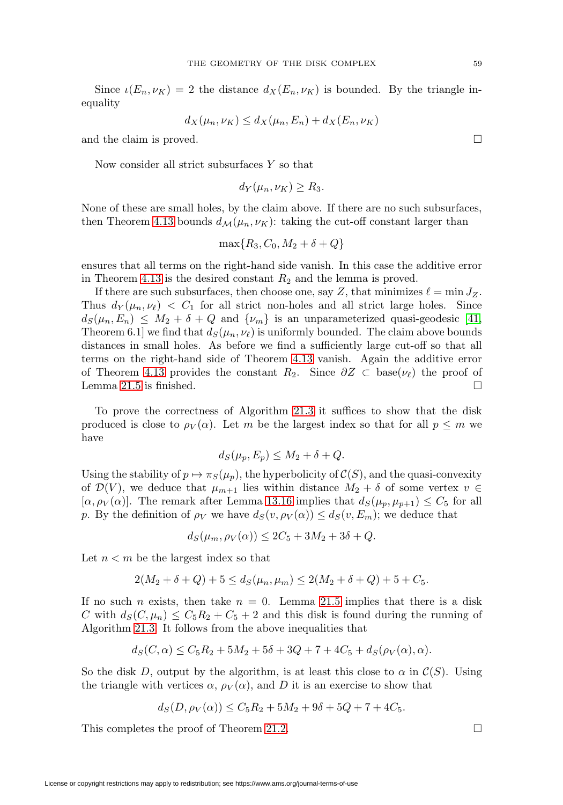<span id="page-58-0"></span>Since  $\iota(E_n, \nu_K) = 2$  the distance  $d_X(E_n, \nu_K)$  is bounded. By the triangle inequality

$$
d_X(\mu_n, \nu_K) \le d_X(\mu_n, E_n) + d_X(E_n, \nu_K)
$$

and the claim is proved.  $\Box$ 

Now consider all strict subsurfaces Y so that

$$
d_Y(\mu_n, \nu_K) \ge R_3.
$$

None of these are small holes, by the claim above. If there are no such subsurfaces, then Theorem [4.13](#page-9-0) bounds  $d_{\mathcal{M}}(\mu_n, \nu_K)$ : taking the cut-off constant larger than

$$
\max\{R_3, C_0, M_2+\delta+Q\}
$$

ensures that all terms on the right-hand side vanish. In this case the additive error in Theorem [4.13](#page-9-0) is the desired constant  $R_2$  and the lemma is proved.

If there are such subsurfaces, then choose one, say Z, that minimizes  $\ell = \min J_Z$ . Thus  $d_Y(\mu_n, \nu_\ell) < C_1$  for all strict non-holes and all strict large holes. Since  $d_S(\mu_n, E_n) \leq M_2 + \delta + Q$  and  $\{\nu_m\}$  is an unparameterized quasi-geodesic [\[41,](#page-61-2) Theorem 6.1] we find that  $d_S(\mu_n, \nu_\ell)$  is uniformly bounded. The claim above bounds distances in small holes. As before we find a sufficiently large cut-off so that all terms on the right-hand side of Theorem [4.13](#page-9-0) vanish. Again the additive error of Theorem [4.13](#page-9-0) provides the constant  $R_2$ . Since  $\partial Z \subset \text{base}(\nu_\ell)$  the proof of Lemma [21.5](#page-57-0) is finished.  $\Box$ 

To prove the correctness of Algorithm [21.3](#page-56-3) it suffices to show that the disk produced is close to  $\rho_V(\alpha)$ . Let m be the largest index so that for all  $p \leq m$  we have

$$
d_S(\mu_p, E_p) \le M_2 + \delta + Q.
$$

Using the stability of  $p \mapsto \pi_S(\mu_p)$ , the hyperbolicity of  $\mathcal{C}(S)$ , and the quasi-convexity of  $\mathcal{D}(V)$ , we deduce that  $\mu_{m+1}$  lies within distance  $M_2 + \delta$  of some vertex  $v \in$  $[\alpha, \rho_V(\alpha)]$ . The remark after Lemma [13.16](#page-31-2) implies that  $d_S(\mu_p, \mu_{p+1}) \leq C_5$  for all p. By the definition of  $\rho_V$  we have  $d_S(v, \rho_V(\alpha)) \leq d_S(v, E_m)$ ; we deduce that

 $d_S(\mu_m, \rho_V(\alpha)) \leq 2C_5 + 3M_2 + 3\delta + Q$ .

Let  $n < m$  be the largest index so that

$$
2(M_2 + \delta + Q) + 5 \le d_S(\mu_n, \mu_m) \le 2(M_2 + \delta + Q) + 5 + C_5.
$$

If no such n exists, then take  $n = 0$ . Lemma [21.5](#page-57-0) implies that there is a disk C with  $d_S(C, \mu_n) \leq C_5 R_2 + C_5 + 2$  and this disk is found during the running of Algorithm [21.3.](#page-56-3) It follows from the above inequalities that

$$
d_S(C, \alpha) \le C_5 R_2 + 5M_2 + 5\delta + 3Q + 7 + 4C_5 + d_S(\rho_V(\alpha), \alpha).
$$

So the disk D, output by the algorithm, is at least this close to  $\alpha$  in  $\mathcal{C}(S)$ . Using the triangle with vertices  $\alpha$ ,  $\rho_V(\alpha)$ , and D it is an exercise to show that

$$
d_S(D, \rho_V(\alpha)) \le C_5 R_2 + 5M_2 + 9\delta + 5Q + 7 + 4C_5.
$$

This completes the proof of Theorem [21.2.](#page-56-2)  $\Box$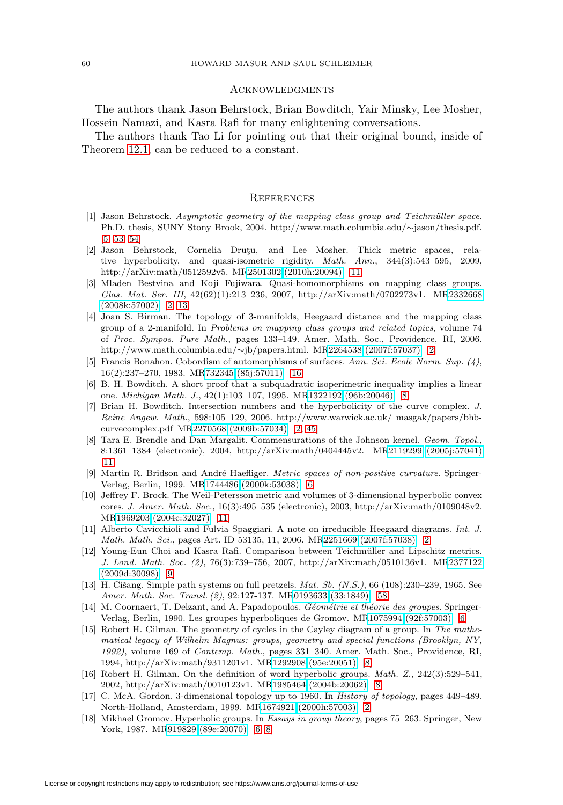#### <span id="page-59-0"></span>**ACKNOWLEDGMENTS**

The authors thank Jason Behrstock, Brian Bowditch, Yair Minsky, Lee Mosher, Hossein Namazi, and Kasra Rafi for many enlightening conversations.

The authors thank Tao Li for pointing out that their original bound, inside of Theorem [12.1,](#page-24-1) can be reduced to a constant.

#### <span id="page-59-1"></span>**REFERENCES**

- <span id="page-59-7"></span>[1] Jason Behrstock. Asymptotic geometry of the mapping class group and Teichmüller space. Ph.D. thesis, SUNY Stony Brook, 2004. http://www.math.columbia.edu/∼jason/thesis.pdf. [\[5,](#page-4-1) [53,](#page-52-7) [54\]](#page-53-2)
- <span id="page-59-16"></span>[2] Jason Behrstock, Cornelia Drutzu, and Lee Mosher. Thick metric spaces, relative hyperbolicity, and quasi-isometric rigidity. Math. Ann., 344(3):543–595, 2009, http://arXiv:math/0512592v5. M[R2501302 \(2010h:20094\)](http://www.ams.org/mathscinet-getitem?mr=2501302) [\[11\]](#page-10-3)
- <span id="page-59-5"></span>[3] Mladen Bestvina and Koji Fujiwara. Quasi-homomorphisms on mapping class groups. Glas. Mat. Ser. III, 42(62)(1):213–236, 2007, http://arXiv:math/0702273v1. M[R2332668](http://www.ams.org/mathscinet-getitem?mr=2332668) [\(2008k:57002\)](http://www.ams.org/mathscinet-getitem?mr=2332668) [\[2,](#page-1-1) [13\]](#page-12-4)
- <span id="page-59-4"></span>[4] Joan S. Birman. The topology of 3-manifolds, Heegaard distance and the mapping class group of a 2-manifold. In Problems on mapping class groups and related topics, volume 74 of Proc. Sympos. Pure Math., pages 133–149. Amer. Math. Soc., Providence, RI, 2006. http://www.math.columbia.edu/∼jb/papers.html. M[R2264538 \(2007f:57037\)](http://www.ams.org/mathscinet-getitem?mr=2264538) [\[2\]](#page-1-1)
- <span id="page-59-18"></span>[5] Francis Bonahon. Cobordism of automorphisms of surfaces. Ann. Sci. École Norm. Sup.  $(4)$ , 16(2):237–270, 1983. M[R732345 \(85j:57011\)](http://www.ams.org/mathscinet-getitem?mr=732345) [\[16\]](#page-15-0)
- <span id="page-59-13"></span>[6] B. H. Bowditch. A short proof that a subquadratic isoperimetric inequality implies a linear one. Michigan Math. J., 42(1):103–107, 1995. M[R1322192 \(96b:20046\)](http://www.ams.org/mathscinet-getitem?mr=1322192) [\[8\]](#page-7-3)
- <span id="page-59-6"></span>[7] Brian H. Bowditch. Intersection numbers and the hyperbolicity of the curve complex. J. Reine Angew. Math., 598:105–129, 2006. http://www.warwick.ac.uk/ masgak/papers/bhbcurvecomplex.pdf M[R2270568 \(2009b:57034\)](http://www.ams.org/mathscinet-getitem?mr=2270568) [\[2,](#page-1-1) [45\]](#page-44-2)
- <span id="page-59-17"></span>[8] Tara E. Brendle and Dan Margalit. Commensurations of the Johnson kernel. Geom. Topol., 8:1361–1384 (electronic), 2004, http://arXiv:math/0404445v2. M[R2119299 \(2005j:57041\)](http://www.ams.org/mathscinet-getitem?mr=2119299)  $|11|$
- <span id="page-59-8"></span>[9] Martin R. Bridson and André Haefliger. Metric spaces of non-positive curvature. Springer-Verlag, Berlin, 1999. M[R1744486 \(2000k:53038\)](http://www.ams.org/mathscinet-getitem?mr=1744486) [\[6\]](#page-5-2)
- <span id="page-59-15"></span>[10] Jeffrey F. Brock. The Weil-Petersson metric and volumes of 3-dimensional hyperbolic convex cores. J. Amer. Math. Soc., 16(3):495–535 (electronic), 2003, http://arXiv:math/0109048v2. M[R1969203 \(2004c:32027\)](http://www.ams.org/mathscinet-getitem?mr=1969203) [\[11\]](#page-10-3)
- <span id="page-59-3"></span>[11] Alberto Cavicchioli and Fulvia Spaggiari. A note on irreducible Heegaard diagrams. Int. J. Math. Math. Sci., pages Art. ID 53135, 11, 2006. M[R2251669 \(2007f:57038\)](http://www.ams.org/mathscinet-getitem?mr=2251669) [\[2\]](#page-1-1)
- <span id="page-59-14"></span>[12] Young-Eun Choi and Kasra Rafi. Comparison between Teichm¨uller and Lipschitz metrics. J. Lond. Math. Soc. (2), 76(3):739–756, 2007, http://arXiv:math/0510136v1. M[R2377122](http://www.ams.org/mathscinet-getitem?mr=2377122) [\(2009d:30098\)](http://www.ams.org/mathscinet-getitem?mr=2377122) [\[9\]](#page-8-6)
- <span id="page-59-19"></span>[13] H. Cišang. Simple path systems on full pretzels. *Mat. Sb.*  $(N.S.)$ , 66 (108):230–239, 1965. See Amer. Math. Soc. Transl. (2), 92:127-137. M[R0193633 \(33:1849\)](http://www.ams.org/mathscinet-getitem?mr=0193633) [\[58\]](#page-57-2)
- <span id="page-59-9"></span>[14] M. Coornaert, T. Delzant, and A. Papadopoulos. Géométrie et théorie des groupes. Springer-Verlag, Berlin, 1990. Les groupes hyperboliques de Gromov. M[R1075994 \(92f:57003\)](http://www.ams.org/mathscinet-getitem?mr=1075994) [\[6\]](#page-5-2)
- <span id="page-59-11"></span>[15] Robert H. Gilman. The geometry of cycles in the Cayley diagram of a group. In The mathematical legacy of Wilhelm Magnus: groups, geometry and special functions (Brooklyn, NY, 1992), volume 169 of Contemp. Math., pages 331–340. Amer. Math. Soc., Providence, RI, 1994, http://arXiv:math/9311201v1. M[R1292908 \(95e:20051\)](http://www.ams.org/mathscinet-getitem?mr=1292908) [\[8\]](#page-7-3)
- <span id="page-59-12"></span>[16] Robert H. Gilman. On the definition of word hyperbolic groups. Math. Z., 242(3):529–541, 2002, http://arXiv:math/0010123v1. M[R1985464 \(2004b:20062\)](http://www.ams.org/mathscinet-getitem?mr=1985464) [\[8\]](#page-7-3)
- <span id="page-59-2"></span>[17] C. McA. Gordon. 3-dimensional topology up to 1960. In History of topology, pages 449–489. North-Holland, Amsterdam, 1999. M[R1674921 \(2000h:57003\)](http://www.ams.org/mathscinet-getitem?mr=1674921) [\[2\]](#page-1-1)
- <span id="page-59-10"></span>[18] Mikhael Gromov. Hyperbolic groups. In *Essays in group theory*, pages 75–263. Springer, New York, 1987. M[R919829 \(89e:20070\)](http://www.ams.org/mathscinet-getitem?mr=919829) [\[6,](#page-5-2) [8\]](#page-7-3)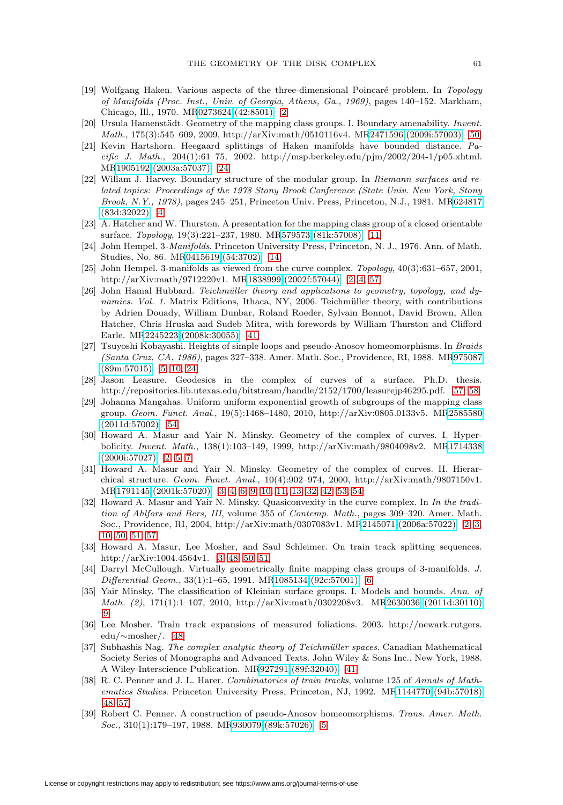- <span id="page-60-0"></span>[19] Wolfgang Haken. Various aspects of the three-dimensional Poincaré problem. In Topology of Manifolds (Proc. Inst., Univ. of Georgia, Athens, Ga., 1969), pages 140–152. Markham, Chicago, Ill., 1970. M[R0273624 \(42:8501\)](http://www.ams.org/mathscinet-getitem?mr=0273624) [\[2\]](#page-1-1)
- <span id="page-60-18"></span>[20] Ursula Hamenstädt. Geometry of the mapping class groups. I. Boundary amenability. Invent. Math., 175(3):545–609, 2009, http://arXiv:math/0510116v4. M[R2471596 \(2009i:57003\)](http://www.ams.org/mathscinet-getitem?mr=2471596) [\[50\]](#page-49-4)
- <span id="page-60-13"></span>[21] Kevin Hartshorn. Heegaard splittings of Haken manifolds have bounded distance. Pa $cific \, J. \mathit{Math.}, \, 204(1):61-75, \, 2002. \, \mathrm{http://msp.berkeley.edu/pjm/2002/204-1/p05.} \mathrm{xhtml.}$ M[R1905192 \(2003a:57037\)](http://www.ams.org/mathscinet-getitem?mr=1905192) [\[24\]](#page-23-2)
- <span id="page-60-6"></span>[22] Willam J. Harvey. Boundary structure of the modular group. In Riemann surfaces and related topics: Proceedings of the 1978 Stony Brook Conference (State Univ. New York, Stony Brook, N.Y., 1978), pages 245–251, Princeton Univ. Press, Princeton, N.J., 1981. M[R624817](http://www.ams.org/mathscinet-getitem?mr=624817) [\(83d:32022\)](http://www.ams.org/mathscinet-getitem?mr=624817) [\[4\]](#page-3-3)
- <span id="page-60-11"></span>[23] A. Hatcher and W. Thurston. A presentation for the mapping class group of a closed orientable surface. Topology, 19(3):221–237, 1980. M[R579573 \(81k:57008\)](http://www.ams.org/mathscinet-getitem?mr=579573) [\[11\]](#page-10-3)
- <span id="page-60-12"></span>[24] John Hempel. 3-Manifolds. Princeton University Press, Princeton, N. J., 1976. Ann. of Math. Studies, No. 86. M[R0415619 \(54:3702\)](http://www.ams.org/mathscinet-getitem?mr=0415619) [\[14\]](#page-13-5)
- <span id="page-60-1"></span>[25] John Hempel. 3-manifolds as viewed from the curve complex. Topology, 40(3):631–657, 2001, http://arXiv:math/9712220v1. M[R1838999 \(2002f:57044\)](http://www.ams.org/mathscinet-getitem?mr=1838999) [\[2,](#page-1-1) [4,](#page-3-3) [57\]](#page-56-4)
- <span id="page-60-15"></span>[26] John Hamal Hubbard. Teichmüller theory and applications to geometry, topology, and dynamics. Vol. 1. Matrix Editions, Ithaca, NY, 2006. Teichmüller theory, with contributions by Adrien Douady, William Dunbar, Roland Roeder, Sylvain Bonnot, David Brown, Allen Hatcher, Chris Hruska and Sudeb Mitra, with forewords by William Thurston and Clifford Earle. M[R2245223 \(2008k:30055\)](http://www.ams.org/mathscinet-getitem?mr=2245223) [\[41\]](#page-40-1)
- <span id="page-60-7"></span>[27] Tsuyoshi Kobayashi. Heights of simple loops and pseudo-Anosov homeomorphisms. In Braids (Santa Cruz, CA, 1986), pages 327–338. Amer. Math. Soc., Providence, RI, 1988. M[R975087](http://www.ams.org/mathscinet-getitem?mr=975087) [\(89m:57015\)](http://www.ams.org/mathscinet-getitem?mr=975087) [\[5,](#page-4-1) [10,](#page-9-2) [24\]](#page-23-2)
- <span id="page-60-20"></span>[28] Jason Leasure. Geodesics in the complex of curves of a surface. Ph.D. thesis. http://repositories.lib.utexas.edu/bitstream/handle/2152/1700/leasurejp46295.pdf. [\[57,](#page-56-4) [58\]](#page-57-2)
- <span id="page-60-19"></span>[29] Johanna Mangahas. Uniform uniform exponential growth of subgroups of the mapping class group. Geom. Funct. Anal., 19(5):1468–1480, 2010, http://arXiv:0805.0133v5. M[R2585580](http://www.ams.org/mathscinet-getitem?mr=2585580) [\(2011d:57002\)](http://www.ams.org/mathscinet-getitem?mr=2585580) [\[54\]](#page-53-2)
- <span id="page-60-2"></span>[30] Howard A. Masur and Yair N. Minsky. Geometry of the complex of curves. I. Hyperbolicity. Invent. Math., 138(1):103–149, 1999, http://arXiv:math/9804098v2. M[R1714338](http://www.ams.org/mathscinet-getitem?mr=1714338) [\(2000i:57027\)](http://www.ams.org/mathscinet-getitem?mr=1714338) [\[2,](#page-1-1) [5,](#page-4-1) [7\]](#page-6-8)
- <span id="page-60-4"></span>[31] Howard A. Masur and Yair N. Minsky. Geometry of the complex of curves. II. Hierarchical structure. Geom. Funct. Anal., 10(4):902–974, 2000, http://arXiv:math/9807150v1. M[R1791145 \(2001k:57020\)](http://www.ams.org/mathscinet-getitem?mr=1791145) [\[3,](#page-2-1) [4,](#page-3-3) [6,](#page-5-2) [9,](#page-8-6) [10,](#page-9-2) [11,](#page-10-3) [13,](#page-12-4) [32,](#page-31-10) [42,](#page-41-0) [53,](#page-52-7) [54\]](#page-53-2)
- <span id="page-60-3"></span>[32] Howard A. Masur and Yair N. Minsky. Quasiconvexity in the curve complex. In In the tradition of Ahlfors and Bers, III, volume 355 of Contemp. Math., pages 309–320. Amer. Math. Soc., Providence, RI, 2004, http://arXiv:math/0307083v1. M[R2145071 \(2006a:57022\)](http://www.ams.org/mathscinet-getitem?mr=2145071) [\[2,](#page-1-1) [3,](#page-2-1) [10,](#page-9-2) [50,](#page-49-4) [51,](#page-50-2) [57\]](#page-56-4)
- <span id="page-60-5"></span>[33] Howard A. Masur, Lee Mosher, and Saul Schleimer. On train track splitting sequences. http://arXiv:1004.4564v1. [\[3,](#page-2-1) [48,](#page-47-1) [50,](#page-49-4) [51\]](#page-50-2)
- <span id="page-60-9"></span>[34] Darryl McCullough. Virtually geometrically finite mapping class groups of 3-manifolds. J. Differential Geom., 33(1):1–65, 1991. M[R1085134 \(92c:57001\)](http://www.ams.org/mathscinet-getitem?mr=1085134) [\[6\]](#page-5-2)
- <span id="page-60-10"></span>[35] Yair Minsky. The classification of Kleinian surface groups. I. Models and bounds. Ann. of Math. (2), 171(1):1–107, 2010, http://arXiv:math/0302208v3. M[R2630036 \(2011d:30110\)](http://www.ams.org/mathscinet-getitem?mr=2630036) [\[9\]](#page-8-6)
- <span id="page-60-17"></span>[36] Lee Mosher. Train track expansions of measured foliations. 2003. http://newark.rutgers. edu/∼mosher/. [\[48\]](#page-47-1)
- <span id="page-60-14"></span>[37] Subhashis Nag. The complex analytic theory of Teichmüller spaces. Canadian Mathematical Society Series of Monographs and Advanced Texts. John Wiley & Sons Inc., New York, 1988. A Wiley-Interscience Publication. M[R927291 \(89f:32040\)](http://www.ams.org/mathscinet-getitem?mr=927291) [\[41\]](#page-40-1)
- <span id="page-60-16"></span>[38] R. C. Penner and J. L. Harer. Combinatorics of train tracks, volume 125 of Annals of Mathematics Studies. Princeton University Press, Princeton, NJ, 1992. M[R1144770 \(94b:57018\)](http://www.ams.org/mathscinet-getitem?mr=1144770) [\[48,](#page-47-1) [57\]](#page-56-4)
- <span id="page-60-8"></span>[39] Robert C. Penner. A construction of pseudo-Anosov homeomorphisms. Trans. Amer. Math. Soc., 310(1):179–197, 1988. M[R930079 \(89k:57026\)](http://www.ams.org/mathscinet-getitem?mr=930079) [\[5\]](#page-4-1)